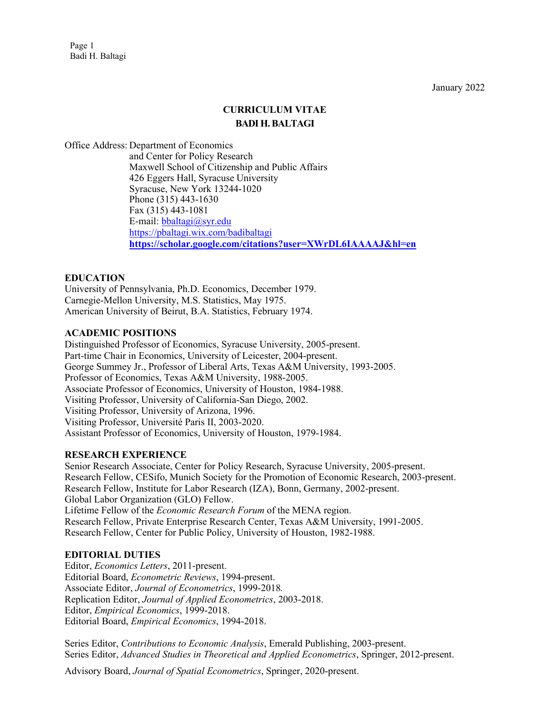Page 1 Badi H. Baltagi

January 2022

# **CURRICULUM VITAE BADI H. BALTAGI**

Office Address: Department of Economics and Center for Policy Research Maxwell School of Citizenship and Public Affairs 426 Eggers Hall, Syracuse University Syracuse, New York 13244-1020 Phone (315) 443-1630 Fax (315) 443-1081 E-mail[: bbaltagi@syr.edu](mailto:bbaltagi@maxwell.syr.edu) <https://pbaltagi.wix.com/badibaltagi> **<https://scholar.google.com/citations?user=XWrDL6IAAAAJ&hl=en>**

## **EDUCATION**

University of Pennsylvania, Ph.D. Economics, December 1979. Carnegie-Mellon University, M.S. Statistics, May 1975. American University of Beirut, B.A. Statistics, February 1974.

## **ACADEMIC POSITIONS**

Distinguished Professor of Economics, Syracuse University, 2005-present. Part-time Chair in Economics, University of Leicester, 2004-present. George Summey Jr., Professor of Liberal Arts, Texas A&M University, 1993-2005. Professor of Economics, Texas A&M University, 1988-2005. Associate Professor of Economics, University of Houston, 1984-1988. Visiting Professor, University of California-San Diego, 2002. Visiting Professor, University of Arizona, 1996. Visiting Professor, Université Paris II, 2003-2020. Assistant Professor of Economics, University of Houston, 1979-1984.

#### **RESEARCH EXPERIENCE**

Senior Research Associate, Center for Policy Research, Syracuse University, 2005-present. Research Fellow, CESifo, Munich Society for the Promotion of Economic Research, 2003-present. Research Fellow, Institute for Labor Research (IZA), Bonn, Germany, 2002-present. Global Labor Organization (GLO) Fellow. Lifetime Fellow of the *Economic Research Forum* of the MENA region. Research Fellow, Private Enterprise Research Center, Texas A&M University, 1991-2005. Research Fellow, Center for Public Policy, University of Houston, 1982-1988.

#### **EDITORIAL DUTIES**

Editor, *Economics Letters*, 2011-present. Editorial Board, *Econometric Reviews*, 1994-present. Associate Editor, *Journal of Econometrics*, 1999-2018*.* Replication Editor, *Journal of Applied Econometrics*, 2003-2018. Editor, *Empirical Economics*, 1999-2018. Editorial Board, *Empirical Economics*, 1994-2018.

Series Editor, *Contributions to Economic Analysis*, Emerald Publishing, 2003-present. Series Editor, *Advanced Studies in Theoretical and Applied Econometrics*, Springer, 2012-present.

Advisory Board, *Journal of Spatial Econometrics*, Springer, 2020-present.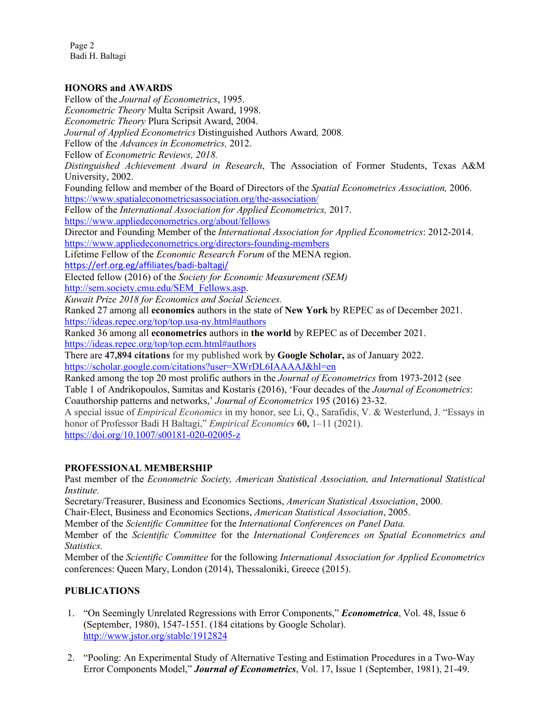Page 2 Badi H. Baltagi

#### **HONORS and AWARDS**

Fellow of the *Journal of Econometrics*, 1995. *Econometric Theory* Multa Scripsit Award, 1998. *Econometric Theory* Plura Scripsit Award, 2004. *Journal of Applied Econometrics* Distinguished Authors Award*,* 2008*.* Fellow of the *Advances in Econometrics,* 2012. Fellow of *Econometric Reviews, 2018. Distinguished Achievement Award in Research*, The Association of Former Students, Texas A&M University, 2002. Founding fellow and member of the Board of Directors of the *Spatial Econometrics Association,* 2006. <https://www.spatialeconometricsassociation.org/the-association/> Fellow of the *International Association for Applied Econometrics,* 2017. <https://www.appliedeconometrics.org/about/fellows> Director and Founding Member of the *International Association for Applied Econometrics*: 2012-2014. <https://www.appliedeconometrics.org/directors-founding-members> Lifetime Fellow of the *Economic Research Forum* of the MENA region. <https://erf.org.eg/affiliates/badi-baltagi/> Elected fellow (2016) of the *Society for Economic Measurement (SEM)* [http://sem.society.cmu.edu/SEM\\_Fellows.asp.](http://sem.society.cmu.edu/SEM_Fellows.asp) *Kuwait Prize 2018 for Economics and Social Sciences.*  Ranked 27 among all **economics** authors in the state of **New York** by REPEC as of December 2021. <https://ideas.repec.org/top/top.usa-ny.html#authors> Ranked 36 among all **econometrics** authors in **the world** by REPEC as of December 2021. <https://ideas.repec.org/top/top.ecm.html#authors> There are **47,894 citations** for my published work by **Google Scholar,** as of January 2022. <https://scholar.google.com/citations?user=XWrDL6IAAAAJ&hl=en> Ranked among the top 20 most prolific authors in the *Journal of Econometrics* from 1973-2012 (see Table 1 of Andrikopoulos, Samitas and Kostaris (2016), 'Four decades of the *Journal of Econometrics*: Coauthorship patterns and networks,' *Journal of Econometrics* 195 (2016) 23-32. A special issue of *Empirical Economics* in my honor, see Li, Q., Sarafidis, V. & Westerlund, J. "Essays in honor of Professor Badi H Baltagi," *Empirical Economics* **60,** 1–11 (2021).

<https://doi.org/10.1007/s00181-020-02005-z>

## **PROFESSIONAL MEMBERSHIP**

Past member of the *Econometric Society, American Statistical Association, and International Statistical Institute.*

Secretary/Treasurer, Business and Economics Sections, *American Statistical Association*, 2000.

Chair-Elect, Business and Economics Sections, *American Statistical Association*, 2005.

Member of the *Scientific Committee* for the *International Conferences on Panel Data.*

Member of the *Scientific Committee* for the *International Conferences on Spatial Econometrics and Statistics.*

Member of the *Scientific Committee* for the following *International Association for Applied Econometrics* conferences: Queen Mary, London (2014), Thessaloniki, Greece (2015).

## **PUBLICATIONS**

- 1. "On Seemingly Unrelated Regressions with Error Components," *Econometrica*, Vol. 48, Issue 6 (September, 1980), 1547-1551. (184 citations by Google Scholar). <http://www.jstor.org/stable/1912824>
- 2. "Pooling: An Experimental Study of Alternative Testing and Estimation Procedures in a Two-Way Error Components Model," *Journal of Econometrics*, Vol. 17, Issue 1 (September, 1981), 21-49.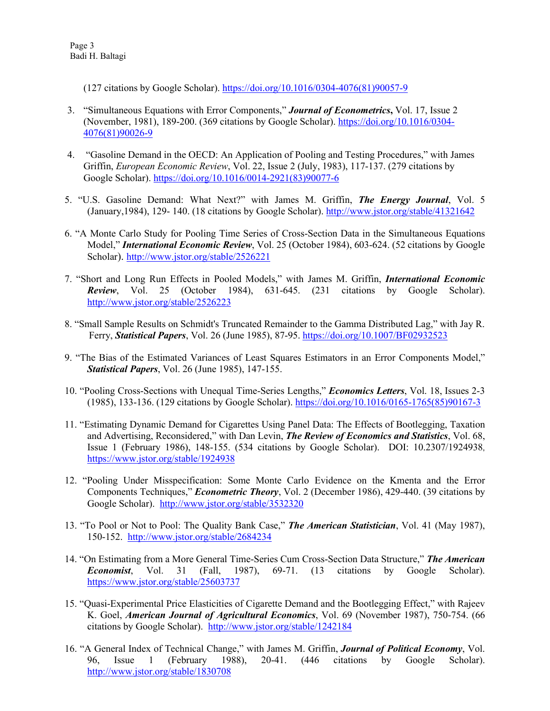(127 citations by Google Scholar). [https://doi.org/10.1016/0304-4076\(81\)90057-9](https://doi.org/10.1016/0304-4076(81)90057-9)

- 3. "Simultaneous Equations with Error Components," *Journal of Econometrics***,** Vol. 17, Issue 2 (November, 1981), 189-200. (369 citations by Google Scholar). [https://doi.org/10.1016/0304-](https://doi.org/10.1016/0304-4076(81)90026-9) [4076\(81\)90026-9](https://doi.org/10.1016/0304-4076(81)90026-9)
- 4. "Gasoline Demand in the OECD: An Application of Pooling and Testing Procedures," with James Griffin, *European Economic Review*, Vol. 22, Issue 2 (July, 1983), 117-137. (279 citations by Google Scholar). [https://doi.org/10.1016/0014-2921\(83\)90077-6](https://doi.org/10.1016/0014-2921(83)90077-6)
- 5. "U.S. Gasoline Demand: What Next?" with James M. Griffin, *The Energy Journal*, Vol. 5 (January,1984), 129- 140. (18 citations by Google Scholar). <http://www.jstor.org/stable/41321642>
- 6. "A Monte Carlo Study for Pooling Time Series of Cross-Section Data in the Simultaneous Equations Model," *International Economic Review*, Vol. 25 (October 1984), 603-624. (52 citations by Google Scholar). <http://www.jstor.org/stable/2526221>
- 7. "Short and Long Run Effects in Pooled Models," with James M. Griffin, *International Economic Review*, Vol. 25 (October 1984), 631-645. (231 citations by Google Scholar). <http://www.jstor.org/stable/2526223>
- 8. "Small Sample Results on Schmidt's Truncated Remainder to the Gamma Distributed Lag," with Jay R. Ferry, *Statistical Papers*, Vol. 26 (June 1985), 87-95. <https://doi.org/10.1007/BF02932523>
- 9. "The Bias of the Estimated Variances of Least Squares Estimators in an Error Components Model," *Statistical Papers*, Vol. 26 (June 1985), 147-155.
- 10. "Pooling Cross-Sections with Unequal Time-Series Lengths," *Economics Letters*, Vol. 18, Issues 2-3 (1985), 133-136. (129 citations by Google Scholar). [https://doi.org/10.1016/0165-1765\(85\)90167-3](https://doi.org/10.1016/0165-1765(85)90167-3)
- 11. "Estimating Dynamic Demand for Cigarettes Using Panel Data: The Effects of Bootlegging, Taxation and Advertising, Reconsidered," with Dan Levin, *The Review of Economics and Statistics*, Vol. 68, Issue 1 (February 1986), 148-155. (534 citations by Google Scholar). DOI: 10.2307/1924938, <https://www.jstor.org/stable/1924938>
- 12. "Pooling Under Misspecification: Some Monte Carlo Evidence on the Kmenta and the Error Components Techniques," *Econometric Theory*, Vol. 2 (December 1986), 429-440. (39 citations by Google Scholar). <http://www.jstor.org/stable/3532320>
- 13. "To Pool or Not to Pool: The Quality Bank Case," *The American Statistician*, Vol. 41 (May 1987), 150-152. <http://www.jstor.org/stable/2684234>
- 14. "On Estimating from a More General Time-Series Cum Cross-Section Data Structure," *The American Economist*, Vol. 31 (Fall, 1987), 69-71. (13 citations by Google Scholar). <https://www.jstor.org/stable/25603737>
- 15. "Quasi-Experimental Price Elasticities of Cigarette Demand and the Bootlegging Effect," with Rajeev K. Goel, *American Journal of Agricultural Economics*, Vol. 69 (November 1987), 750-754. (66 citations by Google Scholar). <http://www.jstor.org/stable/1242184>
- 16. "A General Index of Technical Change," with James M. Griffin, *Journal of Political Economy*, Vol. 96, Issue 1 (February 1988), 20-41. (446 citations by Google Scholar). <http://www.jstor.org/stable/1830708>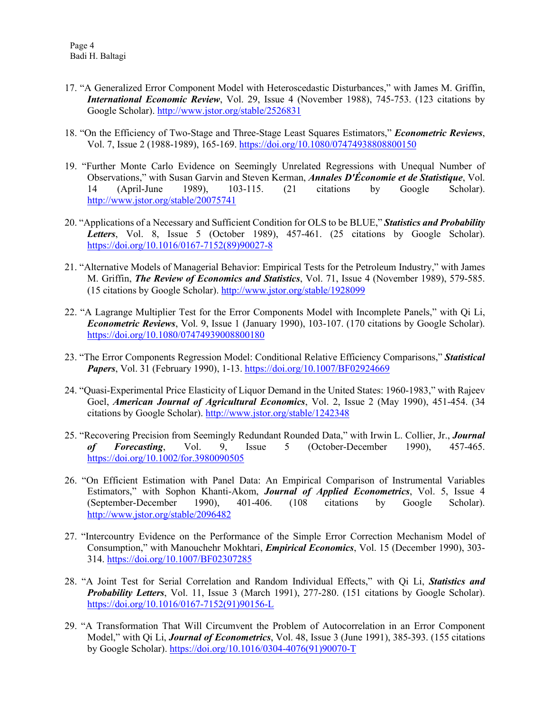- 17. "A Generalized Error Component Model with Heteroscedastic Disturbances," with James M. Griffin, *International Economic Review*, Vol. 29, Issue 4 (November 1988), 745-753. (123 citations by Google Scholar). <http://www.jstor.org/stable/2526831>
- 18. "On the Efficiency of Two-Stage and Three-Stage Least Squares Estimators," *Econometric Reviews*, Vol. 7, Issue 2 (1988-1989), 165-169. <https://doi.org/10.1080/07474938808800150>
- 19. "Further Monte Carlo Evidence on Seemingly Unrelated Regressions with Unequal Number of Observations," with Susan Garvin and Steven Kerman, *Annales D'Économie et de Statistique*, Vol. 14 (April-June 1989), 103-115. (21 citations by Google Scholar). <http://www.jstor.org/stable/20075741>
- 20. "Applications of a Necessary and Sufficient Condition for OLS to be BLUE," *Statistics and Probability Letters*, Vol. 8, Issue 5 (October 1989), 457-461. (25 citations by Google Scholar). [https://doi.org/10.1016/0167-7152\(89\)90027-8](https://doi.org/10.1016/0167-7152(89)90027-8)
- 21. "Alternative Models of Managerial Behavior: Empirical Tests for the Petroleum Industry," with James M. Griffin, *The Review of Economics and Statistics*, Vol. 71, Issue 4 (November 1989), 579-585. (15 citations by Google Scholar). <http://www.jstor.org/stable/1928099>
- 22. "A Lagrange Multiplier Test for the Error Components Model with Incomplete Panels," with Qi Li, *Econometric Reviews*, Vol. 9, Issue 1 (January 1990), 103-107. (170 citations by Google Scholar). <https://doi.org/10.1080/07474939008800180>
- 23. "The Error Components Regression Model: Conditional Relative Efficiency Comparisons," *Statistical Papers*, Vol. 31 (February 1990), 1-13. <https://doi.org/10.1007/BF02924669>
- 24. "Quasi-Experimental Price Elasticity of Liquor Demand in the United States: 1960-1983," with Rajeev Goel, *American Journal of Agricultural Economics*, Vol. 2, Issue 2 (May 1990), 451-454. (34 citations by Google Scholar). <http://www.jstor.org/stable/1242348>
- 25. "Recovering Precision from Seemingly Redundant Rounded Data," with Irwin L. Collier, Jr., *Journal of Forecasting*, Vol. 9, Issue 5 (October-December 1990), 457-465. <https://doi.org/10.1002/for.3980090505>
- 26. "On Efficient Estimation with Panel Data: An Empirical Comparison of Instrumental Variables Estimators," with Sophon Khanti-Akom, *Journal of Applied Econometrics*, Vol. 5, Issue 4 (September-December 1990), 401-406. (108 citations by Google Scholar). <http://www.jstor.org/stable/2096482>
- 27. "Intercountry Evidence on the Performance of the Simple Error Correction Mechanism Model of Consumption," with Manouchehr Mokhtari, *Empirical Economics*, Vol. 15 (December 1990), 303- 314. <https://doi.org/10.1007/BF02307285>
- 28. "A Joint Test for Serial Correlation and Random Individual Effects," with Qi Li, *Statistics and Probability Letters*, Vol. 11, Issue 3 (March 1991), 277-280. (151 citations by Google Scholar). [https://doi.org/10.1016/0167-7152\(91\)90156-L](https://doi.org/10.1016/0167-7152(91)90156-L)
- 29. "A Transformation That Will Circumvent the Problem of Autocorrelation in an Error Component Model," with Qi Li, *Journal of Econometrics*, Vol. 48, Issue 3 (June 1991), 385-393. (155 citations by Google Scholar). [https://doi.org/10.1016/0304-4076\(91\)90070-T](https://doi.org/10.1016/0304-4076(91)90070-T)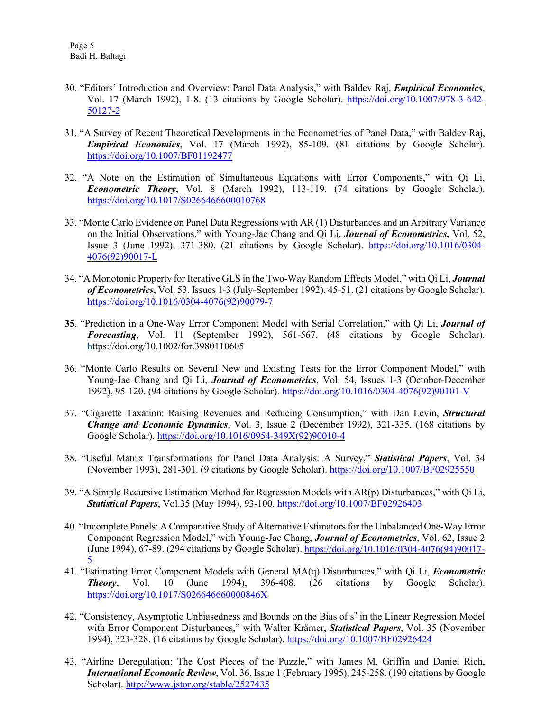- 30. "Editors' Introduction and Overview: Panel Data Analysis," with Baldev Raj, *Empirical Economics*, Vol. 17 (March 1992), 1-8. (13 citations by Google Scholar). [https://doi.org/10.1007/978-3-642-](https://doi.org/10.1007/978-3-642-50127-2) [50127-2](https://doi.org/10.1007/978-3-642-50127-2)
- 31. "A Survey of Recent Theoretical Developments in the Econometrics of Panel Data," with Baldev Raj, *Empirical Economics*, Vol. 17 (March 1992), 85-109. (81 citations by Google Scholar). <https://doi.org/10.1007/BF01192477>
- 32. "A Note on the Estimation of Simultaneous Equations with Error Components," with Qi Li, *Econometric Theory*, Vol. 8 (March 1992), 113-119. (74 citations by Google Scholar). <https://doi.org/10.1017/S0266466600010768>
- 33. "Monte Carlo Evidence on Panel Data Regressions with AR (1) Disturbances and an Arbitrary Variance on the Initial Observations," with Young-Jae Chang and Qi Li, *Journal of Econometrics,* Vol. 52, Issue 3 (June 1992), 371-380. (21 citations by Google Scholar). [https://doi.org/10.1016/0304-](https://doi.org/10.1016/0304-4076(92)90017-L) [4076\(92\)90017-L](https://doi.org/10.1016/0304-4076(92)90017-L)
- 34. "A Monotonic Property for Iterative GLS in the Two-Way Random Effects Model," with Qi Li, *Journal of Econometrics*, Vol. 53, Issues 1-3 (July-September 1992), 45-51. (21 citations by Google Scholar). [https://doi.org/10.1016/0304-4076\(92\)90079-7](https://doi.org/10.1016/0304-4076(92)90079-7)
- **35**. "Prediction in a One-Way Error Component Model with Serial Correlation," with Qi Li, *Journal of Forecasting*, Vol. 11 (September 1992), 561-567. (48 citations by Google Scholar). <https://doi.org/10.1002/for.3980110605>
- 36. "Monte Carlo Results on Several New and Existing Tests for the Error Component Model," with Young-Jae Chang and Qi Li, *Journal of Econometrics*, Vol. 54, Issues 1-3 (October-December 1992), 95-120. (94 citations by Google Scholar). [https://doi.org/10.1016/0304-4076\(92\)90101-V](https://doi.org/10.1016/0304-4076(92)90101-V)
- 37. "Cigarette Taxation: Raising Revenues and Reducing Consumption," with Dan Levin, *Structural Change and Economic Dynamics*, Vol. 3, Issue 2 (December 1992), 321-335. (168 citations by Google Scholar). [https://doi.org/10.1016/0954-349X\(92\)90010-4](https://doi.org/10.1016/0954-349X(92)90010-4)
- 38. "Useful Matrix Transformations for Panel Data Analysis: A Survey," *Statistical Papers*, Vol. 34 (November 1993), 281-301. (9 citations by Google Scholar). <https://doi.org/10.1007/BF02925550>
- 39. "A Simple Recursive Estimation Method for Regression Models with AR(p) Disturbances," with Qi Li, *Statistical Papers*, Vol.35 (May 1994), 93-100. <https://doi.org/10.1007/BF02926403>
- 40. "Incomplete Panels: A Comparative Study of Alternative Estimators for the Unbalanced One-Way Error Component Regression Model," with Young-Jae Chang, *Journal of Econometrics*, Vol. 62, Issue 2 (June 1994), 67-89. (294 citations by Google Scholar). [https://doi.org/10.1016/0304-4076\(94\)90017-](https://doi.org/10.1016/0304-4076(94)90017-5) [5](https://doi.org/10.1016/0304-4076(94)90017-5)
- 41. "Estimating Error Component Models with General MA(q) Disturbances," with Qi Li, *Econometric Theory*, Vol. 10 (June 1994), 396-408. (26 citations by Google Scholar). <https://doi.org/10.1017/S026646660000846X>
- 42. "Consistency, Asymptotic Unbiasedness and Bounds on the Bias of  $s<sup>2</sup>$  in the Linear Regression Model with Error Component Disturbances," with Walter Krämer, *Statistical Papers*, Vol. 35 (November 1994), 323-328. (16 citations by Google Scholar). <https://doi.org/10.1007/BF02926424>
- 43. "Airline Deregulation: The Cost Pieces of the Puzzle," with James M. Griffin and Daniel Rich, *International Economic Review*, Vol. 36, Issue 1 (February 1995), 245-258. (190 citations by Google Scholar). <http://www.jstor.org/stable/2527435>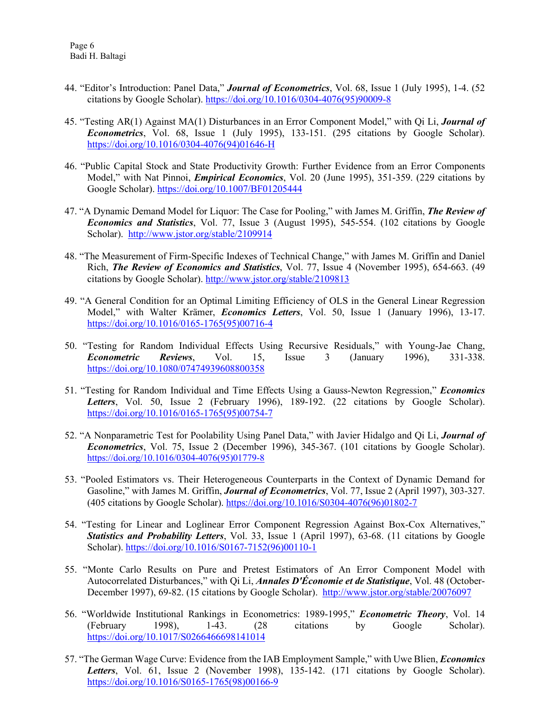- 44. "Editor's Introduction: Panel Data," *Journal of Econometrics*, Vol. 68, Issue 1 (July 1995), 1-4. (52 citations by Google Scholar). [https://doi.org/10.1016/0304-4076\(95\)90009-8](https://doi.org/10.1016/0304-4076(95)90009-8)
- 45. "Testing AR(1) Against MA(1) Disturbances in an Error Component Model," with Qi Li, *Journal of Econometrics*, Vol. 68, Issue 1 (July 1995), 133-151. (295 citations by Google Scholar). [https://doi.org/10.1016/0304-4076\(94\)01646-H](https://doi.org/10.1016/0304-4076(94)01646-H)
- 46. "Public Capital Stock and State Productivity Growth: Further Evidence from an Error Components Model," with Nat Pinnoi, *Empirical Economics*, Vol. 20 (June 1995), 351-359. (229 citations by Google Scholar). <https://doi.org/10.1007/BF01205444>
- 47. "A Dynamic Demand Model for Liquor: The Case for Pooling," with James M. Griffin, *The Review of Economics and Statistics*, Vol. 77, Issue 3 (August 1995), 545-554. (102 citations by Google Scholar). <http://www.jstor.org/stable/2109914>
- 48. "The Measurement of Firm-Specific Indexes of Technical Change," with James M. Griffin and Daniel Rich, *The Review of Economics and Statistics*, Vol. 77, Issue 4 (November 1995), 654-663. (49 citations by Google Scholar). <http://www.jstor.org/stable/2109813>
- 49. "A General Condition for an Optimal Limiting Efficiency of OLS in the General Linear Regression Model," with Walter Krämer, *Economics Letters*, Vol. 50, Issue 1 (January 1996), 13-17. [https://doi.org/10.1016/0165-1765\(95\)00716-4](https://doi.org/10.1016/0165-1765(95)00716-4)
- 50. "Testing for Random Individual Effects Using Recursive Residuals," with Young-Jae Chang, *Econometric Reviews*, Vol. 15, Issue 3 (January 1996), 331-338. <https://doi.org/10.1080/07474939608800358>
- 51. "Testing for Random Individual and Time Effects Using a Gauss-Newton Regression," *Economics Letters*, Vol. 50, Issue 2 (February 1996), 189-192. (22 citations by Google Scholar). [https://doi.org/10.1016/0165-1765\(95\)00754-7](https://doi.org/10.1016/0165-1765(95)00754-7)
- 52. "A Nonparametric Test for Poolability Using Panel Data," with Javier Hidalgo and Qi Li, *Journal of Econometrics*, Vol. 75, Issue 2 (December 1996), 345-367. (101 citations by Google Scholar). [https://doi.org/10.1016/0304-4076\(95\)01779-8](https://doi.org/10.1016/0304-4076(95)01779-8)
- 53. "Pooled Estimators vs. Their Heterogeneous Counterparts in the Context of Dynamic Demand for Gasoline," with James M. Griffin, *Journal of Econometrics*, Vol. 77, Issue 2 (April 1997), 303-327. (405 citations by Google Scholar). [https://doi.org/10.1016/S0304-4076\(96\)01802-7](https://doi.org/10.1016/S0304-4076(96)01802-7)
- 54. "Testing for Linear and Loglinear Error Component Regression Against Box-Cox Alternatives," *Statistics and Probability Letters*, Vol. 33, Issue 1 (April 1997), 63-68. (11 citations by Google Scholar). [https://doi.org/10.1016/S0167-7152\(96\)00110-1](https://doi.org/10.1016/S0167-7152(96)00110-1)
- 55. "Monte Carlo Results on Pure and Pretest Estimators of An Error Component Model with Autocorrelated Disturbances," with Qi Li, *Annales D'Économie et de Statistique*, Vol. 48 (October-December 1997), 69-82. (15 citations by Google Scholar). <http://www.jstor.org/stable/20076097>
- 56. "Worldwide Institutional Rankings in Econometrics: 1989-1995," *Econometric Theory*, Vol. 14 (February 1998), 1-43. (28 citations by Google Scholar). <https://doi.org/10.1017/S0266466698141014>
- 57. "The German Wage Curve: Evidence from the IAB Employment Sample," with Uwe Blien, *Economics Letters*, Vol. 61, Issue 2 (November 1998), 135-142. (171 citations by Google Scholar). [https://doi.org/10.1016/S0165-1765\(98\)00166-9](https://doi.org/10.1016/S0165-1765(98)00166-9)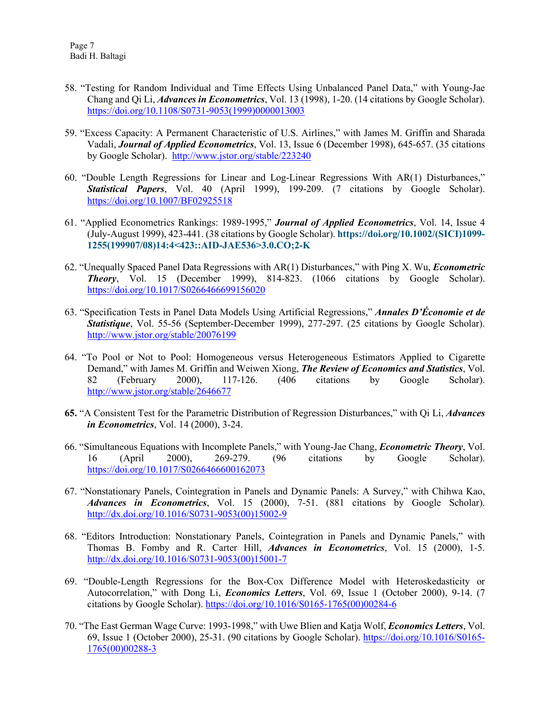- 58. "Testing for Random Individual and Time Effects Using Unbalanced Panel Data," with Young-Jae Chang and Qi Li, *Advances in Econometrics*, Vol. 13 (1998), 1-20. (14 citations by Google Scholar). [https://doi.org/10.1108/S0731-9053\(1999\)0000013003](https://doi.org/10.1108/S0731-9053(1999)0000013003)
- 59. "Excess Capacity: A Permanent Characteristic of U.S. Airlines," with James M. Griffin and Sharada Vadali, *Journal of Applied Econometrics*, Vol. 13, Issue 6 (December 1998), 645-657. (35 citations by Google Scholar). <http://www.jstor.org/stable/223240>
- 60. "Double Length Regressions for Linear and Log-Linear Regressions With AR(1) Disturbances," *Statistical Papers*, Vol. 40 (April 1999), 199-209. (7 citations by Google Scholar). <https://doi.org/10.1007/BF02925518>
- 61. "Applied Econometrics Rankings: 1989-1995," *Journal of Applied Econometrics*, Vol. 14, Issue 4 (July-August 1999), 423-441. (38 citations by Google Scholar). **[https://doi.org/10.1002/\(SICI\)1099-](https://doi.org/10.1002/(SICI)1099-1255(199907/08)14:4%3C423::AID-JAE536%3E3.0.CO;2-K) [1255\(199907/08\)14:4<423::AID-JAE536>3.0.CO;2-K](https://doi.org/10.1002/(SICI)1099-1255(199907/08)14:4%3C423::AID-JAE536%3E3.0.CO;2-K)**
- 62. "Unequally Spaced Panel Data Regressions with AR(1) Disturbances," with Ping X. Wu, *Econometric Theory*, Vol. 15 (December 1999), 814-823. (1066 citations by Google Scholar). <https://doi.org/10.1017/S0266466699156020>
- 63. "Specification Tests in Panel Data Models Using Artificial Regressions," *Annales D'Économie et de Statistique*, Vol. 55-56 (September-December 1999), 277-297. (25 citations by Google Scholar). <http://www.jstor.org/stable/20076199>
- 64. "To Pool or Not to Pool: Homogeneous versus Heterogeneous Estimators Applied to Cigarette Demand," with James M. Griffin and Weiwen Xiong, *The Review of Economics and Statistics*, Vol. 82 (February 2000), 117-126. (406 citations by Google Scholar). <http://www.jstor.org/stable/2646677>
- **65.** "A Consistent Test for the Parametric Distribution of Regression Disturbances," with Qi Li, *Advances in Econometrics*, Vol. 14 (2000), 3-24.
- 66. "Simultaneous Equations with Incomplete Panels," with Young-Jae Chang, *Econometric Theory*, Vol. 16 (April 2000), 269-279. (96 citations by Google Scholar). <https://doi.org/10.1017/S0266466600162073>
- 67. "Nonstationary Panels, Cointegration in Panels and Dynamic Panels: A Survey," with Chihwa Kao, *Advances in Econometrics*, Vol. 15 (2000), 7-51. (881 citations by Google Scholar). [http://dx.doi.org/10.1016/S0731-9053\(00\)15002-9](http://dx.doi.org/10.1016/S0731-9053(00)15002-9)
- 68. "Editors Introduction: Nonstationary Panels, Cointegration in Panels and Dynamic Panels," with Thomas B. Fomby and R. Carter Hill, *Advances in Econometrics*, Vol. 15 (2000), 1-5. [http://dx.doi.org/10.1016/S0731-9053\(00\)15001-7](http://dx.doi.org/10.1016/S0731-9053(00)15001-7)
- 69. "Double-Length Regressions for the Box-Cox Difference Model with Heteroskedasticity or Autocorrelation," with Dong Li, *Economics Letters*, Vol. 69, Issue 1 (October 2000), 9-14. (7 citations by Google Scholar). [https://doi.org/10.1016/S0165-1765\(00\)00284-6](https://doi.org/10.1016/S0165-1765(00)00284-6)
- 70. "The East German Wage Curve: 1993-1998," with Uwe Blien and Katja Wolf, *Economics Letters*, Vol. 69, Issue 1 (October 2000), 25-31. (90 citations by Google Scholar). [https://doi.org/10.1016/S0165-](https://doi.org/10.1016/S0165-1765(00)00288-3) [1765\(00\)00288-3](https://doi.org/10.1016/S0165-1765(00)00288-3)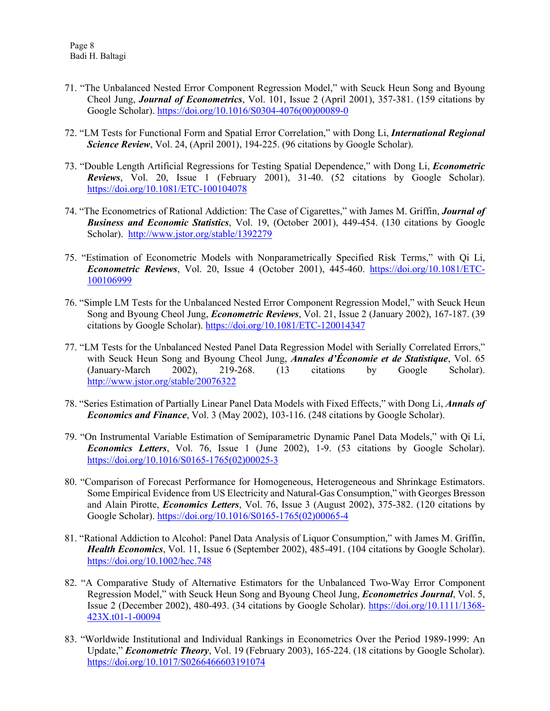- 71. "The Unbalanced Nested Error Component Regression Model," with Seuck Heun Song and Byoung Cheol Jung, *Journal of Econometrics*, Vol. 101, Issue 2 (April 2001), 357-381. (159 citations by Google Scholar). [https://doi.org/10.1016/S0304-4076\(00\)00089-0](https://doi.org/10.1016/S0304-4076(00)00089-0)
- 72. "LM Tests for Functional Form and Spatial Error Correlation," with Dong Li, *International Regional Science Review*, Vol. 24, (April 2001), 194-225. (96 citations by Google Scholar).
- 73. "Double Length Artificial Regressions for Testing Spatial Dependence," with Dong Li, *Econometric Reviews*, Vol. 20, Issue 1 (February 2001), 31-40. (52 citations by Google Scholar). <https://doi.org/10.1081/ETC-100104078>
- 74. "The Econometrics of Rational Addiction: The Case of Cigarettes," with James M. Griffin, *Journal of Business and Economic Statistics*, Vol. 19, (October 2001), 449-454. (130 citations by Google Scholar). <http://www.jstor.org/stable/1392279>
- 75. "Estimation of Econometric Models with Nonparametrically Specified Risk Terms," with Qi Li, *Econometric Reviews*, Vol. 20, Issue 4 (October 2001), 445-460. [https://doi.org/10.1081/ETC-](https://doi.org/10.1081/ETC-100106999)[100106999](https://doi.org/10.1081/ETC-100106999)
- 76. "Simple LM Tests for the Unbalanced Nested Error Component Regression Model," with Seuck Heun Song and Byoung Cheol Jung, *Econometric Reviews*, Vol. 21, Issue 2 (January 2002), 167-187. (39 citations by Google Scholar). <https://doi.org/10.1081/ETC-120014347>
- 77. "LM Tests for the Unbalanced Nested Panel Data Regression Model with Serially Correlated Errors," with Seuck Heun Song and Byoung Cheol Jung, *Annales d'Économie et de Statistique*, Vol. 65 (January-March 2002), 219-268. (13 citations by Google Scholar). <http://www.jstor.org/stable/20076322>
- 78. "Series Estimation of Partially Linear Panel Data Models with Fixed Effects," with Dong Li, *Annals of Economics and Finance*, Vol. 3 (May 2002), 103-116. (248 citations by Google Scholar).
- 79. "On Instrumental Variable Estimation of Semiparametric Dynamic Panel Data Models," with Qi Li, *Economics Letters*, Vol. 76, Issue 1 (June 2002), 1-9. (53 citations by Google Scholar). [https://doi.org/10.1016/S0165-1765\(02\)00025-3](https://doi.org/10.1016/S0165-1765(02)00025-3)
- 80. "Comparison of Forecast Performance for Homogeneous, Heterogeneous and Shrinkage Estimators. Some Empirical Evidence from US Electricity and Natural-Gas Consumption," with Georges Bresson and Alain Pirotte, *Economics Letters*, Vol. 76, Issue 3 (August 2002), 375-382. (120 citations by Google Scholar). [https://doi.org/10.1016/S0165-1765\(02\)00065-4](https://doi.org/10.1016/S0165-1765(02)00065-4)
- 81. "Rational Addiction to Alcohol: Panel Data Analysis of Liquor Consumption," with James M. Griffin, *Health Economics*, Vol. 11, Issue 6 (September 2002), 485-491. (104 citations by Google Scholar). <https://doi.org/10.1002/hec.748>
- 82. "A Comparative Study of Alternative Estimators for the Unbalanced Two-Way Error Component Regression Model," with Seuck Heun Song and Byoung Cheol Jung, *Econometrics Journal*, Vol. 5, Issue 2 (December 2002), 480-493. (34 citations by Google Scholar). [https://doi.org/10.1111/1368-](https://doi.org/10.1111/1368-423X.t01-1-00094) [423X.t01-1-00094](https://doi.org/10.1111/1368-423X.t01-1-00094)
- 83. "Worldwide Institutional and Individual Rankings in Econometrics Over the Period 1989-1999: An Update," *Econometric Theory*, Vol. 19 (February 2003), 165-224. (18 citations by Google Scholar). <https://doi.org/10.1017/S0266466603191074>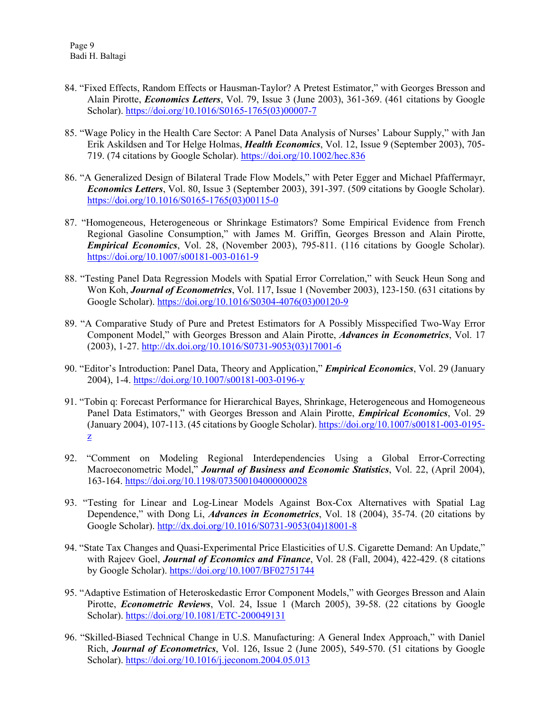- 84. "Fixed Effects, Random Effects or Hausman-Taylor? A Pretest Estimator," with Georges Bresson and Alain Pirotte, *Economics Letters*, Vol. 79, Issue 3 (June 2003), 361-369. (461 citations by Google Scholar). [https://doi.org/10.1016/S0165-1765\(03\)00007-7](https://doi.org/10.1016/S0165-1765(03)00007-7)
- 85. "Wage Policy in the Health Care Sector: A Panel Data Analysis of Nurses' Labour Supply," with Jan Erik Askildsen and Tor Helge Holmas, *Health Economics*, Vol. 12, Issue 9 (September 2003), 705- 719. (74 citations by Google Scholar). <https://doi.org/10.1002/hec.836>
- 86. "A Generalized Design of Bilateral Trade Flow Models," with Peter Egger and Michael Pfaffermayr, *Economics Letters*, Vol. 80, Issue 3 (September 2003), 391-397. (509 citations by Google Scholar). [https://doi.org/10.1016/S0165-1765\(03\)00115-0](https://doi.org/10.1016/S0165-1765(03)00115-0)
- 87. "Homogeneous, Heterogeneous or Shrinkage Estimators? Some Empirical Evidence from French Regional Gasoline Consumption," with James M. Griffin, Georges Bresson and Alain Pirotte, *Empirical Economics*, Vol. 28, (November 2003), 795-811. (116 citations by Google Scholar). <https://doi.org/10.1007/s00181-003-0161-9>
- 88. "Testing Panel Data Regression Models with Spatial Error Correlation," with Seuck Heun Song and Won Koh, *Journal of Econometrics*, Vol. 117, Issue 1 (November 2003), 123-150. (631 citations by Google Scholar). [https://doi.org/10.1016/S0304-4076\(03\)00120-9](https://doi.org/10.1016/S0304-4076(03)00120-9)
- 89. "A Comparative Study of Pure and Pretest Estimators for A Possibly Misspecified Two-Way Error Component Model," with Georges Bresson and Alain Pirotte, *Advances in Econometrics*, Vol. 17 (2003), 1-27. [http://dx.doi.org/10.1016/S0731-9053\(03\)17001-6](http://dx.doi.org/10.1016/S0731-9053(03)17001-6)
- 90. "Editor's Introduction: Panel Data, Theory and Application," *Empirical Economics*, Vol. 29 (January 2004), 1-4. <https://doi.org/10.1007/s00181-003-0196-y>
- 91. "Tobin q: Forecast Performance for Hierarchical Bayes, Shrinkage, Heterogeneous and Homogeneous Panel Data Estimators," with Georges Bresson and Alain Pirotte, *Empirical Economics*, Vol. 29 (January 2004), 107-113. (45 citations by Google Scholar). [https://doi.org/10.1007/s00181-003-0195](https://doi.org/10.1007/s00181-003-0195-z) [z](https://doi.org/10.1007/s00181-003-0195-z)
- 92. "Comment on Modeling Regional Interdependencies Using a Global Error-Correcting Macroeconometric Model," *Journal of Business and Economic Statistics*, Vol. 22, (April 2004), 163-164. <https://doi.org/10.1198/073500104000000028>
- 93. "Testing for Linear and Log-Linear Models Against Box-Cox Alternatives with Spatial Lag Dependence," with Dong Li, *Advances in Econometrics*, Vol. 18 (2004), 35-74. (20 citations by Google Scholar). [http://dx.doi.org/10.1016/S0731-9053\(04\)18001-8](http://dx.doi.org/10.1016/S0731-9053(04)18001-8)
- 94. "State Tax Changes and Quasi-Experimental Price Elasticities of U.S. Cigarette Demand: An Update," with Rajeev Goel, *Journal of Economics and Finance*, Vol. 28 (Fall, 2004), 422-429. (8 citations by Google Scholar). <https://doi.org/10.1007/BF02751744>
- 95. "Adaptive Estimation of Heteroskedastic Error Component Models," with Georges Bresson and Alain Pirotte, *Econometric Reviews*, Vol. 24, Issue 1 (March 2005), 39-58. (22 citations by Google Scholar). <https://doi.org/10.1081/ETC-200049131>
- 96. "Skilled-Biased Technical Change in U.S. Manufacturing: A General Index Approach," with Daniel Rich, *Journal of Econometrics*, Vol. 126, Issue 2 (June 2005), 549-570. (51 citations by Google Scholar). <https://doi.org/10.1016/j.jeconom.2004.05.013>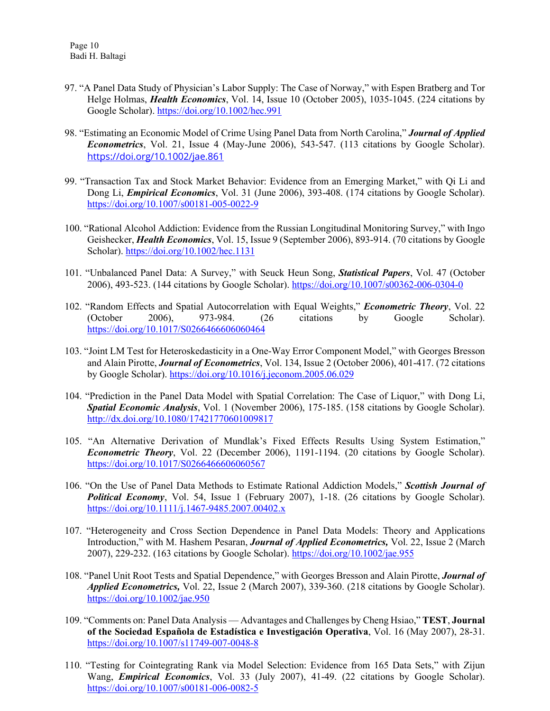- 97. "A Panel Data Study of Physician's Labor Supply: The Case of Norway," with Espen Bratberg and Tor Helge Holmas, *Health Economics*, Vol. 14, Issue 10 (October 2005), 1035-1045. (224 citations by Google Scholar). <https://doi.org/10.1002/hec.991>
- 98. "Estimating an Economic Model of Crime Using Panel Data from North Carolina," *Journal of Applied Econometrics*, Vol. 21, Issue 4 (May-June 2006), 543-547. (113 citations by Google Scholar). <https://doi.org/10.1002/jae.861>
- 99. "Transaction Tax and Stock Market Behavior: Evidence from an Emerging Market," with Qi Li and Dong Li, *Empirical Economics*, Vol. 31 (June 2006), 393-408. (174 citations by Google Scholar). <https://doi.org/10.1007/s00181-005-0022-9>
- 100. "Rational Alcohol Addiction: Evidence from the Russian Longitudinal Monitoring Survey," with Ingo Geishecker, *Health Economics*, Vol. 15, Issue 9 (September 2006), 893-914. (70 citations by Google Scholar). <https://doi.org/10.1002/hec.1131>
- 101. "Unbalanced Panel Data: A Survey," with Seuck Heun Song, *Statistical Papers*, Vol. 47 (October 2006), 493-523. (144 citations by Google Scholar). <https://doi.org/10.1007/s00362-006-0304-0>
- 102. "Random Effects and Spatial Autocorrelation with Equal Weights," *Econometric Theory*, Vol. 22 (October 2006), 973-984. (26 citations by Google Scholar). <https://doi.org/10.1017/S0266466606060464>
- 103. "Joint LM Test for Heteroskedasticity in a One-Way Error Component Model," with Georges Bresson and Alain Pirotte, *Journal of Econometrics*, Vol. 134, Issue 2 (October 2006), 401-417. (72 citations by Google Scholar). <https://doi.org/10.1016/j.jeconom.2005.06.029>
- 104. "Prediction in the Panel Data Model with Spatial Correlation: The Case of Liquor," with Dong Li, *Spatial Economic Analysis*, Vol. 1 (November 2006), 175-185. (158 citations by Google Scholar). <http://dx.doi.org/10.1080/17421770601009817>
- 105. "An Alternative Derivation of Mundlak's Fixed Effects Results Using System Estimation," *Econometric Theory*, Vol. 22 (December 2006), 1191-1194. (20 citations by Google Scholar). <https://doi.org/10.1017/S0266466606060567>
- 106. "On the Use of Panel Data Methods to Estimate Rational Addiction Models," *Scottish Journal of Political Economy*, Vol. 54, Issue 1 (February 2007), 1-18. (26 citations by Google Scholar). <https://doi.org/10.1111/j.1467-9485.2007.00402.x>
- 107. "Heterogeneity and Cross Section Dependence in Panel Data Models: Theory and Applications Introduction," with M. Hashem Pesaran, *Journal of Applied Econometrics,* Vol. 22, Issue 2 (March 2007), 229-232. (163 citations by Google Scholar). <https://doi.org/10.1002/jae.955>
- 108. "Panel Unit Root Tests and Spatial Dependence," with Georges Bresson and Alain Pirotte, *Journal of Applied Econometrics,* Vol. 22, Issue 2 (March 2007), 339-360. (218 citations by Google Scholar). <https://doi.org/10.1002/jae.950>
- 109. "Comments on: Panel Data Analysis Advantages and Challenges by Cheng Hsiao," **TEST**, **Journal of the Sociedad Española de Estadística e Investigación Operativa**, Vol. 16 (May 2007), 28-31. <https://doi.org/10.1007/s11749-007-0048-8>
- 110. "Testing for Cointegrating Rank via Model Selection: Evidence from 165 Data Sets," with Zijun Wang, *Empirical Economics*, Vol. 33 (July 2007), 41-49. (22 citations by Google Scholar). <https://doi.org/10.1007/s00181-006-0082-5>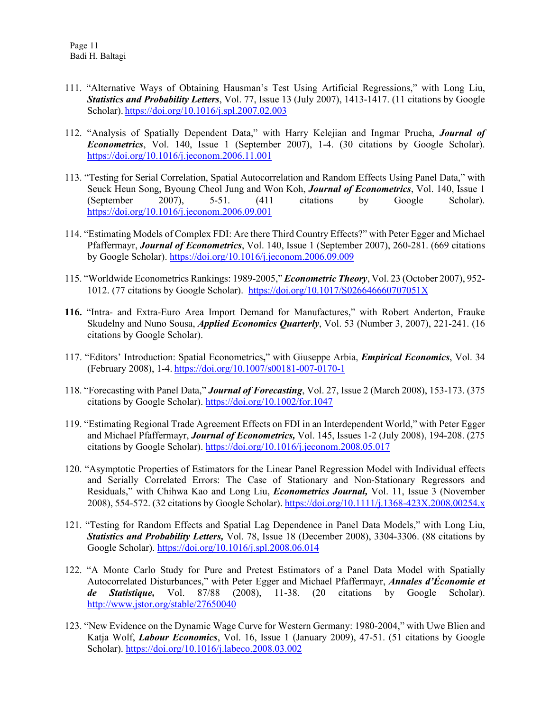- 111. "Alternative Ways of Obtaining Hausman's Test Using Artificial Regressions," with Long Liu, *Statistics and Probability Letters*, Vol. 77, Issue 13 (July 2007), 1413-1417. (11 citations by Google Scholar). <https://doi.org/10.1016/j.spl.2007.02.003>
- 112. "Analysis of Spatially Dependent Data," with Harry Kelejian and Ingmar Prucha, *Journal of Econometrics*, Vol. 140, Issue 1 (September 2007), 1-4. (30 citations by Google Scholar). <https://doi.org/10.1016/j.jeconom.2006.11.001>
- 113. "Testing for Serial Correlation, Spatial Autocorrelation and Random Effects Using Panel Data," with Seuck Heun Song, Byoung Cheol Jung and Won Koh, *Journal of Econometrics*, Vol. 140, Issue 1 (September 2007), 5-51. (411 citations by Google Scholar). <https://doi.org/10.1016/j.jeconom.2006.09.001>
- 114. "Estimating Models of Complex FDI: Are there Third Country Effects?" with Peter Egger and Michael Pfaffermayr, *Journal of Econometrics*, Vol. 140, Issue 1 (September 2007), 260-281. (669 citations by Google Scholar). <https://doi.org/10.1016/j.jeconom.2006.09.009>
- 115. "Worldwide Econometrics Rankings: 1989-2005," *Econometric Theory*, Vol. 23 (October 2007), 952- 1012. (77 citations by Google Scholar). <https://doi.org/10.1017/S026646660707051X>
- **116.** "Intra- and Extra-Euro Area Import Demand for Manufactures," with Robert Anderton, Frauke Skudelny and Nuno Sousa, *Applied Economics Quarterly*, Vol. 53 (Number 3, 2007), 221-241. (16 citations by Google Scholar).
- 117. "Editors' Introduction: Spatial Econometrics**,**" with Giuseppe Arbia, *Empirical Economics*, Vol. 34 (February 2008), 1-4. <https://doi.org/10.1007/s00181-007-0170-1>
- 118. "Forecasting with Panel Data," *Journal of Forecasting*, Vol. 27, Issue 2 (March 2008), 153-173. (375 citations by Google Scholar). <https://doi.org/10.1002/for.1047>
- 119. "Estimating Regional Trade Agreement Effects on FDI in an Interdependent World," with Peter Egger and Michael Pfaffermayr, *Journal of Econometrics,* Vol. 145, Issues 1-2 (July 2008), 194-208. (275 citations by Google Scholar). <https://doi.org/10.1016/j.jeconom.2008.05.017>
- 120. "Asymptotic Properties of Estimators for the Linear Panel Regression Model with Individual effects and Serially Correlated Errors: The Case of Stationary and Non-Stationary Regressors and Residuals," with Chihwa Kao and Long Liu, *Econometrics Journal,* Vol. 11, Issue 3 (November 2008), 554-572. (32 citations by Google Scholar). <https://doi.org/10.1111/j.1368-423X.2008.00254.x>
- 121. "Testing for Random Effects and Spatial Lag Dependence in Panel Data Models," with Long Liu, *Statistics and Probability Letters,* Vol. 78, Issue 18 (December 2008), 3304-3306. (88 citations by Google Scholar). <https://doi.org/10.1016/j.spl.2008.06.014>
- 122. "A Monte Carlo Study for Pure and Pretest Estimators of a Panel Data Model with Spatially Autocorrelated Disturbances," with Peter Egger and Michael Pfaffermayr, *Annales d'Économie et de Statistique,* Vol. 87/88 (2008), 11-38. (20 citations by Google Scholar). <http://www.jstor.org/stable/27650040>
- 123. "New Evidence on the Dynamic Wage Curve for Western Germany: 1980-2004," with Uwe Blien and Katja Wolf, *Labour Economics*, Vol. 16, Issue 1 (January 2009), 47-51. (51 citations by Google Scholar). <https://doi.org/10.1016/j.labeco.2008.03.002>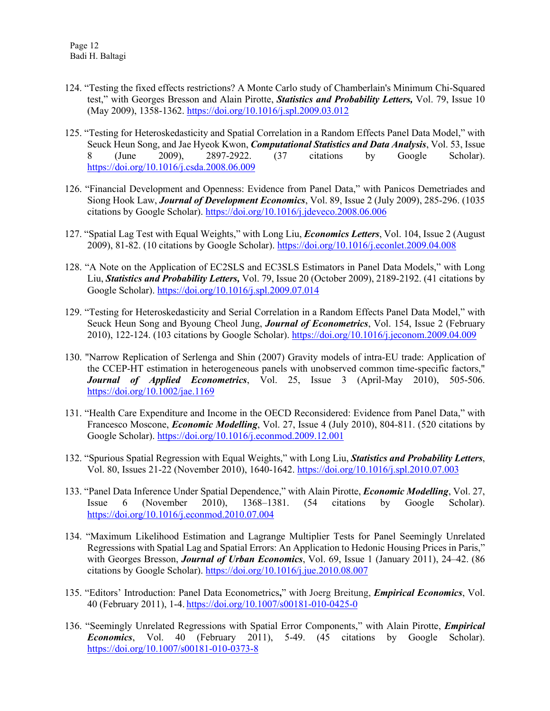- 124. "Testing the fixed effects restrictions? A Monte Carlo study of Chamberlain's Minimum Chi-Squared test," with Georges Bresson and Alain Pirotte, *Statistics and Probability Letters,* Vol. 79, Issue 10 (May 2009), 1358-1362. <https://doi.org/10.1016/j.spl.2009.03.012>
- 125. "Testing for Heteroskedasticity and Spatial Correlation in a Random Effects Panel Data Model," with Seuck Heun Song, and Jae Hyeok Kwon, *Computational Statistics and Data Analysis*, Vol. 53, Issue 8 (June 2009), 2897-2922. (37 citations by Google Scholar). <https://doi.org/10.1016/j.csda.2008.06.009>
- 126. "Financial Development and Openness: Evidence from Panel Data," with Panicos Demetriades and Siong Hook Law, *Journal of Development Economics*, Vol. 89, Issue 2 (July 2009), 285-296. (1035 citations by Google Scholar). <https://doi.org/10.1016/j.jdeveco.2008.06.006>
- 127. "Spatial Lag Test with Equal Weights," with Long Liu, *Economics Letters*, Vol. 104, Issue 2 (August 2009), 81-82. (10 citations by Google Scholar). <https://doi.org/10.1016/j.econlet.2009.04.008>
- 128. "A Note on the Application of EC2SLS and EC3SLS Estimators in Panel Data Models," with Long Liu, *Statistics and Probability Letters,* Vol. 79, Issue 20 (October 2009), 2189-2192. (41 citations by Google Scholar). <https://doi.org/10.1016/j.spl.2009.07.014>
- 129. "Testing for Heteroskedasticity and Serial Correlation in a Random Effects Panel Data Model," with Seuck Heun Song and Byoung Cheol Jung, *Journal of Econometrics*, Vol. 154, Issue 2 (February 2010), 122-124. (103 citations by Google Scholar). <https://doi.org/10.1016/j.jeconom.2009.04.009>
- 130. "Narrow Replication of Serlenga and Shin (2007) Gravity models of intra-EU trade: Application of the CCEP-HT estimation in heterogeneous panels with unobserved common time-specific factors," *Journal of Applied Econometrics*, Vol. 25, Issue 3 (April-May 2010), 505-506. <https://doi.org/10.1002/jae.1169>
- 131. "Health Care Expenditure and Income in the OECD Reconsidered: Evidence from Panel Data," with Francesco Moscone, *Economic Modelling*, Vol. 27, Issue 4 (July 2010), 804-811. (520 citations by Google Scholar). <https://doi.org/10.1016/j.econmod.2009.12.001>
- 132. "Spurious Spatial Regression with Equal Weights," with Long Liu, *Statistics and Probability Letters*, Vol. 80, Issues 21-22 (November 2010), 1640-1642. <https://doi.org/10.1016/j.spl.2010.07.003>
- 133. "Panel Data Inference Under Spatial Dependence," with Alain Pirotte, *Economic Modelling*, Vol. 27, Issue 6 (November 2010), 1368–1381. (54 citations by Google Scholar). <https://doi.org/10.1016/j.econmod.2010.07.004>
- 134. "Maximum Likelihood Estimation and Lagrange Multiplier Tests for Panel Seemingly Unrelated Regressions with Spatial Lag and Spatial Errors: An Application to Hedonic Housing Prices in Paris," with Georges Bresson, *Journal of Urban Economics*, Vol. 69, Issue 1 (January 2011), 24–42. (86 citations by Google Scholar). <https://doi.org/10.1016/j.jue.2010.08.007>
- 135. "Editors' Introduction: Panel Data Econometrics**,**" with Joerg Breitung, *Empirical Economics*, Vol. 40 (February 2011), 1-4. <https://doi.org/10.1007/s00181-010-0425-0>
- 136. "Seemingly Unrelated Regressions with Spatial Error Components," with Alain Pirotte, *Empirical Economics*, Vol. 40 (February 2011), 5-49. (45 citations by Google Scholar). <https://doi.org/10.1007/s00181-010-0373-8>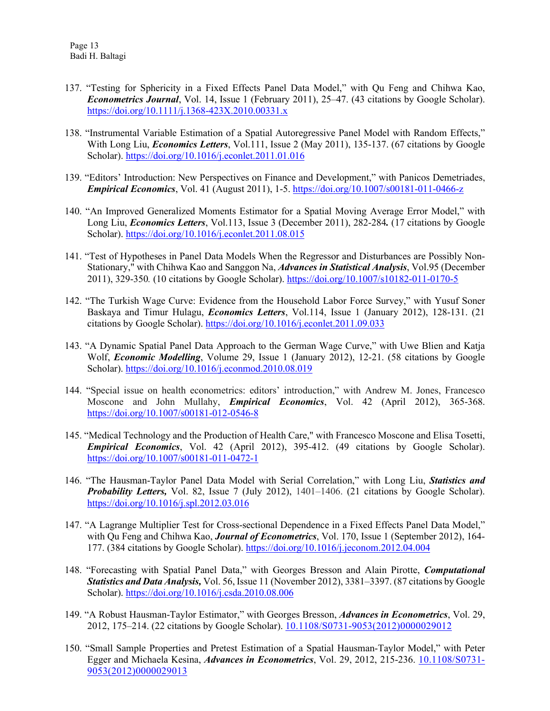- 137. "Testing for Sphericity in a Fixed Effects Panel Data Model," with Qu Feng and Chihwa Kao, *Econometrics Journal*, Vol. 14, Issue 1 (February 2011), 25–47. (43 citations by Google Scholar). <https://doi.org/10.1111/j.1368-423X.2010.00331.x>
- 138. "Instrumental Variable Estimation of a Spatial Autoregressive Panel Model with Random Effects," With Long Liu, *Economics Letters*, Vol.111, Issue 2 (May 2011), 135-137. (67 citations by Google Scholar). <https://doi.org/10.1016/j.econlet.2011.01.016>
- 139. "Editors' Introduction: New Perspectives on Finance and Development," with Panicos Demetriades, *Empirical Economics*, Vol. 41 (August 2011), 1-5. <https://doi.org/10.1007/s00181-011-0466-z>
- 140. "An Improved Generalized Moments Estimator for a Spatial Moving Average Error Model," with Long Liu, *Economics Letters*, Vol.113, Issue 3 (December 2011), 282-284*.* (17 citations by Google Scholar). <https://doi.org/10.1016/j.econlet.2011.08.015>
- 141. "Test of Hypotheses in Panel Data Models When the Regressor and Disturbances are Possibly Non-Stationary," with Chihwa Kao and Sanggon Na, *Advances in Statistical Analysis*, Vol.95 (December 2011), 329-350*.* (10 citations by Google Scholar). <https://doi.org/10.1007/s10182-011-0170-5>
- 142. "The Turkish Wage Curve: Evidence from the Household Labor Force Survey," with Yusuf Soner Baskaya and Timur Hulagu, *Economics Letters*, Vol.114, Issue 1 (January 2012), 128-131. (21 citations by Google Scholar). <https://doi.org/10.1016/j.econlet.2011.09.033>
- 143. "A Dynamic Spatial Panel Data Approach to the German Wage Curve," with Uwe Blien and Katja Wolf, *Economic Modelling*, Volume 29, Issue 1 (January 2012), 12-21. (58 citations by Google Scholar). <https://doi.org/10.1016/j.econmod.2010.08.019>
- 144. "Special issue on health econometrics: editors' introduction," with Andrew M. Jones, Francesco Moscone and John Mullahy, *Empirical Economics*, Vol. 42 (April 2012), 365-368. <https://doi.org/10.1007/s00181-012-0546-8>
- 145. "Medical Technology and the Production of Health Care," with Francesco Moscone and Elisa Tosetti, *Empirical Economics*, Vol. 42 (April 2012), 395-412. (49 citations by Google Scholar). <https://doi.org/10.1007/s00181-011-0472-1>
- 146. "The Hausman-Taylor Panel Data Model with Serial Correlation," with Long Liu, *Statistics and Probability Letters,* Vol. 82, Issue 7 (July 2012), 1401–1406. (21 citations by Google Scholar). <https://doi.org/10.1016/j.spl.2012.03.016>
- 147. "A Lagrange Multiplier Test for Cross-sectional Dependence in a Fixed Effects Panel Data Model," with Qu Feng and Chihwa Kao, *Journal of Econometrics*, Vol. 170, Issue 1 (September 2012), 164- 177. (384 citations by Google Scholar). <https://doi.org/10.1016/j.jeconom.2012.04.004>
- 148. "Forecasting with Spatial Panel Data," with Georges Bresson and Alain Pirotte, *Computational Statistics and Data Analysis,* Vol. 56, Issue 11 (November 2012), 3381–3397. (87 citations by Google Scholar). <https://doi.org/10.1016/j.csda.2010.08.006>
- 149. "A Robust Hausman-Taylor Estimator," with Georges Bresson, *Advances in Econometrics*, Vol. 29, 2012, 175–214. (22 citations by Google Scholar). [10.1108/S0731-9053\(2012\)0000029012](http://dx.doi.org/10.1108/S0731-9053(2012)0000029012)
- 150. "Small Sample Properties and Pretest Estimation of a Spatial Hausman-Taylor Model," with Peter Egger and Michaela Kesina, *Advances in Econometrics*, Vol. 29, 2012, 215-236. [10.1108/S0731-](http://dx.doi.org/10.1108/S0731-9053(2012)0000029013) [9053\(2012\)0000029013](http://dx.doi.org/10.1108/S0731-9053(2012)0000029013)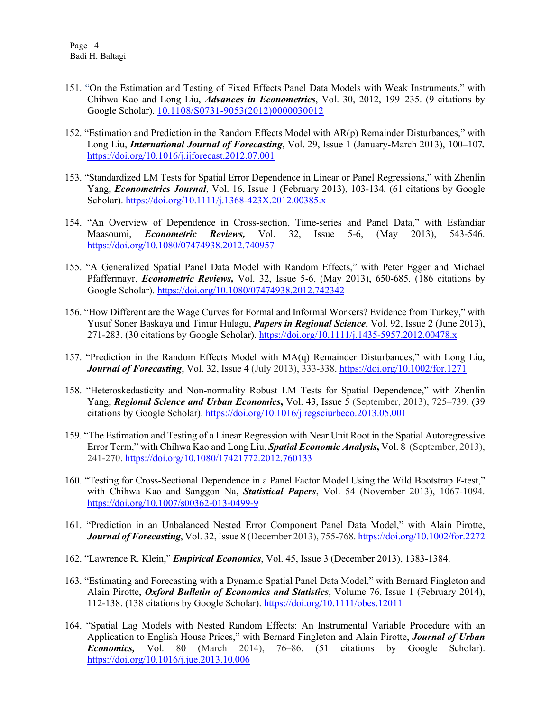- 151. "On the Estimation and Testing of Fixed Effects Panel Data Models with Weak Instruments," with Chihwa Kao and Long Liu, *Advances in Econometrics*, Vol. 30, 2012, 199–235. (9 citations by Google Scholar). [10.1108/S0731-9053\(2012\)0000030012](http://dx.doi.org/10.1108/S0731-9053(2012)0000030012)
- 152. "Estimation and Prediction in the Random Effects Model with AR(p) Remainder Disturbances," with Long Liu, *International Journal of Forecasting*, Vol. 29, Issue 1 (January-March 2013), 100–107*.* <https://doi.org/10.1016/j.ijforecast.2012.07.001>
- 153. "Standardized LM Tests for Spatial Error Dependence in Linear or Panel Regressions," with Zhenlin Yang, *Econometrics Journal*, Vol. 16, Issue 1 (February 2013), 103-134*.* (61 citations by Google Scholar). <https://doi.org/10.1111/j.1368-423X.2012.00385.x>
- 154. "An Overview of Dependence in Cross-section, Time-series and Panel Data," with Esfandiar Maasoumi, *Econometric Reviews,* Vol. 32, Issue 5-6, (May 2013), 543-546. <https://doi.org/10.1080/07474938.2012.740957>
- 155. "A Generalized Spatial Panel Data Model with Random Effects," with Peter Egger and Michael Pfaffermayr, *Econometric Reviews,* Vol. 32, Issue 5-6, (May 2013), 650-685. (186 citations by Google Scholar). <https://doi.org/10.1080/07474938.2012.742342>
- 156. "How Different are the Wage Curves for Formal and Informal Workers? Evidence from Turkey," with Yusuf Soner Baskaya and Timur Hulagu, *Papers in Regional Science*, Vol. 92, Issue 2 (June 2013), 271-283. (30 citations by Google Scholar). <https://doi.org/10.1111/j.1435-5957.2012.00478.x>
- 157. "Prediction in the Random Effects Model with MA(q) Remainder Disturbances," with Long Liu, *Journal of Forecasting*, Vol. 32, Issue 4 (July 2013), 333-338. <https://doi.org/10.1002/for.1271>
- 158. "Heteroskedasticity and Non-normality Robust LM Tests for Spatial Dependence," with Zhenlin Yang, *Regional Science and Urban Economics***,** [Vol. 43,](http://www.sciencedirect.com/science/journal/01660462/43/5) Issue 5 (September, 2013), 725–739. (39 citations by Google Scholar). <https://doi.org/10.1016/j.regsciurbeco.2013.05.001>
- 159. "The Estimation and Testing of a Linear Regression with Near Unit Root in the Spatial Autoregressive Error Term," with Chihwa Kao and Long Liu, *Spatial Economic Analysis***,** [Vol. 8](http://www.sciencedirect.com/science/journal/01660462/43/5) (September, 2013), 241-270. <https://doi.org/10.1080/17421772.2012.760133>
- 160. "Testing for Cross-Sectional Dependence in a Panel Factor Model Using the Wild Bootstrap F-test," with Chihwa Kao and Sanggon Na, *Statistical Papers*, Vol. 54 (November 2013), 1067-1094. <https://doi.org/10.1007/s00362-013-0499-9>
- 161. "Prediction in an Unbalanced Nested Error Component Panel Data Model," with Alain Pirotte, *Journal of Forecasting*, Vol. 32, Issue 8 (December 2013), 755-768. <https://doi.org/10.1002/for.2272>
- 162. "Lawrence R. Klein," *Empirical Economics*, Vol. 45, Issue 3 (December 2013), 1383-1384.
- 163. "Estimating and Forecasting with a Dynamic Spatial Panel Data Model," with Bernard Fingleton and Alain Pirotte, *Oxford Bulletin of Economics and Statistics*, Volume 76, Issue 1 (February 2014), 112-138. (138 citations by Google Scholar). <https://doi.org/10.1111/obes.12011>
- 164. "Spatial Lag Models with Nested Random Effects: An Instrumental Variable Procedure with an Application to English House Prices," with Bernard Fingleton and Alain Pirotte, *Journal of Urban Economics,* Vol. 80 (March 2014), 76–86. (51 citations by Google Scholar). <https://doi.org/10.1016/j.jue.2013.10.006>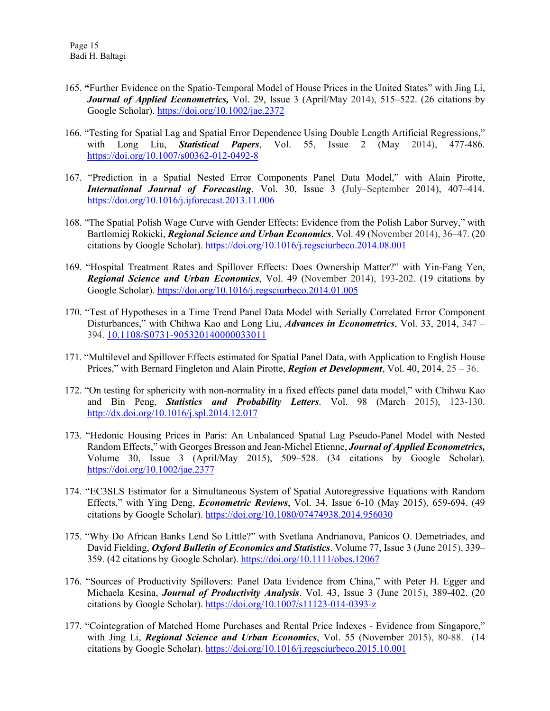- 165. **"**Further Evidence on the Spatio-Temporal Model of House Prices in the United States" with Jing Li, *Journal of Applied Econometrics,* Vol. 29, Issue 3 (April/May 2014), 515–522. (26 citations by Google Scholar). <https://doi.org/10.1002/jae.2372>
- 166. "Testing for Spatial Lag and Spatial Error Dependence Using Double Length Artificial Regressions," with Long Liu, *Statistical Papers*, Vol. 55, Issue 2 (May 2014), 477-486. <https://doi.org/10.1007/s00362-012-0492-8>
- 167. "Prediction in a Spatial Nested Error Components Panel Data Model," with Alain Pirotte, *International Journal of Forecasting*, Vol. 30, Issue 3 (July–September 2014), 407–414. <https://doi.org/10.1016/j.ijforecast.2013.11.006>
- 168. "The Spatial Polish Wage Curve with Gender Effects: Evidence from the Polish Labor Survey," with Bartlomiej Rokicki, *Regional Science and Urban Economics*, Vol. 49 (November 2014), 36–47. (20 citations by Google Scholar). <https://doi.org/10.1016/j.regsciurbeco.2014.08.001>
- 169. "Hospital Treatment Rates and Spillover Effects: Does Ownership Matter?" with Yin-Fang Yen, *Regional Science and Urban Economics*, Vol. 49 (November 2014), 193-202. (19 citations by Google Scholar). <https://doi.org/10.1016/j.regsciurbeco.2014.01.005>
- 170. "Test of Hypotheses in a Time Trend Panel Data Model with Serially Correlated Error Component Disturbances," with Chihwa Kao and Long Liu, *Advances in Econometrics*, Vol. 33, 2014, 347 – 394. [10.1108/S0731-905320140000033011](http://dx.doi.org/10.1108/S0731-905320140000033011)
- 171. "Multilevel and Spillover Effects estimated for Spatial Panel Data, with Application to English House Prices," with Bernard Fingleton and Alain Pirotte, *Region et Development*, Vol. 40, 2014, 25 – 36.
- 172. "On testing for sphericity with non-normality in a fixed effects panel data model," with Chihwa Kao and Bin Peng, *Statistics and Probability Letters*. Vol. 98 (March 2015), 123-130. <http://dx.doi.org/10.1016/j.spl.2014.12.017>
- 173. "Hedonic Housing Prices in Paris: An Unbalanced Spatial Lag Pseudo-Panel Model with Nested Random Effects," with Georges Bresson and Jean-Michel Etienne, *Journal of Applied Econometrics,* Volume 30, Issue 3 (April/May 2015), 509–528. (34 citations by Google Scholar). <https://doi.org/10.1002/jae.2377>
- 174. "EC3SLS Estimator for a Simultaneous System of Spatial Autoregressive Equations with Random Effects," with Ying Deng, *Econometric Reviews*, Vol. 34, Issue 6-10 (May 2015), 659-694. (49 citations by Google Scholar). <https://doi.org/10.1080/07474938.2014.956030>
- 175. "Why Do African Banks Lend So Little?" with Svetlana Andrianova, Panicos O. Demetriades, and David Fielding, *Oxford Bulletin of Economics and Statistics*. Volume 77, Issue 3 (June 2015), 339– 359. (42 citations by Google Scholar).<https://doi.org/10.1111/obes.12067>
- 176. "Sources of Productivity Spillovers: Panel Data Evidence from China," with Peter H. Egger and Michaela Kesina, *Journal of Productivity Analysis*. Vol. 43, Issue 3 (June 2015), 389-402. (20 citations by Google Scholar). <https://doi.org/10.1007/s11123-014-0393-z>
- 177. "Cointegration of Matched Home Purchases and Rental Price Indexes Evidence from Singapore," with Jing Li, *Regional Science and Urban Economics*, Vol. 55 (November 2015), 80-88. (14 citations by Google Scholar). <https://doi.org/10.1016/j.regsciurbeco.2015.10.001>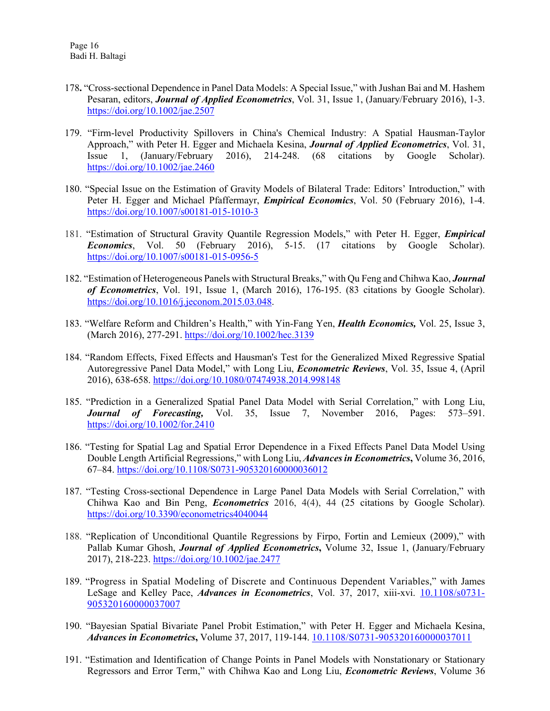- 178**.** "Cross-sectional Dependence in Panel Data Models: A Special Issue," with Jushan Bai and M. Hashem Pesaran, editors, *Journal of Applied Econometrics*, Vol. 31, Issue 1, (January/February 2016), 1-3. <https://doi.org/10.1002/jae.2507>
- 179. "Firm-level Productivity Spillovers in China's Chemical Industry: A Spatial Hausman-Taylor Approach," with Peter H. Egger and Michaela Kesina, *Journal of Applied Econometrics*, Vol. 31, Issue 1, (January/February 2016), 214-248. (68 citations by Google Scholar). <https://doi.org/10.1002/jae.2460>
- 180. "Special Issue on the Estimation of Gravity Models of Bilateral Trade: Editors' Introduction," with Peter H. Egger and Michael Pfaffermayr, *Empirical Economics*, Vol. 50 (February 2016), 1-4. <https://doi.org/10.1007/s00181-015-1010-3>
- 181. "Estimation of Structural Gravity Quantile Regression Models," with Peter H. Egger, *Empirical Economics*, Vol. 50 (February 2016), 5-15. (17 citations by Google Scholar). <https://doi.org/10.1007/s00181-015-0956-5>
- 182. "Estimation of Heterogeneous Panels with Structural Breaks," with Qu Feng and Chihwa Kao, *Journal of Econometrics*, Vol. 191, Issue 1, (March 2016), 176-195. (83 citations by Google Scholar). [https://doi.org/10.1016/j.jeconom.2015.03.048.](https://doi.org/10.1016/j.jeconom.2015.03.048)
- 183. "Welfare Reform and Children's Health," with Yin-Fang Yen, *Health Economics,* Vol. 25, Issue 3, (March 2016), 277-291. <https://doi.org/10.1002/hec.3139>
- 184. "Random Effects, Fixed Effects and Hausman's Test for the Generalized Mixed Regressive Spatial Autoregressive Panel Data Model," with Long Liu, *Econometric Reviews*, Vol. 35, Issue 4, (April 2016), 638-658. <https://doi.org/10.1080/07474938.2014.998148>
- 185. "Prediction in a Generalized Spatial Panel Data Model with Serial Correlation," with Long Liu, *Journal of Forecasting,* Vol. 35, Issue 7, November 2016, Pages: 573–591. <https://doi.org/10.1002/for.2410>
- 186. "Testing for Spatial Lag and Spatial Error Dependence in a Fixed Effects Panel Data Model Using Double Length Artificial Regressions," with Long Liu, *Advances in Econometrics***,** Volume 36, 2016, 67–84. <https://doi.org/10.1108/S0731-905320160000036012>
- 187. "Testing Cross-sectional Dependence in Large Panel Data Models with Serial Correlation," with Chihwa Kao and Bin Peng, *Econometrics* 2016, 4(4), 44 (25 citations by Google Scholar). <https://doi.org/10.3390/econometrics4040044>
- 188. "Replication of Unconditional Quantile Regressions by Firpo, Fortin and Lemieux (2009)," with Pallab Kumar Ghosh, *Journal of Applied Econometrics***,** Volume 32, Issue 1, (January/February 2017), 218-223.<https://doi.org/10.1002/jae.2477>
- 189. "Progress in Spatial Modeling of Discrete and Continuous Dependent Variables," with James LeSage and Kelley Pace, *Advances in Econometrics*, Vol. 37, 2017, xiii-xvi. [10.1108/s0731-](http://dx.doi.org/10.1108/s0731-905320160000037007) [905320160000037007](http://dx.doi.org/10.1108/s0731-905320160000037007)
- 190. "Bayesian Spatial Bivariate Panel Probit Estimation," with Peter H. Egger and Michaela Kesina, *Advances in Econometrics***,** Volume 37, 2017, 119-144. [10.1108/S0731-905320160000037011](http://dx.doi.org/10.1108/S0731-905320160000037011)
- 191. "Estimation and Identification of Change Points in Panel Models with Nonstationary or Stationary Regressors and Error Term," with Chihwa Kao and Long Liu, *Econometric Reviews*, Volume 36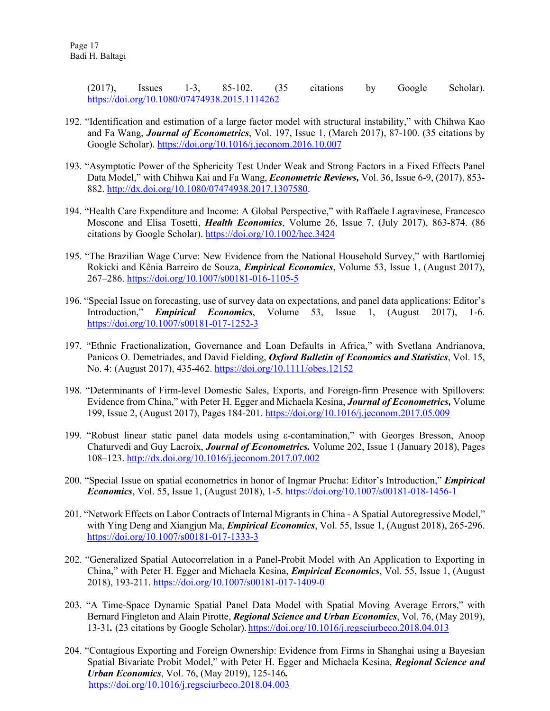(2017), Issues 1-3, 85-102. (35 citations by Google Scholar). <https://doi.org/10.1080/07474938.2015.1114262>

- 192. "Identification and estimation of a large factor model with structural instability," with Chihwa Kao and Fa Wang, *Journal of Econometrics*, Vol. 197, Issue 1, (March 2017), 87-100. (35 citations by Google Scholar). <https://doi.org/10.1016/j.jeconom.2016.10.007>
- 193. "Asymptotic Power of the Sphericity Test Under Weak and Strong Factors in a Fixed Effects Panel Data Model," with Chihwa Kai and Fa Wang, *Econometric Reviews,* Vol. 36, Issue 6-9, (2017), 853- 882. [http://dx.doi.org/10.1080/07474938.2017.1307580.](http://dx.doi.org/10.1080/07474938.2017.1307580)
- 194. "Health Care Expenditure and Income: A Global Perspective," with Raffaele Lagravinese, Francesco Moscone and Elisa Tosetti, *Health Economics*, Volume 26, Issue 7, (July 2017), 863-874. (86 citations by Google Scholar). <https://doi.org/10.1002/hec.3424>
- 195. "The Brazilian Wage Curve: New Evidence from the National Household Survey," with Bartlomiej Rokicki and Kênia Barreiro de Souza, *Empirical Economics*, Volume 53, Issue 1, (August 2017), 267–286. <https://doi.org/10.1007/s00181-016-1105-5>
- 196. "Special Issue on forecasting, use of survey data on expectations, and panel data applications: Editor's Introduction," *Empirical Economics*, Volume 53, Issue 1, (August 2017), 1-6. <https://doi.org/10.1007/s00181-017-1252-3>
- 197. "Ethnic Fractionalization, Governance and Loan Defaults in Africa," with Svetlana Andrianova, Panicos O. Demetriades, and David Fielding, *Oxford Bulletin of Economics and Statistics*, Vol. 15, No. 4: (August 2017), 435-462. <https://doi.org/10.1111/obes.12152>
- 198. "Determinants of Firm-level Domestic Sales, Exports, and Foreign-firm Presence with Spillovers: Evidence from China," with Peter H. Egger and Michaela Kesina, *Journal of Econometrics,* Volume 199, Issue 2, (August 2017), Pages 184-201.<https://doi.org/10.1016/j.jeconom.2017.05.009>
- 199. "Robust linear static panel data models using ε-contamination," with Georges Bresson, Anoop Chaturvedi and Guy Lacroix, *Journal of Econometrics.* Volume 202, Issue 1 (January 2018), Pages 108–123. <http://dx.doi.org/10.1016/j.jeconom.2017.07.002>
- 200. "Special Issue on spatial econometrics in honor of Ingmar Prucha: Editor's Introduction," *Empirical Economics*, Vol. 55, Issue 1, (August 2018), 1-5.<https://doi.org/10.1007/s00181-018-1456-1>
- 201. "Network Effects on Labor Contracts of Internal Migrants in China A Spatial Autoregressive Model," with Ying Deng and Xiangjun Ma, *Empirical Economics*, Vol. 55, Issue 1, (August 2018), 265-296. <https://doi.org/10.1007/s00181-017-1333-3>
- 202. "Generalized Spatial Autocorrelation in a Panel-Probit Model with An Application to Exporting in China," with Peter H. Egger and Michaela Kesina, *Empirical Economics*, Vol. 55, Issue 1, (August 2018), 193-211. <https://doi.org/10.1007/s00181-017-1409-0>
- 203. "A Time-Space Dynamic Spatial Panel Data Model with Spatial Moving Average Errors," with Bernard Fingleton and Alain Pirotte, *Regional Science and Urban Economics*, Vol. 76, (May 2019), 13-31*.* (23 citations by Google Scholar). <https://doi.org/10.1016/j.regsciurbeco.2018.04.013>
- 204. "Contagious Exporting and Foreign Ownership: Evidence from Firms in Shanghai using a Bayesian Spatial Bivariate Probit Model," with Peter H. Egger and Michaela Kesina, *Regional Science and Urban Economics*, Vol. 76, (May 2019), 125-146*.* <https://doi.org/10.1016/j.regsciurbeco.2018.04.003>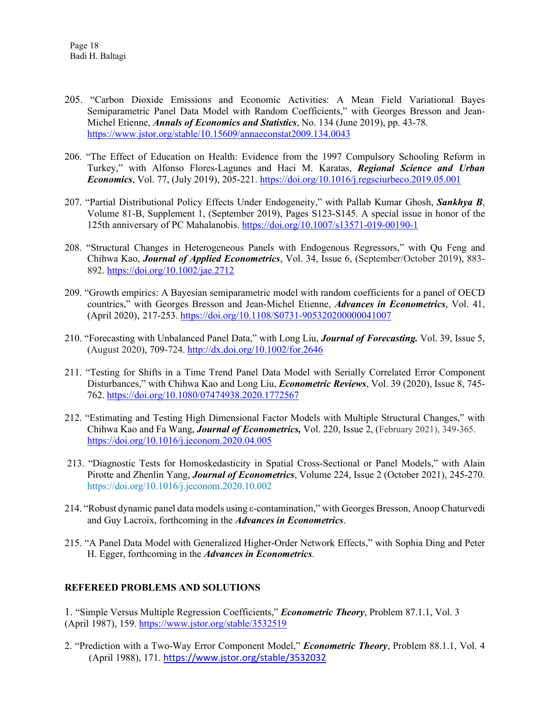- 205. "Carbon Dioxide Emissions and Economic Activities: A Mean Field Variational Bayes Semiparametric Panel Data Model with Random Coefficients," with Georges Bresson and Jean-Michel Etienne, *Annals of Economics and Statistics*, No. 134 (June 2019), pp. 43-78. <https://www.jstor.org/stable/10.15609/annaeconstat2009.134.0043>
- 206. "The Effect of Education on Health: Evidence from the 1997 Compulsory Schooling Reform in Turkey," with Alfonso Flores-Lagunes and Haci M. Karatas, *Regional Science and Urban Economics*, Vol. 77, (July 2019), 205-221. <https://doi.org/10.1016/j.regsciurbeco.2019.05.001>
- 207. "Partial Distributional Policy Effects Under Endogeneity," with Pallab Kumar Ghosh, *Sankhya B*, Volume 81-B, Supplement 1, (September 2019), Pages S123-S145. A special issue in honor of the 125th anniversary of PC Mahalanobis. <https://doi.org/10.1007/s13571-019-00190-1>
- 208. "Structural Changes in Heterogeneous Panels with Endogenous Regressors," with Qu Feng and Chihwa Kao, *Journal of Applied Econometrics*, Vol. 34, Issue 6, (September/October 2019), 883- 892.<https://doi.org/10.1002/jae.2712>
- 209. "Growth empirics: A Bayesian semiparametric model with random coefficients for a panel of OECD countries," with Georges Bresson and Jean-Michel Etienne, *Advances in Econometrics*, Vol. 41, (April 2020), 217-253.<https://doi.org/10.1108/S0731-905320200000041007>
- 210. "Forecasting with Unbalanced Panel Data," with Long Liu, *Journal of Forecasting.* Vol. 39, Issue 5, (August 2020), 709-724[. http://dx.doi.org/10.1002/for.2646](http://dx.doi.org/10.1002/for.2646)
- 211. "Testing for Shifts in a Time Trend Panel Data Model with Serially Correlated Error Component Disturbances," with Chihwa Kao and Long Liu, *Econometric Reviews*, Vol. 39 (2020), Issue 8, 745- 762. <https://doi.org/10.1080/07474938.2020.1772567>
- 212. "Estimating and Testing High Dimensional Factor Models with Multiple Structural Changes," with Chihwa Kao and Fa Wang, *Journal of Econometrics,* Vol. 220, Issue 2, (February 2021), 349-365. <https://doi.org/10.1016/j.jeconom.2020.04.005>
- 213. "Diagnostic Tests for Homoskedasticity in Spatial Cross-Sectional or Panel Models," with Alain Pirotte and Zhenlin Yang, *Journal of Econometrics*, Volume 224, Issue 2 (October 2021), 245-270. <https://doi.org/10.1016/j.jeconom.2020.10.002>
- 214. "Robust dynamic panel data models using ε-contamination," with Georges Bresson, Anoop Chaturvedi and Guy Lacroix, forthcoming in the *Advances in Econometrics*.
- 215. "A Panel Data Model with Generalized Higher-Order Network Effects," with Sophia Ding and Peter H. Egger, forthcoming in the *Advances in Econometrics*.

## **REFEREED PROBLEMS AND SOLUTIONS**

1. "Simple Versus Multiple Regression Coefficients," *Econometric Theory*, Problem 87.1.1, Vol. 3 (April 1987), 159. <https://www.jstor.org/stable/3532519>

2. "Prediction with a Two-Way Error Component Model," *Econometric Theory*, Problem 88.1.1, Vol. 4 (April 1988), 171. <https://www.jstor.org/stable/3532032>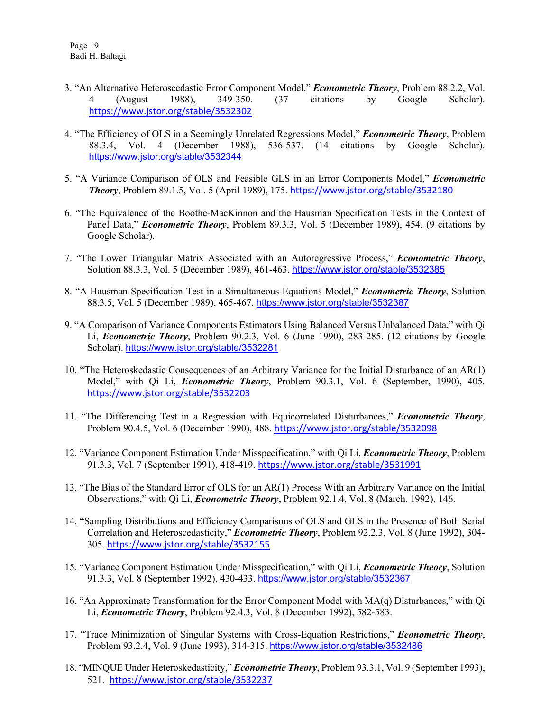- 3. "An Alternative Heteroscedastic Error Component Model," *Econometric Theory*, Problem 88.2.2, Vol. 4 (August 1988), 349-350. (37 citations by Google Scholar). <https://www.jstor.org/stable/3532302>
- 4. "The Efficiency of OLS in a Seemingly Unrelated Regressions Model," *Econometric Theory*, Problem 88.3.4, Vol. 4 (December 1988), 536-537. (14 citations by Google Scholar). <https://www.jstor.org/stable/3532344>
- 5. "A Variance Comparison of OLS and Feasible GLS in an Error Components Model," *Econometric Theory*, Problem 89.1.5, Vol. 5 (April 1989), 175. <https://www.jstor.org/stable/3532180>
- 6. "The Equivalence of the Boothe-MacKinnon and the Hausman Specification Tests in the Context of Panel Data," *Econometric Theory*, Problem 89.3.3, Vol. 5 (December 1989), 454. (9 citations by Google Scholar).
- 7. "The Lower Triangular Matrix Associated with an Autoregressive Process," *Econometric Theory*, Solution 88.3.3, Vol. 5 (December 1989), 461-463. <https://www.jstor.org/stable/3532385>
- 8. "A Hausman Specification Test in a Simultaneous Equations Model," *Econometric Theory*, Solution 88.3.5, Vol. 5 (December 1989), 465-467. <https://www.jstor.org/stable/3532387>
- 9. "A Comparison of Variance Components Estimators Using Balanced Versus Unbalanced Data," with Qi Li, *Econometric Theory*, Problem 90.2.3, Vol. 6 (June 1990), 283-285. (12 citations by Google Scholar). <https://www.jstor.org/stable/3532281>
- 10. "The Heteroskedastic Consequences of an Arbitrary Variance for the Initial Disturbance of an AR(1) Model," with Qi Li, *Econometric Theory*, Problem 90.3.1, Vol. 6 (September, 1990), 405. <https://www.jstor.org/stable/3532203>
- 11. "The Differencing Test in a Regression with Equicorrelated Disturbances," *Econometric Theory*, Problem 90.4.5, Vol. 6 (December 1990), 488. <https://www.jstor.org/stable/3532098>
- 12. "Variance Component Estimation Under Misspecification," with Qi Li, *Econometric Theory*, Problem 91.3.3, Vol. 7 (September 1991), 418-419. <https://www.jstor.org/stable/3531991>
- 13. "The Bias of the Standard Error of OLS for an AR(1) Process With an Arbitrary Variance on the Initial Observations," with Qi Li, *Econometric Theory*, Problem 92.1.4, Vol. 8 (March, 1992), 146.
- 14. "Sampling Distributions and Efficiency Comparisons of OLS and GLS in the Presence of Both Serial Correlation and Heteroscedasticity," *Econometric Theory*, Problem 92.2.3, Vol. 8 (June 1992), 304- 305. <https://www.jstor.org/stable/3532155>
- 15. "Variance Component Estimation Under Misspecification," with Qi Li, *Econometric Theory*, Solution 91.3.3, Vol. 8 (September 1992), 430-433. <https://www.jstor.org/stable/3532367>
- 16. "An Approximate Transformation for the Error Component Model with MA(q) Disturbances," with Qi Li, *Econometric Theory*, Problem 92.4.3, Vol. 8 (December 1992), 582-583.
- 17. "Trace Minimization of Singular Systems with Cross-Equation Restrictions," *Econometric Theory*, Problem 93.2.4, Vol. 9 (June 1993), 314-315. <https://www.jstor.org/stable/3532486>
- 18. "MINQUE Under Heteroskedasticity," *Econometric Theory*, Problem 93.3.1, Vol. 9 (September 1993), 521. <https://www.jstor.org/stable/3532237>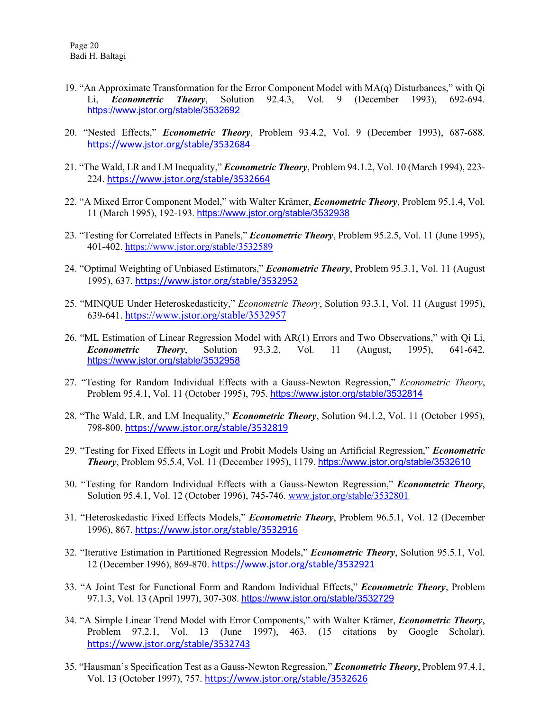- 19. "An Approximate Transformation for the Error Component Model with MA(q) Disturbances," with Qi Li, *Econometric Theory*, Solution 92.4.3, Vol. 9 (December 1993), 692-694. <https://www.jstor.org/stable/3532692>
- 20. "Nested Effects," *Econometric Theory*, Problem 93.4.2, Vol. 9 (December 1993), 687-688. <https://www.jstor.org/stable/3532684>
- 21. "The Wald, LR and LM Inequality," *Econometric Theory*, Problem 94.1.2, Vol. 10 (March 1994), 223- 224. <https://www.jstor.org/stable/3532664>
- 22. "A Mixed Error Component Model," with Walter Krämer, *Econometric Theory*, Problem 95.1.4, Vol. 11 (March 1995), 192-193. <https://www.jstor.org/stable/3532938>
- 23. "Testing for Correlated Effects in Panels," *Econometric Theory*, Problem 95.2.5, Vol. 11 (June 1995), 401-402. <https://www.jstor.org/stable/3532589>
- 24. "Optimal Weighting of Unbiased Estimators," *Econometric Theory*, Problem 95.3.1, Vol. 11 (August 1995), 637. <https://www.jstor.org/stable/3532952>
- 25. "MINQUE Under Heteroskedasticity," *Econometric Theory*, Solution 93.3.1, Vol. 11 (August 1995), 639-641. <https://www.jstor.org/stable/3532957>
- 26. "ML Estimation of Linear Regression Model with AR(1) Errors and Two Observations," with Qi Li, *Econometric Theory*, Solution 93.3.2, Vol. 11 (August, 1995), 641-642. <https://www.jstor.org/stable/3532958>
- 27. "Testing for Random Individual Effects with a Gauss-Newton Regression," *Econometric Theory*, Problem 95.4.1, Vol. 11 (October 1995), 795. <https://www.jstor.org/stable/3532814>
- 28. "The Wald, LR, and LM Inequality," *Econometric Theory*, Solution 94.1.2, Vol. 11 (October 1995), 798-800. <https://www.jstor.org/stable/3532819>
- 29. "Testing for Fixed Effects in Logit and Probit Models Using an Artificial Regression," *Econometric Theory*, Problem 95.5.4, Vol. 11 (December 1995), 1179. <https://www.jstor.org/stable/3532610>
- 30. "Testing for Random Individual Effects with a Gauss-Newton Regression," *Econometric Theory*, Solution 95.4.1, Vol. 12 (October 1996), 745-746. [www.jstor.org/stable/3532801](http://www.jstor.org/stable/3532801)
- 31. "Heteroskedastic Fixed Effects Models," *Econometric Theory*, Problem 96.5.1, Vol. 12 (December 1996), 867. <https://www.jstor.org/stable/3532916>
- 32. "Iterative Estimation in Partitioned Regression Models," *Econometric Theory*, Solution 95.5.1, Vol. 12 (December 1996), 869-870. <https://www.jstor.org/stable/3532921>
- 33. "A Joint Test for Functional Form and Random Individual Effects," *Econometric Theory*, Problem 97.1.3, Vol. 13 (April 1997), 307-308. <https://www.jstor.org/stable/3532729>
- 34. "A Simple Linear Trend Model with Error Components," with Walter Krämer, *Econometric Theory*, Problem 97.2.1, Vol. 13 (June 1997), 463. (15 citations by Google Scholar). <https://www.jstor.org/stable/3532743>
- 35. "Hausman's Specification Test as a Gauss-Newton Regression," *Econometric Theory*, Problem 97.4.1, Vol. 13 (October 1997), 757. <https://www.jstor.org/stable/3532626>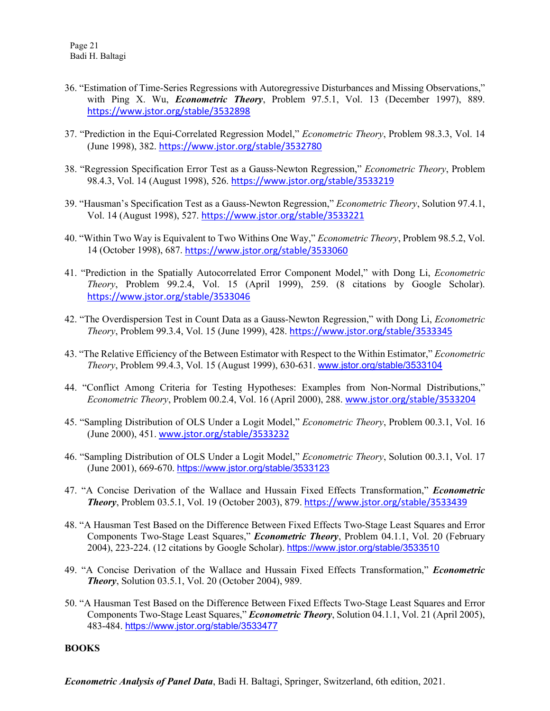- 36. "Estimation of Time-Series Regressions with Autoregressive Disturbances and Missing Observations," with Ping X. Wu, *Econometric Theory*, Problem 97.5.1, Vol. 13 (December 1997), 889. <https://www.jstor.org/stable/3532898>
- 37. "Prediction in the Equi-Correlated Regression Model," *Econometric Theory*, Problem 98.3.3, Vol. 14 (June 1998), 382. <https://www.jstor.org/stable/3532780>
- 38. "Regression Specification Error Test as a Gauss-Newton Regression," *Econometric Theory*, Problem 98.4.3, Vol. 14 (August 1998), 526. <https://www.jstor.org/stable/3533219>
- 39. "Hausman's Specification Test as a Gauss-Newton Regression," *Econometric Theory*, Solution 97.4.1, Vol. 14 (August 1998), 527. <https://www.jstor.org/stable/3533221>
- 40. "Within Two Way is Equivalent to Two Withins One Way," *Econometric Theory*, Problem 98.5.2, Vol. 14 (October 1998), 687. <https://www.jstor.org/stable/3533060>
- 41. "Prediction in the Spatially Autocorrelated Error Component Model," with Dong Li, *Econometric Theory*, Problem 99.2.4, Vol. 15 (April 1999), 259. (8 citations by Google Scholar). <https://www.jstor.org/stable/3533046>
- 42. "The Overdispersion Test in Count Data as a Gauss-Newton Regression," with Dong Li, *Econometric Theory*, Problem 99.3.4, Vol. 15 (June 1999), 428. <https://www.jstor.org/stable/3533345>
- 43. "The Relative Efficiency of the Between Estimator with Respect to the Within Estimator," *Econometric Theory*, Problem 99.4.3, Vol. 15 (August 1999), 630-631. [www.jstor.org/stable/3533104](http://www.jstor.org/stable/3533104)
- 44. "Conflict Among Criteria for Testing Hypotheses: Examples from Non-Normal Distributions," *Econometric Theory*, Problem 00.2.4, Vol. 16 (April 2000), 288. [www.jstor.org/stable/3533204](http://www.jstor.org/stable/3533204)
- 45. "Sampling Distribution of OLS Under a Logit Model," *Econometric Theory*, Problem 00.3.1, Vol. 16 (June 2000), 451. [www.jstor.org/stable/3533232](http://www.jstor.org/stable/3533232)
- 46. "Sampling Distribution of OLS Under a Logit Model," *Econometric Theory*, Solution 00.3.1, Vol. 17 (June 2001), 669-670. <https://www.jstor.org/stable/3533123>
- 47. "A Concise Derivation of the Wallace and Hussain Fixed Effects Transformation," *Econometric Theory*, Problem 03.5.1, Vol. 19 (October 2003), 879. <https://www.jstor.org/stable/3533439>
- 48. "A Hausman Test Based on the Difference Between Fixed Effects Two-Stage Least Squares and Error Components Two-Stage Least Squares," *Econometric Theory*, Problem 04.1.1, Vol. 20 (February 2004), 223-224. (12 citations by Google Scholar). <https://www.jstor.org/stable/3533510>
- 49. "A Concise Derivation of the Wallace and Hussain Fixed Effects Transformation," *Econometric Theory*, Solution 03.5.1, Vol. 20 (October 2004), 989.
- 50. "A Hausman Test Based on the Difference Between Fixed Effects Two-Stage Least Squares and Error Components Two-Stage Least Squares," *Econometric Theory*, Solution 04.1.1, Vol. 21 (April 2005), 483-484. <https://www.jstor.org/stable/3533477>

#### **BOOKS**

*Econometric Analysis of Panel Data*, Badi H. Baltagi, Springer, Switzerland, 6th edition, 2021.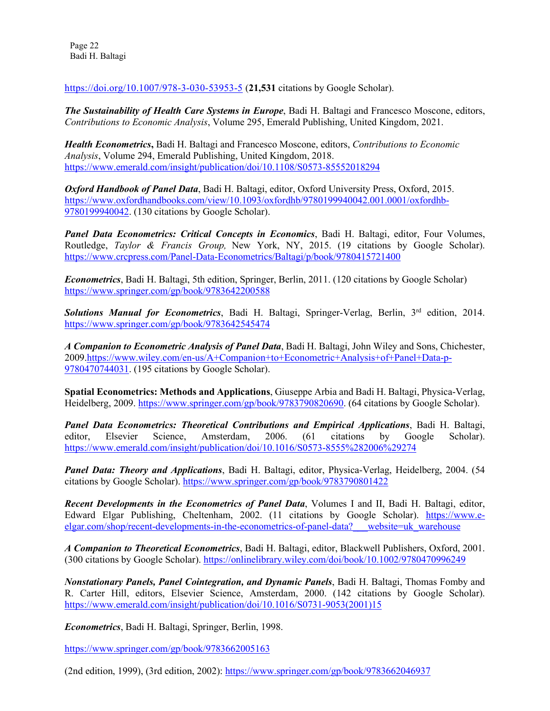Page 22 Badi H. Baltagi

<https://doi.org/10.1007/978-3-030-53953-5> (**21,531** citations by Google Scholar).

*The Sustainability of Health Care Systems in Europe*, Badi H. Baltagi and Francesco Moscone, editors, *Contributions to Economic Analysis*, Volume 295, Emerald Publishing, United Kingdom, 2021.

*Health Econometrics***,** Badi H. Baltagi and Francesco Moscone, editors, *Contributions to Economic Analysis*, Volume 294, Emerald Publishing, United Kingdom, 2018. <https://www.emerald.com/insight/publication/doi/10.1108/S0573-85552018294>

*Oxford Handbook of Panel Data*, Badi H. Baltagi, editor, Oxford University Press, Oxford, 2015. [https://www.oxfordhandbooks.com/view/10.1093/oxfordhb/9780199940042.001.0001/oxfordhb-](https://www.oxfordhandbooks.com/view/10.1093/oxfordhb/9780199940042.001.0001/oxfordhb-9780199940042)[9780199940042.](https://www.oxfordhandbooks.com/view/10.1093/oxfordhb/9780199940042.001.0001/oxfordhb-9780199940042) (130 citations by Google Scholar).

*Panel Data Econometrics: Critical Concepts in Economics*, Badi H. Baltagi, editor, Four Volumes, Routledge, *Taylor & Francis Group,* New York, NY, 2015. (19 citations by Google Scholar). <https://www.crcpress.com/Panel-Data-Econometrics/Baltagi/p/book/9780415721400>

*Econometrics*, Badi H. Baltagi, 5th edition, Springer, Berlin, 2011. (120 citations by Google Scholar) <https://www.springer.com/gp/book/9783642200588>

*Solutions Manual for Econometrics*, Badi H. Baltagi, Springer-Verlag, Berlin, 3rd edition, 2014. <https://www.springer.com/gp/book/9783642545474>

*A Companion to Econometric Analysis of Panel Data*, Badi H. Baltagi, John Wiley and Sons, Chichester, 200[9.https://www.wiley.com/en-us/A+Companion+to+Econometric+Analysis+of+Panel+Data-p-](https://www.wiley.com/en-us/A+Companion+to+Econometric+Analysis+of+Panel+Data-p-9780470744031)[9780470744031.](https://www.wiley.com/en-us/A+Companion+to+Econometric+Analysis+of+Panel+Data-p-9780470744031) (195 citations by Google Scholar).

**Spatial Econometrics: Methods and Applications**, Giuseppe Arbia and Badi H. Baltagi, Physica-Verlag, Heidelberg, 2009. [https://www.springer.com/gp/book/9783790820690.](https://www.springer.com/gp/book/9783790820690) (64 citations by Google Scholar).

*Panel Data Econometrics: Theoretical Contributions and Empirical Applications*, Badi H. Baltagi, editor, Elsevier Science, Amsterdam, 2006. (61 citations by Google Scholar). <https://www.emerald.com/insight/publication/doi/10.1016/S0573-8555%282006%29274>

*Panel Data: Theory and Applications*, Badi H. Baltagi, editor, Physica-Verlag, Heidelberg, 2004. (54 citations by Google Scholar). <https://www.springer.com/gp/book/9783790801422>

*Recent Developments in the Econometrics of Panel Data*, Volumes I and II, Badi H. Baltagi, editor, Edward Elgar Publishing, Cheltenham, 2002. (11 citations by Google Scholar). [https://www.e](https://www.e-elgar.com/shop/recent-developments-in-the-econometrics-of-panel-data?___website=uk_warehouse)elgar.com/shop/recent-developments-in-the-econometrics-of-panel-data? website=uk warehouse

*A Companion to Theoretical Econometrics*, Badi H. Baltagi, editor, Blackwell Publishers, Oxford, 2001. (300 citations by Google Scholar). <https://onlinelibrary.wiley.com/doi/book/10.1002/9780470996249>

*Nonstationary Panels, Panel Cointegration, and Dynamic Panels*, Badi H. Baltagi, Thomas Fomby and R. Carter Hill, editors, Elsevier Science, Amsterdam, 2000. (142 citations by Google Scholar). [https://www.emerald.com/insight/publication/doi/10.1016/S0731-9053\(2001\)15](https://www.emerald.com/insight/publication/doi/10.1016/S0731-9053(2001)15)

*Econometrics*, Badi H. Baltagi, Springer, Berlin, 1998.

<https://www.springer.com/gp/book/9783662005163>

(2nd edition, 1999), (3rd edition, 2002): <https://www.springer.com/gp/book/9783662046937>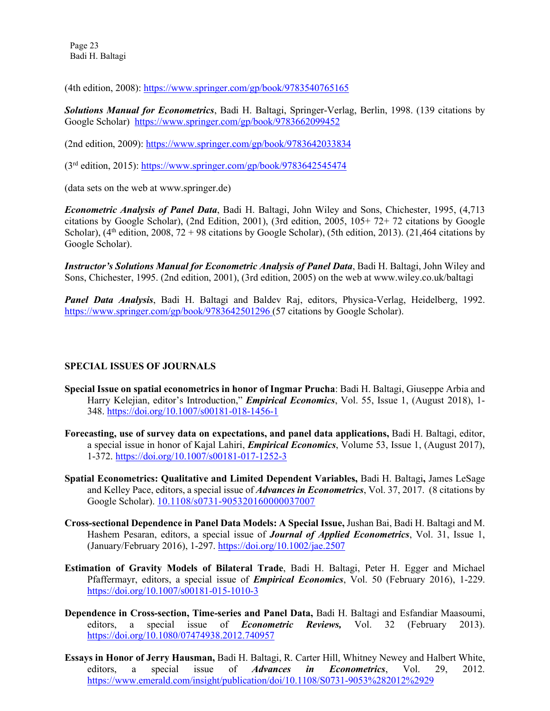Page 23 Badi H. Baltagi

(4th edition, 2008): <https://www.springer.com/gp/book/9783540765165>

*Solutions Manual for Econometrics*, Badi H. Baltagi, Springer-Verlag, Berlin, 1998. (139 citations by Google Scholar) <https://www.springer.com/gp/book/9783662099452>

(2nd edition, 2009): <https://www.springer.com/gp/book/9783642033834>

(3rd edition, 2015): <https://www.springer.com/gp/book/9783642545474>

(data sets on the web at www.springer.de)

*Econometric Analysis of Panel Data*, Badi H. Baltagi, John Wiley and Sons, Chichester, 1995, (4,713 citations by Google Scholar), (2nd Edition, 2001), (3rd edition, 2005, 105+ 72+ 72 citations by Google Scholar), (4<sup>th</sup> edition, 2008, 72 + 98 citations by Google Scholar), (5th edition, 2013). (21,464 citations by Google Scholar).

*Instructor's Solutions Manual for Econometric Analysis of Panel Data*, Badi H. Baltagi, John Wiley and Sons, Chichester, 1995. (2nd edition, 2001), (3rd edition, 2005) on the web at www.wiley.co.uk/baltagi

*Panel Data Analysis*, Badi H. Baltagi and Baldev Raj, editors, Physica-Verlag, Heidelberg, 1992. <https://www.springer.com/gp/book/9783642501296> (57 citations by Google Scholar).

#### **SPECIAL ISSUES OF JOURNALS**

- **Special Issue on spatial econometrics in honor of Ingmar Prucha**: Badi H. Baltagi, Giuseppe Arbia and Harry Kelejian, editor's Introduction," *Empirical Economics*, Vol. 55, Issue 1, (August 2018), 1- 348. <https://doi.org/10.1007/s00181-018-1456-1>
- **Forecasting, use of survey data on expectations, and panel data applications,** Badi H. Baltagi, editor, a special issue in honor of Kajal Lahiri, *Empirical Economics*, Volume 53, Issue 1, (August 2017), 1-372. <https://doi.org/10.1007/s00181-017-1252-3>
- **Spatial Econometrics: Qualitative and Limited Dependent Variables,** Badi H. Baltagi**,** James LeSage and Kelley Pace, editors, a special issue of *Advances in Econometrics*, Vol. 37, 2017. (8 citations by Google Scholar). [10.1108/s0731-905320160000037007](http://dx.doi.org/10.1108/s0731-905320160000037007)
- **Cross-sectional Dependence in Panel Data Models: A Special Issue,** Jushan Bai, Badi H. Baltagi and M. Hashem Pesaran, editors, a special issue of *Journal of Applied Econometrics*, Vol. 31, Issue 1, (January/February 2016), 1-297. <https://doi.org/10.1002/jae.2507>
- **Estimation of Gravity Models of Bilateral Trade**, Badi H. Baltagi, Peter H. Egger and Michael Pfaffermayr, editors, a special issue of *Empirical Economics*, Vol. 50 (February 2016), 1-229. <https://doi.org/10.1007/s00181-015-1010-3>
- **Dependence in Cross-section, Time-series and Panel Data,** Badi H. Baltagi and Esfandiar Maasoumi, editors, a special issue of *Econometric Reviews,* Vol. 32 (February 2013). <https://doi.org/10.1080/07474938.2012.740957>
- **Essays in Honor of Jerry Hausman,** Badi H. Baltagi, R. Carter Hill, Whitney Newey and Halbert White, editors, a special issue of *Advances in Econometrics*, Vol. 29, 2012. <https://www.emerald.com/insight/publication/doi/10.1108/S0731-9053%282012%2929>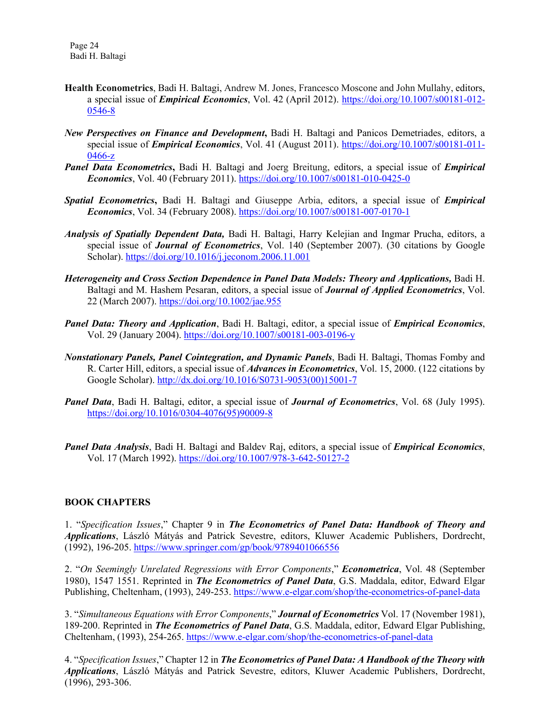- **Health Econometrics**, Badi H. Baltagi, Andrew M. Jones, Francesco Moscone and John Mullahy, editors, a special issue of *Empirical Economics*, Vol. 42 (April 2012). [https://doi.org/10.1007/s00181-012-](https://doi.org/10.1007/s00181-012-0546-8) [0546-8](https://doi.org/10.1007/s00181-012-0546-8)
- *New Perspectives on Finance and Development***,** Badi H. Baltagi and Panicos Demetriades, editors, a special issue of *Empirical Economics*, Vol. 41 (August 2011). [https://doi.org/10.1007/s00181-011-](https://doi.org/10.1007/s00181-011-0466-z) [0466-z](https://doi.org/10.1007/s00181-011-0466-z)
- *Panel Data Econometrics***,** Badi H. Baltagi and Joerg Breitung, editors, a special issue of *Empirical Economics*, Vol. 40 (February 2011). <https://doi.org/10.1007/s00181-010-0425-0>
- *Spatial Econometrics***,** Badi H. Baltagi and Giuseppe Arbia, editors, a special issue of *Empirical Economics*, Vol. 34 (February 2008). <https://doi.org/10.1007/s00181-007-0170-1>
- *Analysis of Spatially Dependent Data,* Badi H. Baltagi, Harry Kelejian and Ingmar Prucha, editors, a special issue of *Journal of Econometrics*, Vol. 140 (September 2007). (30 citations by Google Scholar). <https://doi.org/10.1016/j.jeconom.2006.11.001>
- *Heterogeneity and Cross Section Dependence in Panel Data Models: Theory and Applications,* Badi H. Baltagi and M. Hashem Pesaran, editors, a special issue of *Journal of Applied Econometrics*, Vol. 22 (March 2007). <https://doi.org/10.1002/jae.955>
- *Panel Data: Theory and Application*, Badi H. Baltagi, editor, a special issue of *Empirical Economics*, Vol. 29 (January 2004). <https://doi.org/10.1007/s00181-003-0196-y>
- *Nonstationary Panels, Panel Cointegration, and Dynamic Panels*, Badi H. Baltagi, Thomas Fomby and R. Carter Hill, editors, a special issue of *Advances in Econometrics*, Vol. 15, 2000. (122 citations by Google Scholar). [http://dx.doi.org/10.1016/S0731-9053\(00\)15001-7](http://dx.doi.org/10.1016/S0731-9053(00)15001-7)
- *Panel Data*, Badi H. Baltagi, editor, a special issue of *Journal of Econometrics*, Vol. 68 (July 1995). [https://doi.org/10.1016/0304-4076\(95\)90009-8](https://doi.org/10.1016/0304-4076(95)90009-8)
- *Panel Data Analysis*, Badi H. Baltagi and Baldev Raj, editors, a special issue of *Empirical Economics*, Vol. 17 (March 1992). <https://doi.org/10.1007/978-3-642-50127-2>

#### **BOOK CHAPTERS**

1. "*Specification Issues*," Chapter 9 in *The Econometrics of Panel Data: Handbook of Theory and Applications*, László Mátyás and Patrick Sevestre, editors, Kluwer Academic Publishers, Dordrecht, (1992), 196-205. <https://www.springer.com/gp/book/9789401066556>

2. "*On Seemingly Unrelated Regressions with Error Components*," *Econometrica*, Vol. 48 (September 1980), 1547 1551. Reprinted in *The Econometrics of Panel Data*, G.S. Maddala, editor, Edward Elgar Publishing, Cheltenham, (1993), 249-253. <https://www.e-elgar.com/shop/the-econometrics-of-panel-data>

3. "*Simultaneous Equations with Error Components*," *Journal of Econometrics* Vol. 17 (November 1981), 189-200. Reprinted in *The Econometrics of Panel Data*, G.S. Maddala, editor, Edward Elgar Publishing, Cheltenham, (1993), 254-265. <https://www.e-elgar.com/shop/the-econometrics-of-panel-data>

4. "*Specification Issues*," Chapter 12 in *The Econometrics of Panel Data: A Handbook of the Theory with Applications*, László Mátyás and Patrick Sevestre, editors, Kluwer Academic Publishers, Dordrecht, (1996), 293-306.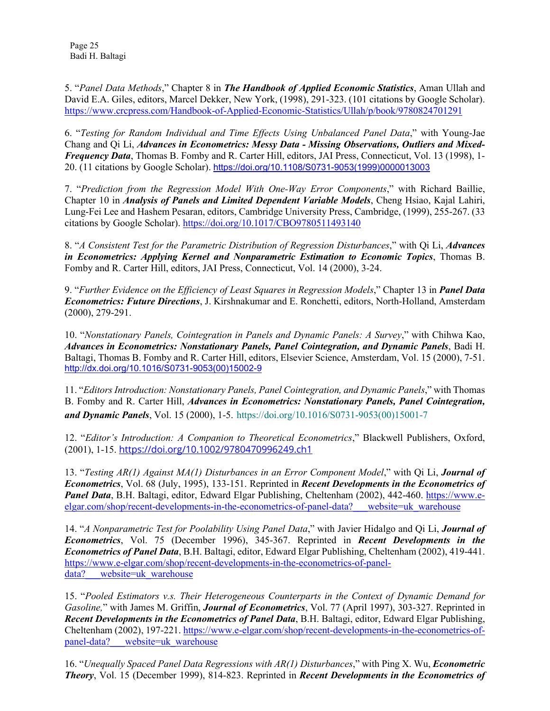Page 25 Badi H. Baltagi

5. "*Panel Data Methods*," Chapter 8 in *The Handbook of Applied Economic Statistics*, Aman Ullah and David E.A. Giles, editors, Marcel Dekker, New York, (1998), 291-323. (101 citations by Google Scholar). <https://www.crcpress.com/Handbook-of-Applied-Economic-Statistics/Ullah/p/book/9780824701291>

6. "*Testing for Random Individual and Time Effects Using Unbalanced Panel Data*," with Young-Jae Chang and Qi Li, *Advances in Econometrics: Messy Data - Missing Observations, Outliers and Mixed-Frequency Data*, Thomas B. Fomby and R. Carter Hill, editors, JAI Press, Connecticut, Vol. 13 (1998), 1- 20. (11 citations by Google Scholar). [https://doi.org/10.1108/S0731-9053\(1999\)0000013003](https://doi.org/10.1108/S0731-9053(1999)0000013003)

7. "*Prediction from the Regression Model With One-Way Error Components*," with Richard Baillie, Chapter 10 in *Analysis of Panels and Limited Dependent Variable Models*, Cheng Hsiao, Kajal Lahiri, Lung-Fei Lee and Hashem Pesaran, editors, Cambridge University Press, Cambridge, (1999), 255-267. (33 citations by Google Scholar). <https://doi.org/10.1017/CBO9780511493140>

8. "*A Consistent Test for the Parametric Distribution of Regression Disturbances*," with Qi Li, *Advances in Econometrics: Applying Kernel and Nonparametric Estimation to Economic Topics*, Thomas B. Fomby and R. Carter Hill, editors, JAI Press, Connecticut, Vol. 14 (2000), 3-24.

9. "*Further Evidence on the Efficiency of Least Squares in Regression Models*," Chapter 13 in *Panel Data Econometrics: Future Directions*, J. Kirshnakumar and E. Ronchetti, editors, North-Holland, Amsterdam (2000), 279-291.

10. "*Nonstationary Panels, Cointegration in Panels and Dynamic Panels: A Survey*," with Chihwa Kao, *Advances in Econometrics: Nonstationary Panels, Panel Cointegration, and Dynamic Panels*, Badi H. Baltagi, Thomas B. Fomby and R. Carter Hill, editors, Elsevier Science, Amsterdam, Vol. 15 (2000), 7-51. [http://dx.doi.org/10.1016/S0731-9053\(00\)15002-9](http://dx.doi.org/10.1016/S0731-9053(00)15002-9)

11. "*Editors Introduction: Nonstationary Panels, Panel Cointegration, and Dynamic Panels*," with Thomas B. Fomby and R. Carter Hill, *Advances in Econometrics: Nonstationary Panels, Panel Cointegration, and Dynamic Panels*, Vol. 15 (2000), 1-5. [https://doi.org/10.1016/S0731-9053\(00\)15001-7](https://doi.org/10.1016/S0731-9053(00)15001-7)

12. "*Editor's Introduction: A Companion to Theoretical Econometrics*," Blackwell Publishers, Oxford, (2001), 1-15. <https://doi.org/10.1002/9780470996249.ch1>

13. "*Testing AR(1) Against MA(1) Disturbances in an Error Component Model*," with Qi Li, *Journal of Econometrics*, Vol. 68 (July, 1995), 133-151. Reprinted in *Recent Developments in the Econometrics of Panel Data*, B.H. Baltagi, editor, Edward Elgar Publishing, Cheltenham (2002), 442-460. [https://www.e](https://www.e-elgar.com/shop/recent-developments-in-the-econometrics-of-panel-data?___website=uk_warehouse)elgar.com/shop/recent-developments-in-the-econometrics-of-panel-data? website=uk warehouse

14. "*A Nonparametric Test for Poolability Using Panel Data*," with Javier Hidalgo and Qi Li, *Journal of Econometrics*, Vol. 75 (December 1996), 345-367. Reprinted in *Recent Developments in the Econometrics of Panel Data*, B.H. Baltagi, editor, Edward Elgar Publishing, Cheltenham (2002), 419-441. [https://www.e-elgar.com/shop/recent-developments-in-the-econometrics-of-panel](https://www.e-elgar.com/shop/recent-developments-in-the-econometrics-of-panel-data?___website=uk_warehouse)data? website=uk warehouse

15. "*Pooled Estimators v.s. Their Heterogeneous Counterparts in the Context of Dynamic Demand for Gasoline,*" with James M. Griffin, *Journal of Econometrics*, Vol. 77 (April 1997), 303-327. Reprinted in *Recent Developments in the Econometrics of Panel Data*, B.H. Baltagi, editor, Edward Elgar Publishing, Cheltenham (2002), 197-221. [https://www.e-elgar.com/shop/recent-developments-in-the-econometrics-of](https://www.e-elgar.com/shop/recent-developments-in-the-econometrics-of-panel-data?___website=uk_warehouse)panel-data? website=uk\_warehouse

16. "*Unequally Spaced Panel Data Regressions with AR(1) Disturbances*," with Ping X. Wu, *Econometric Theory*, Vol. 15 (December 1999), 814-823. Reprinted in *Recent Developments in the Econometrics of*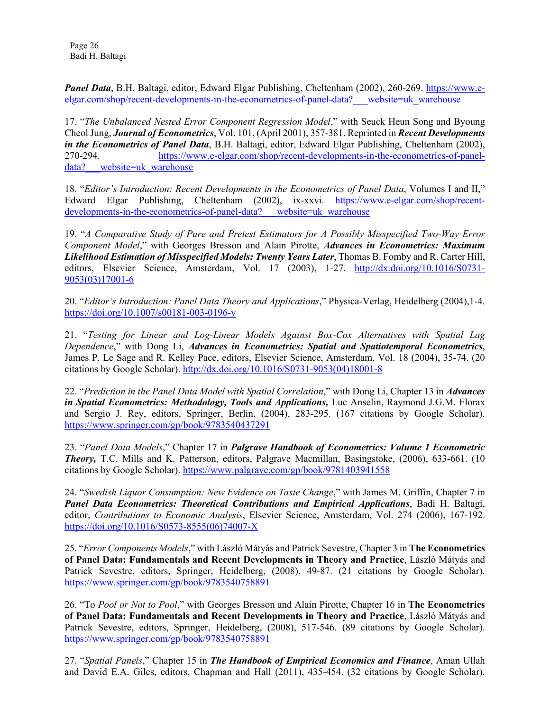Page 26 Badi H. Baltagi

Panel Data, B.H. Baltagi, editor, Edward Elgar Publishing, Cheltenham (2002), 260-269. [https://www.e](https://www.e-elgar.com/shop/recent-developments-in-the-econometrics-of-panel-data?___website=uk_warehouse)[elgar.com/shop/recent-developments-in-the-econometrics-of-panel-data?\\_\\_\\_website=uk\\_warehouse](https://www.e-elgar.com/shop/recent-developments-in-the-econometrics-of-panel-data?___website=uk_warehouse)

17. "*The Unbalanced Nested Error Component Regression Model*," with Seuck Heun Song and Byoung Cheol Jung, *Journal of Econometrics*, Vol. 101, (April 2001), 357-381. Reprinted in *Recent Developments in the Econometrics of Panel Data*, B.H. Baltagi, editor, Edward Elgar Publishing, Cheltenham (2002), 270-294. [https://www.e-elgar.com/shop/recent-developments-in-the-econometrics-of-panel](https://www.e-elgar.com/shop/recent-developments-in-the-econometrics-of-panel-data?___website=uk_warehouse)data? website=uk warehouse

18. "*Editor's Introduction: Recent Developments in the Econometrics of Panel Data*, Volumes I and II," Edward Elgar Publishing, Cheltenham (2002), ix-xxvi. [https://www.e-elgar.com/shop/recent](https://www.e-elgar.com/shop/recent-developments-in-the-econometrics-of-panel-data?___website=uk_warehouse)developments-in-the-econometrics-of-panel-data? website=uk warehouse

19. "*A Comparative Study of Pure and Pretest Estimators for A Possibly Misspecified Two-Way Error Component Model*," with Georges Bresson and Alain Pirotte, *Advances in Econometrics: Maximum Likelihood Estimation of Misspecified Models: Twenty Years Later*, Thomas B. Fomby and R. Carter Hill, editors, Elsevier Science, Amsterdam, Vol. 17 (2003), 1-27. [http://dx.doi.org/10.1016/S0731-](http://dx.doi.org/10.1016/S0731-9053(03)17001-6) [9053\(03\)17001-6](http://dx.doi.org/10.1016/S0731-9053(03)17001-6)

20. "*Editor's Introduction: Panel Data Theory and Applications*," Physica-Verlag, Heidelberg (2004),1-4. <https://doi.org/10.1007/s00181-003-0196-y>

21. "*Testing for Linear and Log-Linear Models Against Box-Cox Alternatives with Spatial Lag Dependence*," with Dong Li, *Advances in Econometrics: Spatial and Spatiotemporal Econometrics*, James P. Le Sage and R. Kelley Pace, editors, Elsevier Science, Amsterdam, Vol. 18 (2004), 35-74. (20 citations by Google Scholar). [http://dx.doi.org/10.1016/S0731-9053\(04\)18001-8](http://dx.doi.org/10.1016/S0731-9053(04)18001-8)

22. "*Prediction in the Panel Data Model with Spatial Correlation*," with Dong Li, Chapter 13 in *Advances in Spatial Econometrics: Methodology, Tools and Applications,* Luc Anselin, Raymond J.G.M. Florax and Sergio J. Rey, editors, Springer, Berlin, (2004), 283-295. (167 citations by Google Scholar). <https://www.springer.com/gp/book/9783540437291>

23. "*Panel Data Models*," Chapter 17 in *Palgrave Handbook of Econometrics: Volume 1 Econometric Theory,* T.C. Mills and K. Patterson, editors, Palgrave Macmillan, Basingstoke, (2006), 633-661. (10 citations by Google Scholar). <https://www.palgrave.com/gp/book/9781403941558>

24. "*Swedish Liquor Consumption: New Evidence on Taste Change*," with James M. Griffin, Chapter 7 in *Panel Data Econometrics: Theoretical Contributions and Empirical Applications*, Badi H. Baltagi, editor, *Contributions to Economic Analysis*, Elsevier Science, Amsterdam, Vol. 274 (2006), 167-192. [https://doi.org/10.1016/S0573-8555\(06\)74007-X](https://doi.org/10.1016/S0573-8555(06)74007-X)

25. "*Error Components Models*," with László Mátyás and Patrick Sevestre, Chapter 3 in **The Econometrics of Panel Data: Fundamentals and Recent Developments in Theory and Practice**, László Mátyás and Patrick Sevestre, editors, Springer, Heidelberg, (2008), 49-87. (21 citations by Google Scholar). <https://www.springer.com/gp/book/9783540758891>

26. "To *Pool or Not to Pool*," with Georges Bresson and Alain Pirotte, Chapter 16 in **The Econometrics of Panel Data: Fundamentals and Recent Developments in Theory and Practice**, László Mátyás and Patrick Sevestre, editors, Springer, Heidelberg, (2008), 517-546. (89 citations by Google Scholar). <https://www.springer.com/gp/book/9783540758891>

27. "*Spatial Panels*," Chapter 15 in *The Handbook of Empirical Economics and Finance*, Aman Ullah and David E.A. Giles, editors, Chapman and Hall (2011), 435-454. (32 citations by Google Scholar).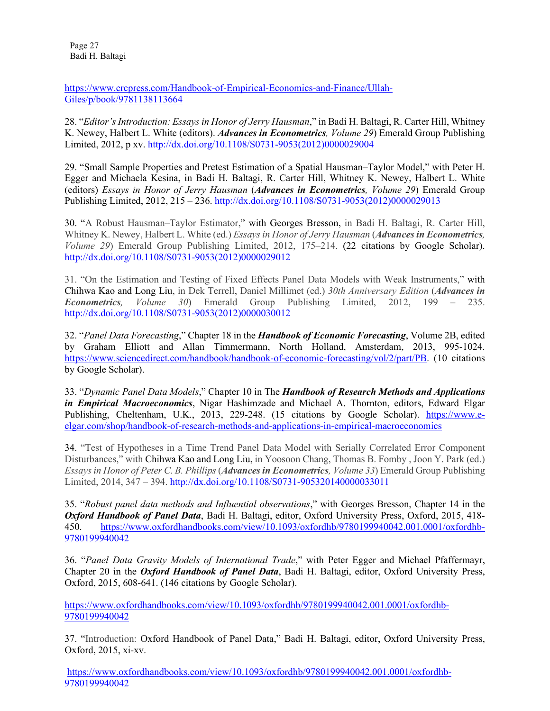Page 27 Badi H. Baltagi

[https://www.crcpress.com/Handbook-of-Empirical-Economics-and-Finance/Ullah-](https://www.crcpress.com/Handbook-of-Empirical-Economics-and-Finance/Ullah-Giles/p/book/9781138113664)[Giles/p/book/9781138113664](https://www.crcpress.com/Handbook-of-Empirical-Economics-and-Finance/Ullah-Giles/p/book/9781138113664)

28. "*Editor's Introduction: Essays in Honor of Jerry Hausman*," in Badi H. Baltagi, R. Carter Hill, Whitney K. Newey, Halbert L. White (editors). *Advances in Econometrics, Volume 29*) Emerald Group Publishing Limited, 2012, p xv. http://dx.doi.org[/10.1108/S0731-9053\(2012\)0000029004](http://dx.doi.org/10.1108/S0731-9053(2012)0000029004)

29. "Small Sample Properties and Pretest Estimation of a Spatial Hausman–Taylor Model," with Peter H. Egger and Michaela Kesina, in Badi H. Baltagi, R. Carter Hill, Whitney K. Newey, Halbert L. White (editors) *Essays in Honor of Jerry Hausman* (*Advances in Econometrics, Volume 29*) Emerald Group Publishing Limited, 2012, 215 – 236. http://dx.doi.org[/10.1108/S0731-9053\(2012\)0000029013](http://dx.doi.org/10.1108/S0731-9053(2012)0000029013)

30. "A Robust Hausman–Taylor Estimator," with Georges Bresson, in Badi H. Baltagi, R. Carter Hill, Whitney K. Newey, Halbert L. White (ed.) *Essays in Honor of Jerry Hausman* (*Advances in Econometrics, Volume 29*) Emerald Group Publishing Limited, 2012, 175–214. (22 citations by Google Scholar). [http://dx.doi.org/10.1108/S0731-9053\(2012\)0000029012](http://dx.doi.org/10.1108/S0731-9053(2012)0000029012)

31. "On the Estimation and Testing of Fixed Effects Panel Data Models with Weak Instruments," with Chihwa Kao and Long Liu, in Dek Terrell, Daniel Millimet (ed.) *30th Anniversary Edition* (*Advances in Econometrics, Volume 30*) Emerald Group Publishing Limited, 2012, 199 – 235. http://dx.doi.org[/10.1108/S0731-9053\(2012\)0000030012](http://dx.doi.org/10.1108/S0731-9053(2012)0000030012)

32. "*Panel Data Forecasting*," Chapter 18 in the *Handbook of Economic Forecasting*, Volume 2B, edited by Graham Elliott and Allan Timmermann, North Holland, Amsterdam, 2013, 995-1024. [https://www.sciencedirect.com/handbook/handbook-of-economic-forecasting/vol/2/part/PB.](https://www.sciencedirect.com/handbook/handbook-of-economic-forecasting/vol/2/part/PB) (10 citations by Google Scholar).

33. "*Dynamic Panel Data Models*," Chapter 10 in The *Handbook of Research Methods and Applications in Empirical Macroeconomics*, Nigar Hashimzade and Michael A. Thornton, editors, Edward Elgar Publishing, Cheltenham, U.K., 2013, 229-248. (15 citations by Google Scholar). [https://www.e](https://www.e-elgar.com/shop/handbook-of-research-methods-and-applications-in-empirical-macroeconomics)[elgar.com/shop/handbook-of-research-methods-and-applications-in-empirical-macroeconomics](https://www.e-elgar.com/shop/handbook-of-research-methods-and-applications-in-empirical-macroeconomics)

34. "Test of Hypotheses in a Time Trend Panel Data Model with Serially Correlated Error Component Disturbances," with Chihwa Kao and Long Liu, in Yoosoon Chang, Thomas B. Fomby , Joon Y. Park (ed.) *Essays in Honor of Peter C. B. Phillips* (*Advances in Econometrics, Volume 33*) Emerald Group Publishing Limited, 2014, 347 – 394. http://dx.doi.org[/10.1108/S0731-905320140000033011](http://dx.doi.org/10.1108/S0731-905320140000033011)

35. "*Robust panel data methods and Influential observations*," with Georges Bresson, Chapter 14 in the *Oxford Handbook of Panel Data*, Badi H. Baltagi, editor, Oxford University Press, Oxford, 2015, 418- 450. [https://www.oxfordhandbooks.com/view/10.1093/oxfordhb/9780199940042.001.0001/oxfordhb-](https://www.oxfordhandbooks.com/view/10.1093/oxfordhb/9780199940042.001.0001/oxfordhb-9780199940042)[9780199940042](https://www.oxfordhandbooks.com/view/10.1093/oxfordhb/9780199940042.001.0001/oxfordhb-9780199940042)

36. "*Panel Data Gravity Models of International Trade*," with Peter Egger and Michael Pfaffermayr, Chapter 20 in the *Oxford Handbook of Panel Data*, Badi H. Baltagi, editor, Oxford University Press, Oxford, 2015, 608-641. (146 citations by Google Scholar).

[https://www.oxfordhandbooks.com/view/10.1093/oxfordhb/9780199940042.001.0001/oxfordhb-](https://www.oxfordhandbooks.com/view/10.1093/oxfordhb/9780199940042.001.0001/oxfordhb-9780199940042)[9780199940042](https://www.oxfordhandbooks.com/view/10.1093/oxfordhb/9780199940042.001.0001/oxfordhb-9780199940042)

37. "Introduction: Oxford Handbook of Panel Data," Badi H. Baltagi, editor, Oxford University Press, Oxford, 2015, xi-xv.

[https://www.oxfordhandbooks.com/view/10.1093/oxfordhb/9780199940042.001.0001/oxfordhb-](https://www.oxfordhandbooks.com/view/10.1093/oxfordhb/9780199940042.001.0001/oxfordhb-9780199940042)[9780199940042](https://www.oxfordhandbooks.com/view/10.1093/oxfordhb/9780199940042.001.0001/oxfordhb-9780199940042)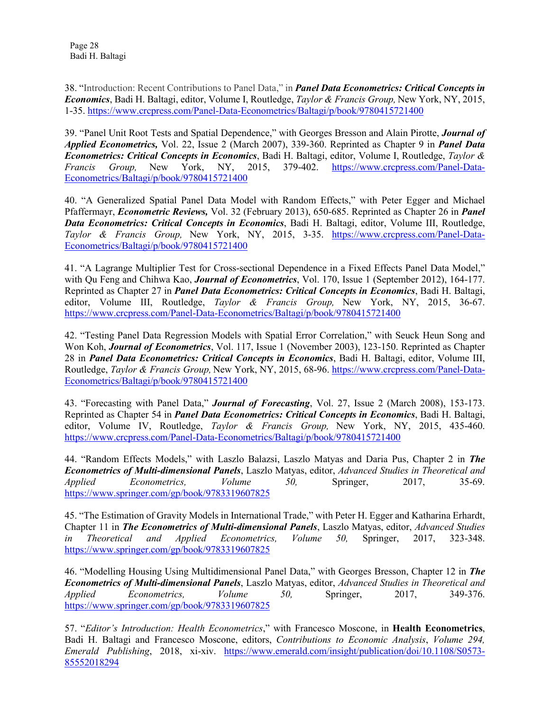38. "Introduction: Recent Contributions to Panel Data," in *Panel Data Econometrics: Critical Concepts in Economics*, Badi H. Baltagi, editor, Volume I, Routledge, *Taylor & Francis Group,* New York, NY, 2015, 1-35. <https://www.crcpress.com/Panel-Data-Econometrics/Baltagi/p/book/9780415721400>

39. "Panel Unit Root Tests and Spatial Dependence," with Georges Bresson and Alain Pirotte, *Journal of Applied Econometrics,* Vol. 22, Issue 2 (March 2007), 339-360. Reprinted as Chapter 9 in *Panel Data Econometrics: Critical Concepts in Economics*, Badi H. Baltagi, editor, Volume I, Routledge, *Taylor & Francis Group,* New York, NY, 2015, 379-402. [https://www.crcpress.com/Panel-Data-](https://www.crcpress.com/Panel-Data-Econometrics/Baltagi/p/book/9780415721400)[Econometrics/Baltagi/p/book/9780415721400](https://www.crcpress.com/Panel-Data-Econometrics/Baltagi/p/book/9780415721400)

40. "A Generalized Spatial Panel Data Model with Random Effects," with Peter Egger and Michael Pfaffermayr, *Econometric Reviews,* Vol. 32 (February 2013), 650-685. Reprinted as Chapter 26 in *Panel Data Econometrics: Critical Concepts in Economics*, Badi H. Baltagi, editor, Volume III, Routledge, *Taylor & Francis Group,* New York, NY, 2015, 3-35. [https://www.crcpress.com/Panel-Data-](https://www.crcpress.com/Panel-Data-Econometrics/Baltagi/p/book/9780415721400)[Econometrics/Baltagi/p/book/9780415721400](https://www.crcpress.com/Panel-Data-Econometrics/Baltagi/p/book/9780415721400)

41. "A Lagrange Multiplier Test for Cross-sectional Dependence in a Fixed Effects Panel Data Model," with Qu Feng and Chihwa Kao, *Journal of Econometrics*, Vol. 170, Issue 1 (September 2012), 164-177. Reprinted as Chapter 27 in *Panel Data Econometrics: Critical Concepts in Economics*, Badi H. Baltagi, editor, Volume III, Routledge, *Taylor & Francis Group,* New York, NY, 2015, 36-67. <https://www.crcpress.com/Panel-Data-Econometrics/Baltagi/p/book/9780415721400>

42. "Testing Panel Data Regression Models with Spatial Error Correlation," with Seuck Heun Song and Won Koh, *Journal of Econometrics*, Vol. 117, Issue 1 (November 2003), 123-150. Reprinted as Chapter 28 in *Panel Data Econometrics: Critical Concepts in Economics*, Badi H. Baltagi, editor, Volume III, Routledge, *Taylor & Francis Group,* New York, NY, 2015, 68-96. [https://www.crcpress.com/Panel-Data-](https://www.crcpress.com/Panel-Data-Econometrics/Baltagi/p/book/9780415721400)[Econometrics/Baltagi/p/book/9780415721400](https://www.crcpress.com/Panel-Data-Econometrics/Baltagi/p/book/9780415721400)

43. "Forecasting with Panel Data," *Journal of Forecasting*, Vol. 27, Issue 2 (March 2008), 153-173. Reprinted as Chapter 54 in *Panel Data Econometrics: Critical Concepts in Economics*, Badi H. Baltagi, editor, Volume IV, Routledge, *Taylor & Francis Group,* New York, NY, 2015, 435-460. <https://www.crcpress.com/Panel-Data-Econometrics/Baltagi/p/book/9780415721400>

44. "Random Effects Models," with Laszlo Balazsi, Laszlo Matyas and Daria Pus, Chapter 2 in *The Econometrics of Multi-dimensional Panels*, Laszlo Matyas, editor, *Advanced Studies in Theoretical and Applied Econometrics, Volume 50,* Springer, 2017, 35-69. <https://www.springer.com/gp/book/9783319607825>

45. "The Estimation of Gravity Models in International Trade," with Peter H. Egger and Katharina Erhardt, Chapter 11 in *The Econometrics of Multi-dimensional Panels*, Laszlo Matyas, editor, *Advanced Studies in Theoretical and Applied Econometrics, Volume 50,* Springer, 2017, 323-348. <https://www.springer.com/gp/book/9783319607825>

46. "Modelling Housing Using Multidimensional Panel Data," with Georges Bresson, Chapter 12 in *The Econometrics of Multi-dimensional Panels*, Laszlo Matyas, editor, *Advanced Studies in Theoretical and Applied Econometrics, Volume 50,* Springer, 2017, 349-376. <https://www.springer.com/gp/book/9783319607825>

57. "*Editor's Introduction: Health Econometrics*," with Francesco Moscone, in **Health Econometrics**, Badi H. Baltagi and Francesco Moscone, editors, *Contributions to Economic Analysis*, *Volume 294, Emerald Publishing*, 2018, xi-xiv. [https://www.emerald.com/insight/publication/doi/10.1108/S0573-](https://www.emerald.com/insight/publication/doi/10.1108/S0573-85552018294) [85552018294](https://www.emerald.com/insight/publication/doi/10.1108/S0573-85552018294)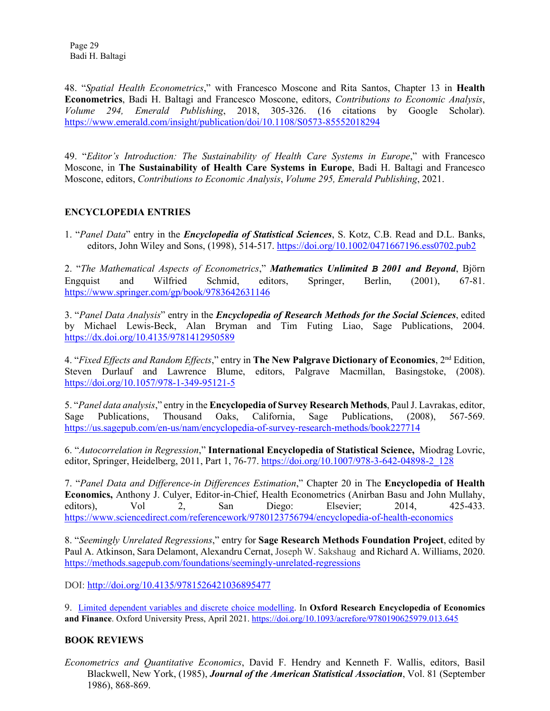Page 29 Badi H. Baltagi

48. "*Spatial Health Econometrics*," with Francesco Moscone and Rita Santos, Chapter 13 in **Health Econometrics**, Badi H. Baltagi and Francesco Moscone, editors, *Contributions to Economic Analysis*, *Volume 294, Emerald Publishing*, 2018, 305-326. (16 citations by Google Scholar). <https://www.emerald.com/insight/publication/doi/10.1108/S0573-85552018294>

49. "*Editor's Introduction: The Sustainability of Health Care Systems in Europe*," with Francesco Moscone, in **The Sustainability of Health Care Systems in Europe**, Badi H. Baltagi and Francesco Moscone, editors, *Contributions to Economic Analysis*, *Volume 295, Emerald Publishing*, 2021.

## **ENCYCLOPEDIA ENTRIES**

1. "*Panel Data*" entry in the *Encyclopedia of Statistical Sciences*, S. Kotz, C.B. Read and D.L. Banks, editors, John Wiley and Sons, (1998), 514-517. <https://doi.org/10.1002/0471667196.ess0702.pub2>

2. "*The Mathematical Aspects of Econometrics*," *Mathematics Unlimited B 2001 and Beyond*, Björn Engquist and Wilfried Schmid, editors, Springer, Berlin, (2001), 67-81. <https://www.springer.com/gp/book/9783642631146>

3. "*Panel Data Analysis*" entry in the *Encyclopedia of Research Methods for the Social Sciences*, edited by Michael Lewis-Beck, Alan Bryman and Tim Futing Liao, Sage Publications, 2004. <https://dx.doi.org/10.4135/9781412950589>

4. "*Fixed Effects and Random Effects*," entry in **The New Palgrave Dictionary of Economics**, 2nd Edition, Steven Durlauf and Lawrence Blume, editors, Palgrave Macmillan, Basingstoke, (2008). <https://doi.org/10.1057/978-1-349-95121-5>

5. "*Panel data analysis*," entry in the **Encyclopedia of Survey Research Methods**, Paul J. Lavrakas, editor, Sage Publications, Thousand Oaks, California, Sage Publications, (2008), 567-569. <https://us.sagepub.com/en-us/nam/encyclopedia-of-survey-research-methods/book227714>

6. "*Autocorrelation in Regression*," **International Encyclopedia of Statistical Science,** Miodrag Lovric, editor, Springer, Heidelberg, 2011, Part 1, 76-77. [https://doi.org/10.1007/978-3-642-04898-2\\_128](https://doi.org/10.1007/978-3-642-04898-2_128)

7. "*Panel Data and Difference-in Differences Estimation*," Chapter 20 in The **Encyclopedia of Health Economics,** Anthony J. Culyer, Editor-in-Chief, Health Econometrics (Anirban Basu and John Mullahy, editors), Vol 2, San Diego: Elsevier; 2014, 425-433. <https://www.sciencedirect.com/referencework/9780123756794/encyclopedia-of-health-economics>

8. "*Seemingly Unrelated Regressions*," entry for **Sage Research Methods Foundation Project**, edited by Paul A. Atkinson, Sara Delamont, Alexandru Cernat, Joseph W. Sakshaug and Richard A. Williams, 2020. <https://methods.sagepub.com/foundations/seemingly-unrelated-regressions>

DOI:<http://doi.org/10.4135/9781526421036895477>

9. [Limited dependent variables and discrete choice modelling.](https://oxfordre.com/economics/view/10.1093/acrefore/9780190625979.001.0001/acrefore-9780190625979-e-645) In **Oxford Research Encyclopedia of Economics and Finance**. Oxford University Press, April 2021[. https://doi.org/10.1093/acrefore/9780190625979.013.645](https://doi.org/10.1093/acrefore/9780190625979.013.645)

#### **BOOK REVIEWS**

*Econometrics and Quantitative Economics*, David F. Hendry and Kenneth F. Wallis, editors, Basil Blackwell, New York, (1985), *Journal of the American Statistical Association*, Vol. 81 (September 1986), 868-869.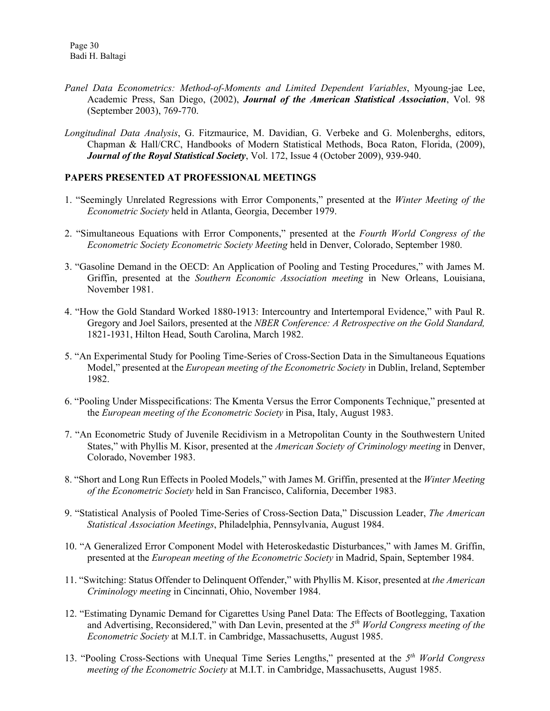- *Panel Data Econometrics: Method-of-Moments and Limited Dependent Variables*, Myoung-jae Lee, Academic Press, San Diego, (2002), *Journal of the American Statistical Association*, Vol. 98 (September 2003), 769-770.
- *Longitudinal Data Analysis*, G. Fitzmaurice, M. Davidian, G. Verbeke and G. Molenberghs, editors, Chapman & Hall/CRC, Handbooks of Modern Statistical Methods, Boca Raton, Florida, (2009), *Journal of the Royal Statistical Society*, Vol. 172, Issue 4 (October 2009), 939-940.

#### **PAPERS PRESENTED AT PROFESSIONAL MEETINGS**

- 1. "Seemingly Unrelated Regressions with Error Components," presented at the *Winter Meeting of the Econometric Society* held in Atlanta, Georgia, December 1979.
- 2. "Simultaneous Equations with Error Components," presented at the *Fourth World Congress of the Econometric Society Econometric Society Meeting* held in Denver, Colorado, September 1980.
- 3. "Gasoline Demand in the OECD: An Application of Pooling and Testing Procedures," with James M. Griffin, presented at the *Southern Economic Association meeting* in New Orleans, Louisiana, November 1981.
- 4. "How the Gold Standard Worked 1880-1913: Intercountry and Intertemporal Evidence," with Paul R. Gregory and Joel Sailors, presented at the *NBER Conference: A Retrospective on the Gold Standard,*  1821-1931, Hilton Head, South Carolina, March 1982.
- 5. "An Experimental Study for Pooling Time-Series of Cross-Section Data in the Simultaneous Equations Model," presented at the *European meeting of the Econometric Society* in Dublin, Ireland, September 1982.
- 6. "Pooling Under Misspecifications: The Kmenta Versus the Error Components Technique," presented at the *European meeting of the Econometric Society* in Pisa, Italy, August 1983.
- 7. "An Econometric Study of Juvenile Recidivism in a Metropolitan County in the Southwestern United States," with Phyllis M. Kisor, presented at the *American Society of Criminology meeting* in Denver, Colorado, November 1983.
- 8. "Short and Long Run Effects in Pooled Models," with James M. Griffin, presented at the *Winter Meeting of the Econometric Society* held in San Francisco, California, December 1983.
- 9. "Statistical Analysis of Pooled Time-Series of Cross-Section Data," Discussion Leader, *The American Statistical Association Meetings*, Philadelphia, Pennsylvania, August 1984.
- 10. "A Generalized Error Component Model with Heteroskedastic Disturbances," with James M. Griffin, presented at the *European meeting of the Econometric Society* in Madrid, Spain, September 1984.
- 11. "Switching: Status Offender to Delinquent Offender," with Phyllis M. Kisor, presented at *the American Criminology meeting* in Cincinnati, Ohio, November 1984.
- 12. "Estimating Dynamic Demand for Cigarettes Using Panel Data: The Effects of Bootlegging, Taxation and Advertising, Reconsidered," with Dan Levin, presented at the *5th World Congress meeting of the Econometric Society* at M.I.T. in Cambridge, Massachusetts, August 1985.
- 13. "Pooling Cross-Sections with Unequal Time Series Lengths," presented at the *5th World Congress meeting of the Econometric Society* at M.I.T. in Cambridge, Massachusetts, August 1985.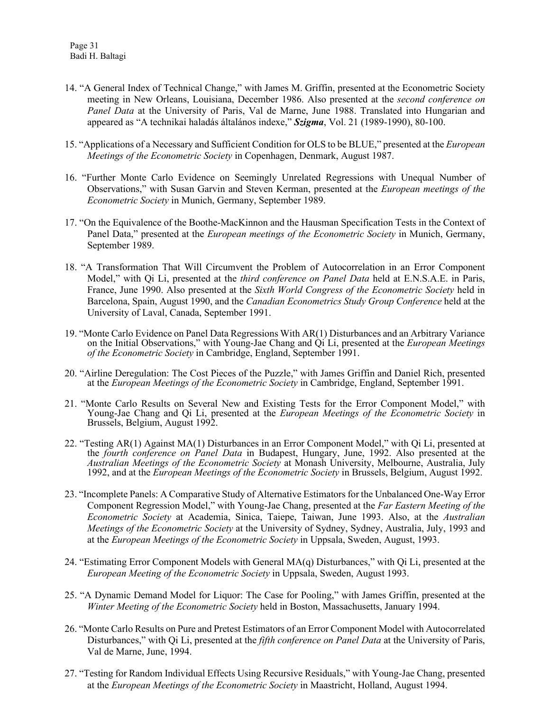- 14. "A General Index of Technical Change," with James M. Griffin, presented at the Econometric Society meeting in New Orleans, Louisiana, December 1986. Also presented at the *second conference on Panel Data* at the University of Paris, Val de Marne, June 1988. Translated into Hungarian and appeared as "A technikai haladás általános indexe," *Szigma*, Vol. 21 (1989-1990), 80-100.
- 15. "Applications of a Necessary and Sufficient Condition for OLS to be BLUE," presented at the *European Meetings of the Econometric Society* in Copenhagen, Denmark, August 1987.
- 16. "Further Monte Carlo Evidence on Seemingly Unrelated Regressions with Unequal Number of Observations," with Susan Garvin and Steven Kerman, presented at the *European meetings of the Econometric Society* in Munich, Germany, September 1989.
- 17. "On the Equivalence of the Boothe-MacKinnon and the Hausman Specification Tests in the Context of Panel Data," presented at the *European meetings of the Econometric Society* in Munich, Germany, September 1989.
- 18. "A Transformation That Will Circumvent the Problem of Autocorrelation in an Error Component Model," with Qi Li, presented at the *third conference on Panel Data* held at E.N.S.A.E. in Paris, France, June 1990. Also presented at the *Sixth World Congress of the Econometric Society* held in Barcelona, Spain, August 1990, and the *Canadian Econometrics Study Group Conference* held at the University of Laval, Canada, September 1991.
- 19. "Monte Carlo Evidence on Panel Data Regressions With AR(1) Disturbances and an Arbitrary Variance on the Initial Observations," with Young-Jae Chang and Qi Li, presented at the *European Meetings of the Econometric Society* in Cambridge, England, September 1991.
- 20. "Airline Deregulation: The Cost Pieces of the Puzzle," with James Griffin and Daniel Rich, presented at the *European Meetings of the Econometric Society* in Cambridge, England, September 1991.
- 21. "Monte Carlo Results on Several New and Existing Tests for the Error Component Model," with Young-Jae Chang and Qi Li, presented at the *European Meetings of the Econometric Society* in Brussels, Belgium, August 1992.
- 22. "Testing AR(1) Against MA(1) Disturbances in an Error Component Model," with Qi Li, presented at the *fourth conference on Panel Data* in Budapest, Hungary, June, 1992. Also presented at the *Australian Meetings of the Econometric Society* at Monash University, Melbourne, Australia, July 1992, and at the *European Meetings of the Econometric Society* in Brussels, Belgium, August 1992.
- 23. "Incomplete Panels: A Comparative Study of Alternative Estimators for the Unbalanced One-Way Error Component Regression Model," with Young-Jae Chang, presented at the *Far Eastern Meeting of the Econometric Society* at Academia, Sinica, Taiepe, Taiwan, June 1993. Also, at the *Australian Meetings of the Econometric Society* at the University of Sydney, Sydney, Australia, July, 1993 and at the *European Meetings of the Econometric Society* in Uppsala, Sweden, August, 1993.
- 24. "Estimating Error Component Models with General MA(q) Disturbances," with Qi Li, presented at the *European Meeting of the Econometric Society* in Uppsala, Sweden, August 1993.
- 25. "A Dynamic Demand Model for Liquor: The Case for Pooling," with James Griffin, presented at the *Winter Meeting of the Econometric Society* held in Boston, Massachusetts, January 1994.
- 26. "Monte Carlo Results on Pure and Pretest Estimators of an Error Component Model with Autocorrelated Disturbances," with Qi Li, presented at the *fifth conference on Panel Data* at the University of Paris, Val de Marne, June, 1994.
- 27. "Testing for Random Individual Effects Using Recursive Residuals," with Young-Jae Chang, presented at the *European Meetings of the Econometric Society* in Maastricht, Holland, August 1994.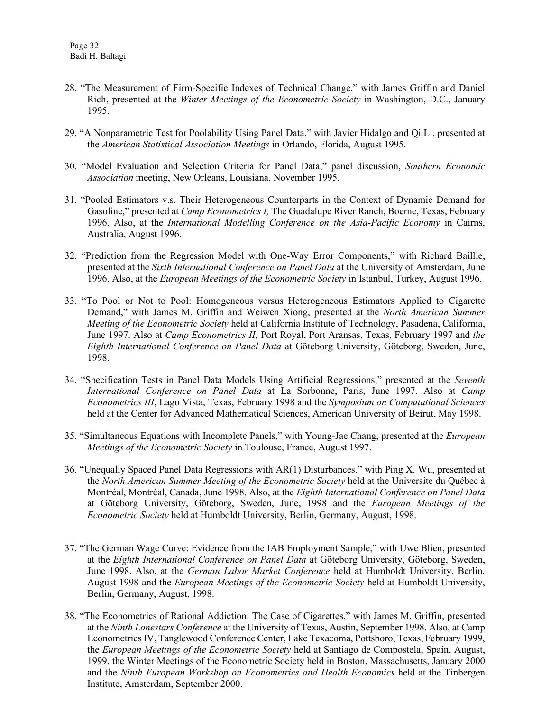- 28. "The Measurement of Firm-Specific Indexes of Technical Change," with James Griffin and Daniel Rich, presented at the *Winter Meetings of the Econometric Society* in Washington, D.C., January 1995.
- 29. "A Nonparametric Test for Poolability Using Panel Data," with Javier Hidalgo and Qi Li, presented at the *American Statistical Association Meetings* in Orlando, Florida, August 1995.
- 30. "Model Evaluation and Selection Criteria for Panel Data," panel discussion, *Southern Economic Association* meeting, New Orleans, Louisiana, November 1995.
- 31. "Pooled Estimators v.s. Their Heterogeneous Counterparts in the Context of Dynamic Demand for Gasoline," presented at *Camp Econometrics I,* The Guadalupe River Ranch, Boerne, Texas, February 1996. Also, at the *International Modelling Conference on the Asia-Pacific Economy* in Cairns, Australia, August 1996.
- 32. "Prediction from the Regression Model with One-Way Error Components," with Richard Baillie, presented at the *Sixth International Conference on Panel Data* at the University of Amsterdam, June 1996. Also, at the *European Meetings of the Econometric Society* in Istanbul, Turkey, August 1996.
- 33. "To Pool or Not to Pool: Homogeneous versus Heterogeneous Estimators Applied to Cigarette Demand," with James M. Griffin and Weiwen Xiong, presented at the *North American Summer Meeting of the Econometric Society* held at California Institute of Technology, Pasadena, California, June 1997. Also at *Camp Econometrics II,* Port Royal, Port Aransas, Texas, February 1997 and *the Eighth International Conference on Panel Data* at Göteborg University, Göteborg, Sweden, June, 1998.
- 34. "Specification Tests in Panel Data Models Using Artificial Regressions," presented at the *Seventh International Conference on Panel Data* at La Sorbonne, Paris, June 1997. Also at *Camp Econometrics III*, Lago Vista, Texas, February 1998 and the *Symposium on Computational Sciences* held at the Center for Advanced Mathematical Sciences, American University of Beirut, May 1998.
- 35. "Simultaneous Equations with Incomplete Panels," with Young-Jae Chang, presented at the *European Meetings of the Econometric Society* in Toulouse, France, August 1997.
- 36. "Unequally Spaced Panel Data Regressions with AR(1) Disturbances," with Ping X. Wu, presented at the *North American Summer Meeting of the Econometric Society* held at the Universite du Québec à Montréal, Montréal, Canada, June 1998. Also, at the *Eighth International Conference on Panel Data* at Göteborg University, Göteborg, Sweden, June, 1998 and the *European Meetings of the Econometric Society* held at Humboldt University, Berlin, Germany, August, 1998.
- 37. "The German Wage Curve: Evidence from the IAB Employment Sample," with Uwe Blien, presented at the *Eighth International Conference on Panel Data* at Göteborg University, Göteborg, Sweden, June 1998. Also, at the *German Labor Market Conference* held at Humboldt University, Berlin, August 1998 and the *European Meetings of the Econometric Society* held at Humboldt University, Berlin, Germany, August, 1998.
- 38. "The Econometrics of Rational Addiction: The Case of Cigarettes," with James M. Griffin, presented at the *Ninth Lonestars Conference* at the University of Texas, Austin, September 1998. Also, at Camp Econometrics IV, Tanglewood Conference Center, Lake Texacoma, Pottsboro, Texas, February 1999, the *European Meetings of the Econometric Society* held at Santiago de Compostela, Spain, August, 1999, the Winter Meetings of the Econometric Society held in Boston, Massachusetts, January 2000 and the *Ninth European Workshop on Econometrics and Health Economics* held at the Tinbergen Institute, Amsterdam, September 2000.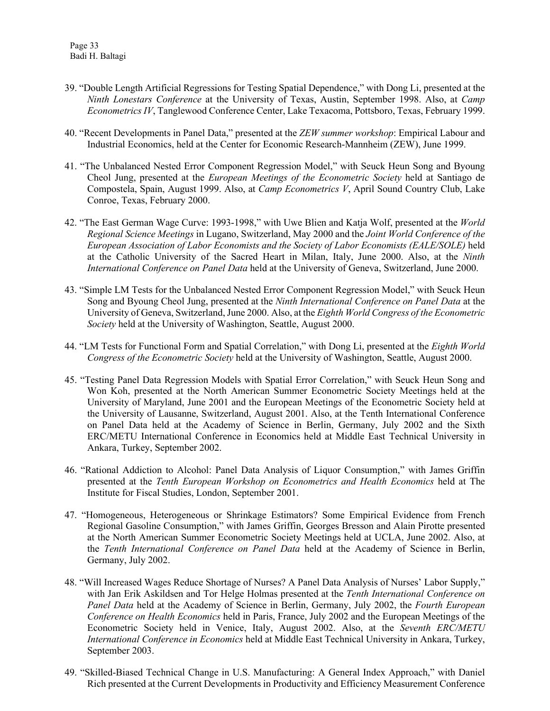- 39. "Double Length Artificial Regressions for Testing Spatial Dependence," with Dong Li, presented at the *Ninth Lonestars Conference* at the University of Texas, Austin, September 1998. Also, at *Camp Econometrics IV*, Tanglewood Conference Center, Lake Texacoma, Pottsboro, Texas, February 1999.
- 40. "Recent Developments in Panel Data," presented at the *ZEW summer workshop*: Empirical Labour and Industrial Economics, held at the Center for Economic Research-Mannheim (ZEW), June 1999.
- 41. "The Unbalanced Nested Error Component Regression Model," with Seuck Heun Song and Byoung Cheol Jung, presented at the *European Meetings of the Econometric Society* held at Santiago de Compostela, Spain, August 1999. Also, at *Camp Econometrics V*, April Sound Country Club, Lake Conroe, Texas, February 2000.
- 42. "The East German Wage Curve: 1993-1998," with Uwe Blien and Katja Wolf, presented at the *World Regional Science Meetings* in Lugano, Switzerland, May 2000 and the *Joint World Conference of the European Association of Labor Economists and the Society of Labor Economists (EALE/SOLE)* held at the Catholic University of the Sacred Heart in Milan, Italy, June 2000. Also, at the *Ninth International Conference on Panel Data* held at the University of Geneva, Switzerland, June 2000.
- 43. "Simple LM Tests for the Unbalanced Nested Error Component Regression Model," with Seuck Heun Song and Byoung Cheol Jung, presented at the *Ninth International Conference on Panel Data* at the University of Geneva, Switzerland, June 2000. Also, at the *Eighth World Congress of the Econometric Society* held at the University of Washington, Seattle, August 2000.
- 44. "LM Tests for Functional Form and Spatial Correlation," with Dong Li, presented at the *Eighth World Congress of the Econometric Society* held at the University of Washington, Seattle, August 2000.
- 45. "Testing Panel Data Regression Models with Spatial Error Correlation," with Seuck Heun Song and Won Koh, presented at the North American Summer Econometric Society Meetings held at the University of Maryland, June 2001 and the European Meetings of the Econometric Society held at the University of Lausanne, Switzerland, August 2001. Also, at the Tenth International Conference on Panel Data held at the Academy of Science in Berlin, Germany, July 2002 and the Sixth ERC/METU International Conference in Economics held at Middle East Technical University in Ankara, Turkey, September 2002.
- 46. "Rational Addiction to Alcohol: Panel Data Analysis of Liquor Consumption," with James Griffin presented at the *Tenth European Workshop on Econometrics and Health Economics* held at The Institute for Fiscal Studies, London, September 2001.
- 47. "Homogeneous, Heterogeneous or Shrinkage Estimators? Some Empirical Evidence from French Regional Gasoline Consumption," with James Griffin, Georges Bresson and Alain Pirotte presented at the North American Summer Econometric Society Meetings held at UCLA, June 2002. Also, at the *Tenth International Conference on Panel Data* held at the Academy of Science in Berlin, Germany, July 2002.
- 48. "Will Increased Wages Reduce Shortage of Nurses? A Panel Data Analysis of Nurses' Labor Supply," with Jan Erik Askildsen and Tor Helge Holmas presented at the *Tenth International Conference on Panel Data* held at the Academy of Science in Berlin, Germany, July 2002, the *Fourth European Conference on Health Economics* held in Paris, France, July 2002 and the European Meetings of the Econometric Society held in Venice, Italy, August 2002. Also, at the *Seventh ERC/METU International Conference in Economics* held at Middle East Technical University in Ankara, Turkey, September 2003.
- 49. "Skilled-Biased Technical Change in U.S. Manufacturing: A General Index Approach," with Daniel Rich presented at the Current Developments in Productivity and Efficiency Measurement Conference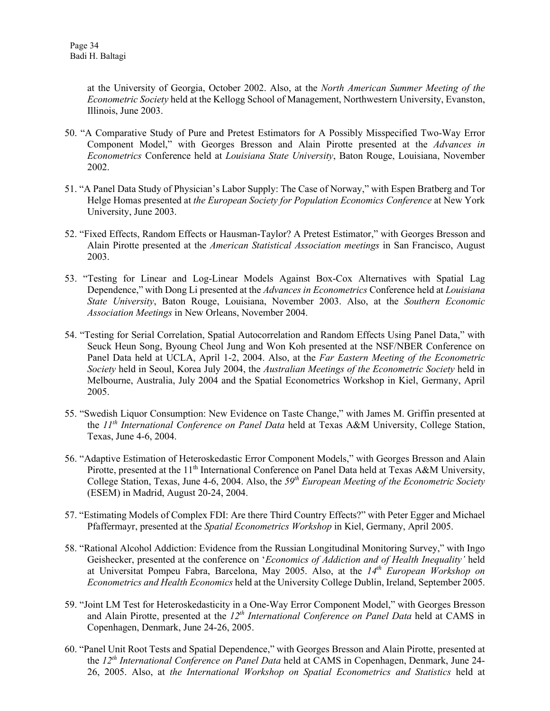at the University of Georgia, October 2002. Also, at the *North American Summer Meeting of the Econometric Society* held at the Kellogg School of Management, Northwestern University, Evanston, Illinois, June 2003.

- 50. "A Comparative Study of Pure and Pretest Estimators for A Possibly Misspecified Two-Way Error Component Model," with Georges Bresson and Alain Pirotte presented at the *Advances in Econometrics* Conference held at *Louisiana State University*, Baton Rouge, Louisiana, November 2002.
- 51. "A Panel Data Study of Physician's Labor Supply: The Case of Norway," with Espen Bratberg and Tor Helge Homas presented at *the European Society for Population Economics Conference* at New York University, June 2003.
- 52. "Fixed Effects, Random Effects or Hausman-Taylor? A Pretest Estimator," with Georges Bresson and Alain Pirotte presented at the *American Statistical Association meetings* in San Francisco, August 2003.
- 53. "Testing for Linear and Log-Linear Models Against Box-Cox Alternatives with Spatial Lag Dependence," with Dong Li presented at the *Advances in Econometrics* Conference held at *Louisiana State University*, Baton Rouge, Louisiana, November 2003. Also, at the *Southern Economic Association Meetings* in New Orleans, November 2004.
- 54. "Testing for Serial Correlation, Spatial Autocorrelation and Random Effects Using Panel Data," with Seuck Heun Song, Byoung Cheol Jung and Won Koh presented at the NSF/NBER Conference on Panel Data held at UCLA, April 1-2, 2004. Also, at the *Far Eastern Meeting of the Econometric Society* held in Seoul, Korea July 2004, the *Australian Meetings of the Econometric Society* held in Melbourne, Australia, July 2004 and the Spatial Econometrics Workshop in Kiel, Germany, April 2005.
- 55. "Swedish Liquor Consumption: New Evidence on Taste Change," with James M. Griffin presented at the *11th International Conference on Panel Data* held at Texas A&M University, College Station, Texas, June 4-6, 2004.
- 56. "Adaptive Estimation of Heteroskedastic Error Component Models," with Georges Bresson and Alain Pirotte, presented at the 11<sup>th</sup> International Conference on Panel Data held at Texas A&M University, College Station, Texas, June 4-6, 2004. Also, the *59th European Meeting of the Econometric Society* (ESEM) in Madrid, August 20-24, 2004.
- 57. "Estimating Models of Complex FDI: Are there Third Country Effects?" with Peter Egger and Michael Pfaffermayr, presented at the *Spatial Econometrics Workshop* in Kiel, Germany, April 2005.
- 58. "Rational Alcohol Addiction: Evidence from the Russian Longitudinal Monitoring Survey," with Ingo Geishecker, presented at the conference on '*Economics of Addiction and of Health Inequality'* held at Universitat Pompeu Fabra, Barcelona, May 2005. Also, at the *14th European Workshop on Econometrics and Health Economics* held at the University College Dublin, Ireland, September 2005.
- 59. "Joint LM Test for Heteroskedasticity in a One-Way Error Component Model," with Georges Bresson and Alain Pirotte, presented at the *12th International Conference on Panel Data* held at CAMS in Copenhagen, Denmark, June 24-26, 2005.
- 60. "Panel Unit Root Tests and Spatial Dependence," with Georges Bresson and Alain Pirotte, presented at the *12th International Conference on Panel Data* held at CAMS in Copenhagen, Denmark, June 24- 26, 2005. Also, at *the International Workshop on Spatial Econometrics and Statistics* held at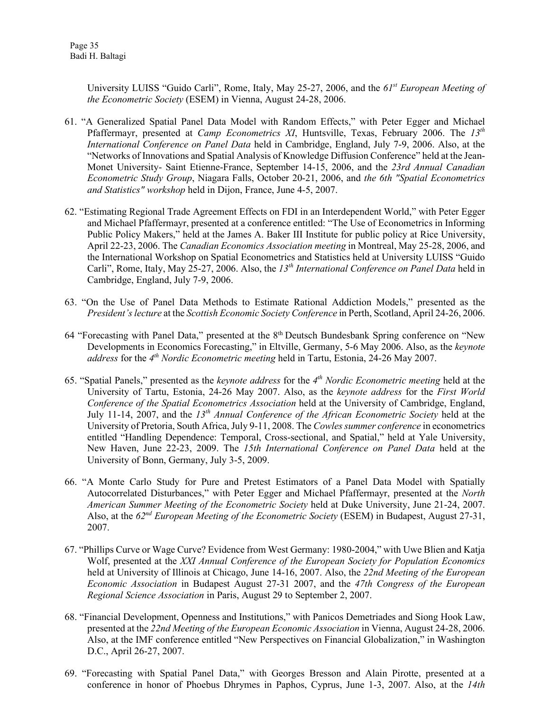Page 35 Badi H. Baltagi

> University LUISS "Guido Carli", Rome, Italy, May 25-27, 2006, and the *61st European Meeting of the Econometric Society* (ESEM) in Vienna, August 24-28, 2006.

- 61. "A Generalized Spatial Panel Data Model with Random Effects," with Peter Egger and Michael Pfaffermayr, presented at *Camp Econometrics XI*, Huntsville, Texas, February 2006. The *13th International Conference on Panel Data* held in Cambridge, England, July 7-9, 2006. Also, at the "Networks of Innovations and Spatial Analysis of Knowledge Diffusion Conference" held at the Jean-Monet University- Saint Etienne-France, September 14-15, 2006, and the *23rd Annual Canadian Econometric Study Group*, Niagara Falls, October 20-21, 2006, and *the 6th "Spatial Econometrics and Statistics" workshop* held in Dijon, France, June 4-5, 2007.
- 62. "Estimating Regional Trade Agreement Effects on FDI in an Interdependent World," with Peter Egger and Michael Pfaffermayr, presented at a conference entitled: "The Use of Econometrics in Informing Public Policy Makers," held at the James A. Baker III Institute for public policy at Rice University, April 22-23, 2006. The *Canadian Economics Association meeting* in Montreal, May 25-28, 2006, and the International Workshop on Spatial Econometrics and Statistics held at University LUISS "Guido Carli", Rome, Italy, May 25-27, 2006. Also, the *13th International Conference on Panel Data* held in Cambridge, England, July 7-9, 2006.
- 63. "On the Use of Panel Data Methods to Estimate Rational Addiction Models," presented as the *President's lecture* at the *Scottish Economic Society Conference* in Perth, Scotland, April 24-26, 2006.
- 64 "Forecasting with Panel Data," presented at the 8<sup>th</sup> Deutsch Bundesbank Spring conference on "New Developments in Economics Forecasting," in Eltville, Germany, 5-6 May 2006. Also, as the *keynote address* for the *4th Nordic Econometric meeting* held in Tartu, Estonia, 24-26 May 2007.
- 65. "Spatial Panels," presented as the *keynote address* for the *4th Nordic Econometric meeting* held at the University of Tartu, Estonia, 24-26 May 2007. Also, as the *keynote address* for the *First World Conference of the Spatial Econometrics Association* held at the University of Cambridge, England, July 11-14, 2007, and the *13th Annual Conference of the African Econometric Society* held at the University of Pretoria, South Africa, July 9-11, 2008. The *Cowles summer conference* in econometrics entitled "Handling Dependence: Temporal, Cross-sectional, and Spatial," held at Yale University, New Haven, June 22-23, 2009. The *15th International Conference on Panel Data* held at the University of Bonn, Germany, July 3-5, 2009.
- 66. "A Monte Carlo Study for Pure and Pretest Estimators of a Panel Data Model with Spatially Autocorrelated Disturbances," with Peter Egger and Michael Pfaffermayr, presented at the *North American Summer Meeting of the Econometric Society* held at Duke University, June 21-24, 2007. Also, at the *62nd European Meeting of the Econometric Society* (ESEM) in Budapest, August 27-31, 2007.
- 67. "Phillips Curve or Wage Curve? Evidence from West Germany: 1980-2004," with Uwe Blien and Katja Wolf, presented at the *XXI Annual Conference of the European Society for Population Economics* held at University of Illinois at Chicago, June 14-16, 2007. Also, the *22nd Meeting of the European Economic Association* in Budapest August 27-31 2007, and the *47th Congress of the European Regional Science Association* in Paris, August 29 to September 2, 2007.
- 68. "Financial Development, Openness and Institutions," with Panicos Demetriades and Siong Hook Law, presented at the *22nd Meeting of the European Economic Association* in Vienna, August 24-28, 2006. Also, at the IMF conference entitled "New Perspectives on Financial Globalization," in Washington D.C., April 26-27, 2007.
- 69. "Forecasting with Spatial Panel Data," with Georges Bresson and Alain Pirotte, presented at a conference in honor of Phoebus Dhrymes in Paphos, Cyprus, June 1-3, 2007. Also, at the *14th*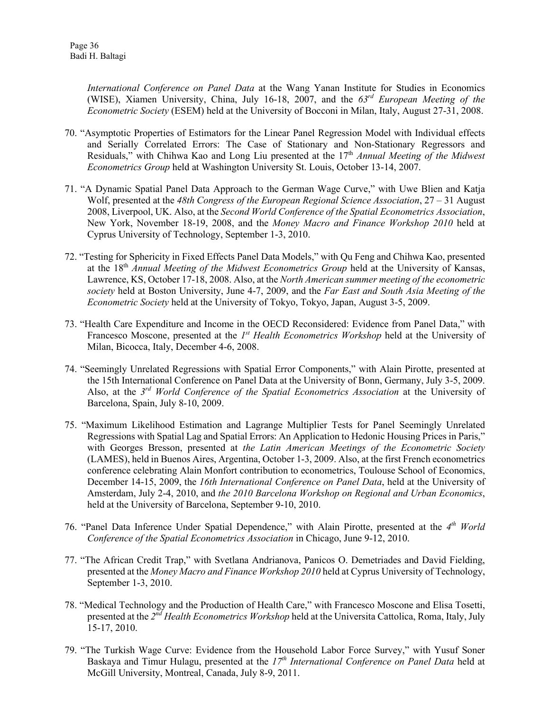*International Conference on Panel Data* at the Wang Yanan Institute for Studies in Economics (WISE), Xiamen University, China, July 16-18, 2007, and the *63rd European Meeting of the Econometric Society* (ESEM) held at the University of Bocconi in Milan, Italy, August 27-31, 2008.

- 70. "Asymptotic Properties of Estimators for the Linear Panel Regression Model with Individual effects and Serially Correlated Errors: The Case of Stationary and Non-Stationary Regressors and Residuals," with Chihwa Kao and Long Liu presented at the 17th *Annual Meeting of the Midwest Econometrics Group* held at Washington University St. Louis, October 13-14, 2007.
- 71. "A Dynamic Spatial Panel Data Approach to the German Wage Curve," with Uwe Blien and Katja Wolf, presented at the *48th Congress of the European Regional Science Association*, 27 – 31 August 2008, Liverpool, UK. Also, at the *Second World Conference of the Spatial Econometrics Association*, New York, November 18-19, 2008, and the *Money Macro and Finance Workshop 2010* held at Cyprus University of Technology, September 1-3, 2010.
- 72. "Testing for Sphericity in Fixed Effects Panel Data Models," with Qu Feng and Chihwa Kao, presented at the 18th *Annual Meeting of the Midwest Econometrics Group* held at the University of Kansas, Lawrence, KS, October 17-18, 2008. Also, at the *North American summer meeting of the econometric society* held at Boston University, June 4-7, 2009, and the *Far East and South Asia Meeting of the Econometric Society* held at the University of Tokyo, Tokyo, Japan, August 3-5, 2009.
- 73. "Health Care Expenditure and Income in the OECD Reconsidered: Evidence from Panel Data," with Francesco Moscone, presented at the *1st Health Econometrics Workshop* held at the University of Milan, Bicocca, Italy, December 4-6, 2008.
- 74. "Seemingly Unrelated Regressions with Spatial Error Components," with Alain Pirotte, presented at the 15th International Conference on Panel Data at the University of Bonn, Germany, July 3-5, 2009. Also, at the *3rd World Conference of the Spatial Econometrics Association* at the University of Barcelona, Spain, July 8-10, 2009.
- 75. "Maximum Likelihood Estimation and Lagrange Multiplier Tests for Panel Seemingly Unrelated Regressions with Spatial Lag and Spatial Errors: An Application to Hedonic Housing Prices in Paris," with Georges Bresson, presented at *the Latin American Meetings of the Econometric Society* (LAMES), held in Buenos Aires, Argentina, October 1-3, 2009. Also, at the first French econometrics conference celebrating Alain Monfort contribution to econometrics, Toulouse School of Economics, December 14-15, 2009, the *16th International Conference on Panel Data*, held at the University of Amsterdam, July 2-4, 2010, and *the 2010 Barcelona Workshop on Regional and Urban Economics*, held at the University of Barcelona, September 9-10, 2010.
- 76. "Panel Data Inference Under Spatial Dependence," with Alain Pirotte, presented at the *4th World Conference of the Spatial Econometrics Association* in Chicago, June 9-12, 2010.
- 77. "The African Credit Trap," with Svetlana Andrianova, Panicos O. Demetriades and David Fielding, presented at the *Money Macro and Finance Workshop 2010* held at Cyprus University of Technology, September 1-3, 2010.
- 78. "Medical Technology and the Production of Health Care," with Francesco Moscone and Elisa Tosetti, presented at the *2nd Health Econometrics Workshop* held at the Universita Cattolica, Roma, Italy, July 15-17, 2010.
- 79. "The Turkish Wage Curve: Evidence from the Household Labor Force Survey," with Yusuf Soner Baskaya and Timur Hulagu, presented at the *17th International Conference on Panel Data* held at McGill University, Montreal, Canada, July 8-9, 2011.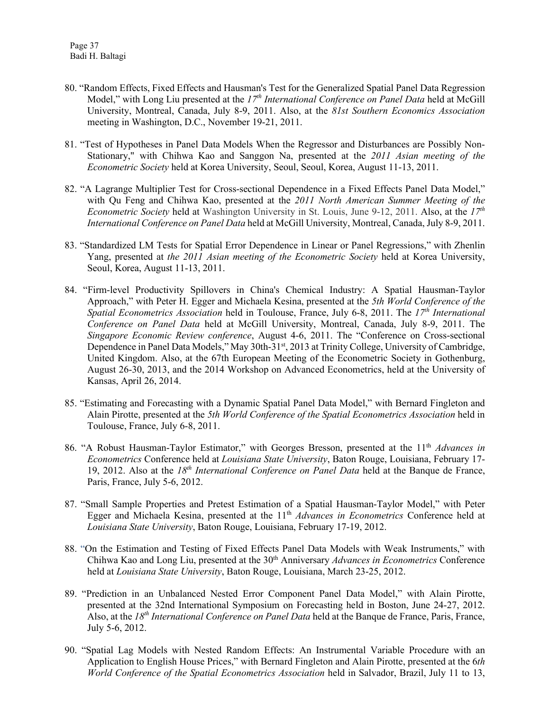- 80. "Random Effects, Fixed Effects and Hausman's Test for the Generalized Spatial Panel Data Regression Model," with Long Liu presented at the 17<sup>th</sup> International Conference on Panel Data held at McGill University, Montreal, Canada, July 8-9, 2011. Also, at the *81st Southern Economics Association* meeting in Washington, D.C., November 19-21, 2011.
- 81. "Test of Hypotheses in Panel Data Models When the Regressor and Disturbances are Possibly Non-Stationary," with Chihwa Kao and Sanggon Na, presented at the *2011 Asian meeting of the Econometric Society* held at Korea University, Seoul, Seoul, Korea, August 11-13, 2011.
- 82. "A Lagrange Multiplier Test for Cross-sectional Dependence in a Fixed Effects Panel Data Model," with Qu Feng and Chihwa Kao, presented at the *2011 North American Summer Meeting of the Econometric Society* held at Washington University in St. Louis, June 9-12, 2011. Also, at the *17th International Conference on Panel Data* held at McGill University, Montreal, Canada, July 8-9, 2011.
- 83. "Standardized LM Tests for Spatial Error Dependence in Linear or Panel Regressions," with Zhenlin Yang, presented at *the 2011 Asian meeting of the Econometric Society* held at Korea University, Seoul, Korea, August 11-13, 2011.
- 84. "Firm-level Productivity Spillovers in China's Chemical Industry: A Spatial Hausman-Taylor Approach," with Peter H. Egger and Michaela Kesina, presented at the *5th World Conference of the Spatial Econometrics Association* held in Toulouse, France, July 6-8, 2011. The *17th International Conference on Panel Data* held at McGill University, Montreal, Canada, July 8-9, 2011. The *Singapore Economic Review conference*, August 4-6, 2011. The "Conference on Cross-sectional Dependence in Panel Data Models," May 30th-31<sup>st</sup>, 2013 at Trinity College, University of Cambridge, United Kingdom. Also, at the 67th European Meeting of the Econometric Society in Gothenburg, August 26-30, 2013, and the 2014 Workshop on Advanced Econometrics, held at the University of Kansas, April 26, 2014.
- 85. "Estimating and Forecasting with a Dynamic Spatial Panel Data Model," with Bernard Fingleton and Alain Pirotte, presented at the *5th World Conference of the Spatial Econometrics Association* held in Toulouse, France, July 6-8, 2011.
- 86. "A Robust Hausman-Taylor Estimator," with Georges Bresson, presented at the 11th *Advances in Econometrics* Conference held at *Louisiana State University*, Baton Rouge, Louisiana, February 17- 19, 2012. Also at the *18th International Conference on Panel Data* held at the Banque de France, Paris, France, July 5-6, 2012.
- 87. "Small Sample Properties and Pretest Estimation of a Spatial Hausman-Taylor Model," with Peter Egger and Michaela Kesina, presented at the 11<sup>th</sup> *Advances in Econometrics* Conference held at *Louisiana State University*, Baton Rouge, Louisiana, February 17-19, 2012.
- 88. "On the Estimation and Testing of Fixed Effects Panel Data Models with Weak Instruments," with Chihwa Kao and Long Liu, presented at the 30th Anniversary *Advances in Econometrics* Conference held at *Louisiana State University*, Baton Rouge, Louisiana, March 23-25, 2012.
- 89. "Prediction in an Unbalanced Nested Error Component Panel Data Model," with Alain Pirotte, presented at the 32nd International Symposium on Forecasting held in Boston, June 24-27, 2012. Also, at the *18th International Conference on Panel Data* held at the Banque de France, Paris, France, July 5-6, 2012.
- 90. "Spatial Lag Models with Nested Random Effects: An Instrumental Variable Procedure with an Application to English House Prices," with Bernard Fingleton and Alain Pirotte, presented at the 6*th World Conference of the Spatial Econometrics Association* held in Salvador, Brazil, July 11 to 13,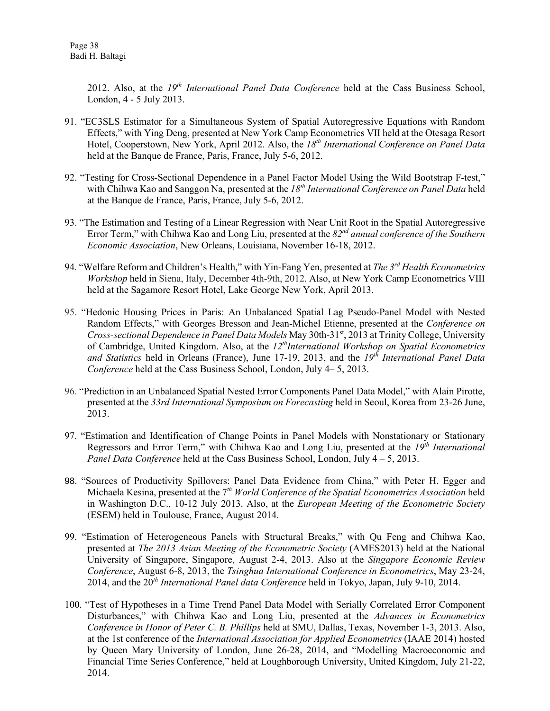2012. Also, at the 19<sup>th</sup> International Panel Data Conference held at the Cass Business School, London, 4 - 5 July 2013.

- 91. "EC3SLS Estimator for a Simultaneous System of Spatial Autoregressive Equations with Random Effects," with Ying Deng, presented at New York Camp Econometrics VII held at the Otesaga Resort Hotel, Cooperstown, New York, April 2012. Also, the *18th International Conference on Panel Data* held at the Banque de France, Paris, France, July 5-6, 2012.
- 92. "Testing for Cross-Sectional Dependence in a Panel Factor Model Using the Wild Bootstrap F-test," with Chihwa Kao and Sanggon Na, presented at the *18th International Conference on Panel Data* held at the Banque de France, Paris, France, July 5-6, 2012.
- 93. "The Estimation and Testing of a Linear Regression with Near Unit Root in the Spatial Autoregressive Error Term," with Chihwa Kao and Long Liu, presented at the *82nd annual conference of the Southern Economic Association*, New Orleans, Louisiana, November 16-18, 2012.
- 94. "Welfare Reform and Children's Health," with Yin-Fang Yen, presented at *The 3rd Health Econometrics Workshop* held in Siena, Italy, December 4th-9th, 2012. Also, at New York Camp Econometrics VIII held at the Sagamore Resort Hotel, Lake George New York, April 2013.
- 95. "Hedonic Housing Prices in Paris: An Unbalanced Spatial Lag Pseudo-Panel Model with Nested Random Effects," with Georges Bresson and Jean-Michel Etienne, presented at the *Conference on Cross-sectional Dependence in Panel Data Models* May 30th-31st, 2013 at Trinity College, University of Cambridge, United Kingdom. Also, at the 12<sup>th</sup>International Workshop on Spatial Econometrics *and Statistics* held in Orleans (France), June 17-19, 2013, and the *19th International Panel Data Conference* held at the Cass Business School, London, July 4–5, 2013.
- 96. "Prediction in an Unbalanced Spatial Nested Error Components Panel Data Model," with Alain Pirotte, presented at the *33rd International Symposium on Forecasting* held in Seoul, Korea from 23-26 June, 2013.
- 97. "Estimation and Identification of Change Points in Panel Models with Nonstationary or Stationary Regressors and Error Term," with Chihwa Kao and Long Liu, presented at the *19th International Panel Data Conference* held at the Cass Business School, London, July 4 – 5, 2013.
- 98. "Sources of Productivity Spillovers: Panel Data Evidence from China," with Peter H. Egger and Michaela Kesina, presented at the 7*th World Conference of the Spatial Econometrics Association* held in Washington D.C., 10-12 July 2013. Also, at the *European Meeting of the Econometric Society* (ESEM) held in Toulouse, France, August 2014.
- 99. "Estimation of Heterogeneous Panels with Structural Breaks," with Qu Feng and Chihwa Kao, presented at *The 2013 Asian Meeting of the Econometric Society* (AMES2013) held at the National University of Singapore, Singapore, August 2-4, 2013. Also at the *Singapore Economic Review Conference*, August 6-8, 2013, the *Tsinghua International Conference in Econometrics*, May 23-24, 2014, and the 20*th International Panel data Conference* held in Tokyo, Japan, July 9-10, 2014.
- 100. "Test of Hypotheses in a Time Trend Panel Data Model with Serially Correlated Error Component Disturbances," with Chihwa Kao and Long Liu, presented at the *Advances in Econometrics Conference in Honor of Peter C. B. Phillips* held at SMU, Dallas, Texas, November 1-3, 2013. Also, at the 1st conference of the *International Association for Applied Econometrics* (IAAE 2014) hosted by Queen Mary University of London, June 26-28, 2014, and "Modelling Macroeconomic and Financial Time Series Conference," held at Loughborough University, United Kingdom, July 21-22, 2014.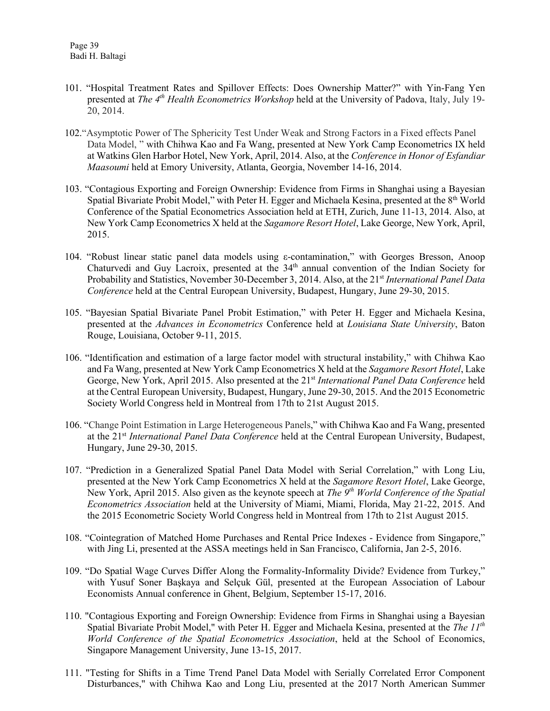- 101. "Hospital Treatment Rates and Spillover Effects: Does Ownership Matter?" with Yin-Fang Yen presented at *The 4th Health Econometrics Workshop* held at the University of Padova, Italy, July 19- 20, 2014.
- 102."Asymptotic Power of The Sphericity Test Under Weak and Strong Factors in a Fixed effects Panel Data Model, " with Chihwa Kao and Fa Wang, presented at New York Camp Econometrics IX held a[t Watkins Glen Harbor Hotel,](https://exchange.syr.edu/owa/redir.aspx?C=EmK-4sqe7E6DLESgCW7y2cSKgOA-8tAIgU7WIhLXFJbYQ9QT8zKk8GwgWMxIVXo90hJb2KME_Gs.&URL=http%3a%2f%2fwww.watkinsglenharborhotel.com%2f) New York, April, 2014. Also, at the *Conference in Honor of Esfandiar Maasoumi* held at Emory University, Atlanta, Georgia, November 14-16, 2014.
- 103. "Contagious Exporting and Foreign Ownership: Evidence from Firms in Shanghai using a Bayesian Spatial Bivariate Probit Model," with Peter H. Egger and Michaela Kesina, presented at the 8<sup>th</sup> World Conference of the Spatial Econometrics Association held at ETH, Zurich, June 11-13, 2014. Also, at New York Camp Econometrics X held at the *Sagamore Resort Hotel*, Lake George, New York, April, 2015.
- 104. "Robust linear static panel data models using ε-contamination," with Georges Bresson, Anoop Chaturvedi and Guy Lacroix, presented at the 34<sup>th</sup> annual convention of the Indian Society for Probability and Statistics, November 30-December 3, 2014. Also, at the 21st *International Panel Data Conference* held at the Central European University, Budapest, Hungary, June 29-30, 2015.
- 105. "Bayesian Spatial Bivariate Panel Probit Estimation," with Peter H. Egger and Michaela Kesina, presented at the *Advances in Econometrics* Conference held at *Louisiana State University*, Baton Rouge, Louisiana, October 9-11, 2015.
- 106. "Identification and estimation of a large factor model with structural instability," with Chihwa Kao and Fa Wang, presented at New York Camp Econometrics X held at the *Sagamore Resort Hotel*, Lake George, New York, April 2015. Also presented at the 21<sup>st</sup> International Panel Data Conference held at the Central European University, Budapest, Hungary, June 29-30, 2015. And the 2015 Econometric Society World Congress held in Montreal from 17th to 21st August 2015.
- 106. "Change Point Estimation in Large Heterogeneous Panels," with Chihwa Kao and Fa Wang, presented at the 21st *International Panel Data Conference* held at the Central European University, Budapest, Hungary, June 29-30, 2015.
- 107. "Prediction in a Generalized Spatial Panel Data Model with Serial Correlation," with Long Liu, presented at the New York Camp Econometrics X held at the *Sagamore Resort Hotel*, Lake George, New York, April 2015. Also given as the keynote speech at *The 9th World Conference of the Spatial Econometrics Association* held at the University of Miami, Miami, Florida, May 21-22, 2015. And the 2015 Econometric Society World Congress held in Montreal from 17th to 21st August 2015.
- 108. "Cointegration of Matched Home Purchases and Rental Price Indexes Evidence from Singapore," with Jing Li, presented at the ASSA meetings held in San Francisco, California, Jan 2-5, 2016.
- 109. "Do Spatial Wage Curves Differ Along the Formality-Informality Divide? Evidence from Turkey," with Yusuf Soner Başkaya and Selçuk Gül, presented at the European Association of Labour Economists Annual conference in Ghent, Belgium, September 15-17, 2016.
- 110. "Contagious Exporting and Foreign Ownership: Evidence from Firms in Shanghai using a Bayesian Spatial Bivariate Probit Model," with Peter H. Egger and Michaela Kesina, presented at the *The 11th World Conference of the Spatial Econometrics Association*, held at the School of Economics, Singapore Management University, June 13-15, 2017.
- 111. "Testing for Shifts in a Time Trend Panel Data Model with Serially Correlated Error Component Disturbances," with Chihwa Kao and Long Liu, presented at the 2017 North American Summer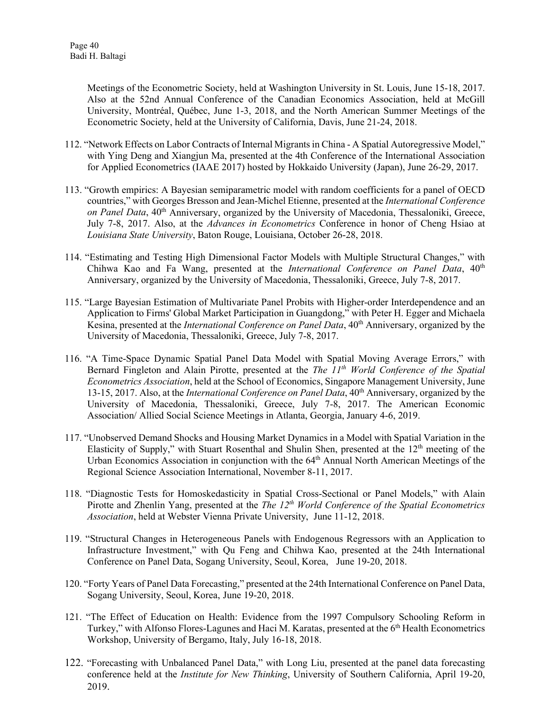Meetings of the Econometric Society, held at Washington University in St. Louis, June 15-18, 2017. Also at the 52nd Annual Conference of the Canadian Economics Association, held at McGill University, Montréal, Québec, June 1-3, 2018, and the North American Summer Meetings of the Econometric Society, held at the University of California, Davis, June 21-24, 2018.

- 112. "Network Effects on Labor Contracts of Internal Migrants in China A Spatial Autoregressive Model," with Ying Deng and Xiangjun Ma, presented at the 4th Conference of the International Association for Applied Econometrics (IAAE 2017) hosted by Hokkaido University (Japan), June 26-29, 2017.
- 113. "Growth empirics: A Bayesian semiparametric model with random coefficients for a panel of OECD countries," with Georges Bresson and Jean-Michel Etienne, presented at the *International Conference on Panel Data*, 40<sup>th</sup> Anniversary, organized by the University of Macedonia, Thessaloniki, Greece, July 7-8, 2017. Also, at the *Advances in Econometrics* Conference in honor of Cheng Hsiao at *Louisiana State University*, Baton Rouge, Louisiana, October 26-28, 2018.
- 114. "Estimating and Testing High Dimensional Factor Models with Multiple Structural Changes," with Chihwa Kao and Fa Wang, presented at the *International Conference on Panel Data*, 40<sup>th</sup> Anniversary, organized by the University of Macedonia, Thessaloniki, Greece, July 7-8, 2017.
- 115. "Large Bayesian Estimation of Multivariate Panel Probits with Higher-order Interdependence and an Application to Firms' Global Market Participation in Guangdong," with Peter H. Egger and Michaela Kesina, presented at the *International Conference on Panel Data*,  $40<sup>th</sup>$  Anniversary, organized by the University of Macedonia, Thessaloniki, Greece, July 7-8, 2017.
- 116. "A Time-Space Dynamic Spatial Panel Data Model with Spatial Moving Average Errors," with Bernard Fingleton and Alain Pirotte, presented at the *The 11th World Conference of the Spatial Econometrics Association*, held at the School of Economics, Singapore Management University, June 13-15, 2017. Also, at the *International Conference on Panel Data*, 40<sup>th</sup> Anniversary, organized by the University of Macedonia, Thessaloniki, Greece, July 7-8, 2017. The American Economic Association/ Allied Social Science Meetings in Atlanta, Georgia, January 4-6, 2019.
- 117. "Unobserved Demand Shocks and Housing Market Dynamics in a Model with Spatial Variation in the Elasticity of Supply," with Stuart Rosenthal and Shulin Shen, presented at the  $12<sup>th</sup>$  meeting of the Urban Economics Association in conjunction with the 64th Annual North American Meetings of the Regional Science Association International, November 8-11, 2017.
- 118. "Diagnostic Tests for Homoskedasticity in Spatial Cross-Sectional or Panel Models," with Alain Pirotte and Zhenlin Yang, presented at the *The 12<sup>th</sup> World Conference of the Spatial Econometrics Association*, held at Webster Vienna Private University, June 11-12, 2018.
- 119. "Structural Changes in Heterogeneous Panels with Endogenous Regressors with an Application to Infrastructure Investment," with Qu Feng and Chihwa Kao, presented at the 24th International Conference on Panel Data, Sogang University, Seoul, Korea, June 19-20, 2018.
- 120. "Forty Years of Panel Data Forecasting," presented at the 24th International Conference on Panel Data, Sogang University, Seoul, Korea, June 19-20, 2018.
- 121. "The Effect of Education on Health: Evidence from the 1997 Compulsory Schooling Reform in Turkey," with Alfonso Flores-Lagunes and Haci M. Karatas, presented at the 6th Health Econometrics Workshop, University of Bergamo, Italy, July 16-18, 2018.
- 122. "Forecasting with Unbalanced Panel Data," with Long Liu, presented at the panel data forecasting conference held at the *Institute for New Thinking*, University of Southern California, April 19-20, 2019.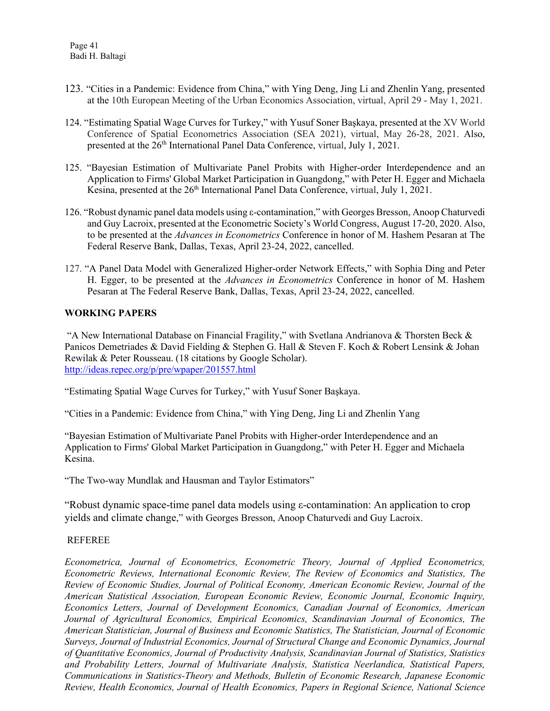- 123. "Cities in a Pandemic: Evidence from China," with Ying Deng, Jing Li and Zhenlin Yang, presented at the 10th European Meeting of the Urban Economics Association, virtual, April 29 - May 1, 2021.
- 124. "Estimating Spatial Wage Curves for Turkey," with Yusuf Soner Başkaya, presented at the XV World Conference of Spatial Econometrics Association (SEA 2021), virtual, May 26-28, 2021. Also, presented at the 26<sup>th</sup> International Panel Data Conference, virtual, July 1, 2021.
- 125. "Bayesian Estimation of Multivariate Panel Probits with Higher-order Interdependence and an Application to Firms' Global Market Participation in Guangdong," with Peter H. Egger and Michaela Kesina, presented at the 26<sup>th</sup> International Panel Data Conference, virtual, July 1, 2021.
- 126. "Robust dynamic panel data models using ε-contamination," with Georges Bresson, Anoop Chaturvedi and Guy Lacroix, presented at the Econometric Society's World Congress, August 17-20, 2020. Also, to be presented at the *Advances in Econometrics* Conference in honor of M. Hashem Pesaran at The Federal Reserve Bank, Dallas, Texas, April 23-24, 2022, cancelled.
- 127. "A Panel Data Model with Generalized Higher-order Network Effects," with Sophia Ding and Peter H. Egger, to be presented at the *Advances in Econometrics* Conference in honor of M. Hashem Pesaran at The Federal Reserve Bank, Dallas, Texas, April 23-24, 2022, cancelled.

#### **WORKING PAPERS**

"A New International Database on Financial Fragility," with Svetlana Andrianova & Thorsten Beck & Panicos Demetriades & David Fielding & Stephen G. Hall & Steven F. Koch & Robert Lensink & Johan Rewilak & Peter Rousseau. (18 citations by Google Scholar). <http://ideas.repec.org/p/pre/wpaper/201557.html>

"Estimating Spatial Wage Curves for Turkey," with Yusuf Soner Başkaya.

"Cities in a Pandemic: Evidence from China," with Ying Deng, Jing Li and Zhenlin Yang

"Bayesian Estimation of Multivariate Panel Probits with Higher-order Interdependence and an Application to Firms' Global Market Participation in Guangdong," with Peter H. Egger and Michaela Kesina.

"The Two-way Mundlak and Hausman and Taylor Estimators"

"Robust dynamic space-time panel data models using ε-contamination: An application to crop yields and climate change," with Georges Bresson, Anoop Chaturvedi and Guy Lacroix.

#### REFEREE

*Econometrica, Journal of Econometrics, Econometric Theory, Journal of Applied Econometrics, Econometric Reviews, International Economic Review, The Review of Economics and Statistics, The Review of Economic Studies, Journal of Political Economy, American Economic Review, Journal of the American Statistical Association, European Economic Review, Economic Journal, Economic Inquiry, Economics Letters, Journal of Development Economics, Canadian Journal of Economics, American Journal of Agricultural Economics, Empirical Economics, Scandinavian Journal of Economics, The American Statistician, Journal of Business and Economic Statistics, The Statistician, Journal of Economic Surveys, Journal of Industrial Economics, Journal of Structural Change and Economic Dynamics, Journal of Quantitative Economics, Journal of Productivity Analysis, Scandinavian Journal of Statistics, Statistics and Probability Letters, Journal of Multivariate Analysis, Statistica Neerlandica, Statistical Papers, Communications in Statistics-Theory and Methods, Bulletin of Economic Research, Japanese Economic Review, Health Economics, Journal of Health Economics, Papers in Regional Science, National Science*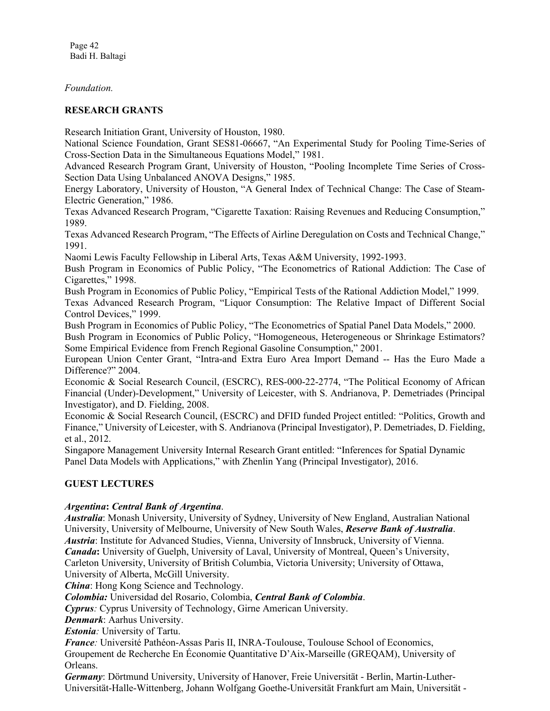Page 42 Badi H. Baltagi

*Foundation.*

#### **RESEARCH GRANTS**

Research Initiation Grant, University of Houston, 1980.

National Science Foundation, Grant SES81-06667, "An Experimental Study for Pooling Time-Series of Cross-Section Data in the Simultaneous Equations Model," 1981.

Advanced Research Program Grant, University of Houston, "Pooling Incomplete Time Series of Cross-Section Data Using Unbalanced ANOVA Designs," 1985.

Energy Laboratory, University of Houston, "A General Index of Technical Change: The Case of Steam-Electric Generation," 1986.

Texas Advanced Research Program, "Cigarette Taxation: Raising Revenues and Reducing Consumption," 1989.

Texas Advanced Research Program, "The Effects of Airline Deregulation on Costs and Technical Change," 1991.

Naomi Lewis Faculty Fellowship in Liberal Arts, Texas A&M University, 1992-1993.

Bush Program in Economics of Public Policy, "The Econometrics of Rational Addiction: The Case of Cigarettes," 1998.

Bush Program in Economics of Public Policy, "Empirical Tests of the Rational Addiction Model," 1999.

Texas Advanced Research Program, "Liquor Consumption: The Relative Impact of Different Social Control Devices," 1999.

Bush Program in Economics of Public Policy, "The Econometrics of Spatial Panel Data Models," 2000.

Bush Program in Economics of Public Policy, "Homogeneous, Heterogeneous or Shrinkage Estimators? Some Empirical Evidence from French Regional Gasoline Consumption," 2001.

European Union Center Grant, "Intra-and Extra Euro Area Import Demand -- Has the Euro Made a Difference?" 2004.

Economic & Social Research Council, (ESCRC), RES-000-22-2774, "The Political Economy of African Financial (Under)-Development," University of Leicester, with S. Andrianova, P. Demetriades (Principal Investigator), and D. Fielding, 2008.

Economic & Social Research Council, (ESCRC) and DFID funded Project entitled: "Politics, Growth and Finance," University of Leicester, with S. Andrianova (Principal Investigator), P. Demetriades, D. Fielding, et al., 2012.

Singapore Management University Internal Research Grant entitled: "Inferences for Spatial Dynamic Panel Data Models with Applications," with Zhenlin Yang (Principal Investigator), 2016.

## **GUEST LECTURES**

## *Argentina***:** *Central Bank of Argentina*.

*Australia*: Monash University, University of Sydney, University of New England, Australian National University, University of Melbourne, University of New South Wales, *Reserve Bank of Australia*. *Austria*: Institute for Advanced Studies, Vienna, University of Innsbruck, University of Vienna. *Canada***:** University of Guelph, University of Laval, University of Montreal, Queen's University, Carleton University, University of British Columbia, Victoria University; University of Ottawa, University of Alberta, McGill University.

*China*: Hong Kong Science and Technology.

*Colombia:* Universidad del Rosario, Colombia, *Central Bank of Colombia*.

*Cyprus:* Cyprus University of Technology, Girne American University.

*Denmark*: Aarhus University.

*Estonia:* University of Tartu.

*France:* Université Pathéon-Assas Paris II, INRA-Toulouse, Toulouse School of Economics, Groupement de Recherche En Économie Quantitative D'Aix-Marseille (GREQAM), University of Orleans.

*Germany*: Dörtmund University, University of Hanover, Freie Universität - Berlin, Martin-Luther-Universität-Halle-Wittenberg, Johann Wolfgang Goethe-Universität Frankfurt am Main, Universität -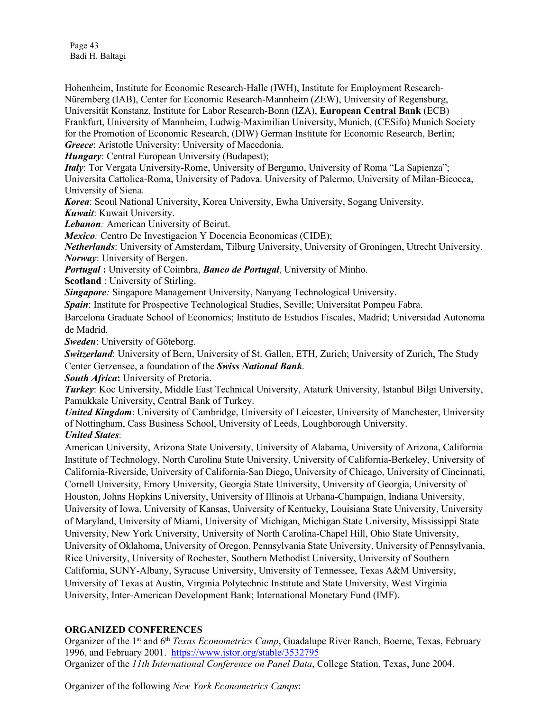Page 43 Badi H. Baltagi

Hohenheim, Institute for Economic Research-Halle (IWH), Institute for Employment Research-Nüremberg (IAB), Center for Economic Research-Mannheim (ZEW), University of Regensburg, Universität Konstanz, Institute for Labor Research-Bonn (IZA), **European Central Bank** (ECB) Frankfurt, University of Mannheim, Ludwig-Maximilian University, Munich, (CESifo) Munich Society for the Promotion of Economic Research, (DIW) German Institute for Economic Research, Berlin; *Greece*: Aristotle University; University of Macedonia.

*Hungary*: Central European University (Budapest);

*Italy*: Tor Vergata University-Rome, University of Bergamo, University of Roma "La Sapienza";

Universita Cattolica-Roma, University of Padova. University of Palermo, University of Milan-Bicocca, University of Siena.

*Korea*: Seoul National University, Korea University, Ewha University, Sogang University. *Kuwait*: Kuwait University.

*Lebanon:* American University of Beirut.

*Mexico*: Centro De Investigacion Y Docencia Economicas (CIDE);

*Netherlands*: University of Amsterdam, Tilburg University, University of Groningen, Utrecht University. *Norway*: University of Bergen.

*Portugal* **:** University of Coimbra, *Banco de Portugal*, University of Minho.

**Scotland** : University of Stirling.

*Singapore*: Singapore Management University, Nanyang Technological University.

*Spain*: Institute for Prospective Technological Studies, Seville; Universitat Pompeu Fabra.

Barcelona Graduate School of Economics; Instituto de Estudios Fiscales, Madrid; Universidad Autonoma de Madrid.

*Sweden*: University of Göteborg.

*Switzerland*: University of Bern, University of St. Gallen, ETH, Zurich; University of Zurich, The Study Center Gerzensee, a foundation of the *Swiss National Bank*.

*South Africa***:** University of Pretoria.

*Turkey*: Koc University, Middle East Technical University, Ataturk University, Istanbul Bilgi University, Pamukkale University, Central Bank of Turkey.

*United Kingdom*: University of Cambridge, University of Leicester, University of Manchester, University of Nottingham, Cass Business School, University of Leeds, Loughborough University.

*United States*:

American University, Arizona State University, University of Alabama, University of Arizona, California Institute of Technology, North Carolina State University, University of California-Berkeley, University of California-Riverside, University of California-San Diego, University of Chicago, University of Cincinnati, Cornell University, Emory University, Georgia State University, University of Georgia, University of Houston, Johns Hopkins University, University of Illinois at Urbana-Champaign, Indiana University, University of Iowa, University of Kansas, University of Kentucky, Louisiana State University, University of Maryland, University of Miami, University of Michigan, Michigan State University, Mississippi State University, New York University, University of North Carolina-Chapel Hill, Ohio State University, University of Oklahoma, University of Oregon, Pennsylvania State University, University of Pennsylvania, Rice University, University of Rochester, Southern Methodist University, University of Southern California, SUNY-Albany, Syracuse University, University of Tennessee, Texas A&M University, University of Texas at Austin, Virginia Polytechnic Institute and State University, West Virginia University, Inter-American Development Bank; International Monetary Fund (IMF).

## **ORGANIZED CONFERENCES**

Organizer of the 1st and 6th *Texas Econometrics Camp*, Guadalupe River Ranch, Boerne, Texas, February 1996, and February 2001. <https://www.jstor.org/stable/3532795> Organizer of the *11th International Conference on Panel Data*, College Station, Texas, June 2004.

Organizer of the following *New York Econometrics Camps*: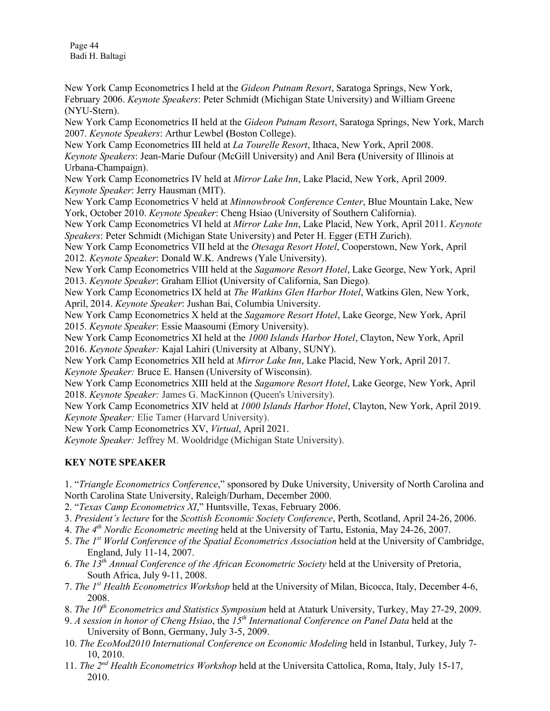Page 44 Badi H. Baltagi

New York Camp Econometrics I held at the *Gideon Putnam Resort*, Saratoga Springs, New York, February 2006. *Keynote Speakers*: Peter Schmidt (Michigan State University) and William Greene (NYU-Stern).

New York Camp Econometrics II held at the *Gideon Putnam Resort*, Saratoga Springs, New York, March 2007. *Keynote Speakers*: Arthur Lewbel **(**Boston College).

New York Camp Econometrics III held at *La Tourelle Resort*, Ithaca, New York, April 2008. *Keynote Speakers*: Jean-Marie Dufour (McGill University) and Anil Bera **(**University of Illinois at Urbana-Champaign).

New York Camp Econometrics IV held at *Mirror Lake Inn*, Lake Placid, New York, April 2009. *Keynote Speaker*: Jerry Hausman (MIT).

New York Camp Econometrics V held at *Minnowbrook Conference Center*, Blue Mountain Lake, New York, October 2010. *Keynote Speaker*: Cheng Hsiao (University of Southern California).

New York Camp Econometrics VI held at *Mirror Lake Inn*, Lake Placid, New York, April 2011. *Keynote Speakers*: Peter Schmidt (Michigan State University) and Peter H. Egger (ETH Zurich).

New York Camp Econometrics VII held at the *Otesaga Resort Hotel*, Cooperstown, New York, April 2012. *Keynote Speaker*: Donald W.K. Andrews (Yale University).

New York Camp Econometrics VIII held at the *Sagamore Resort Hotel*, Lake George, New York, April 2013. *Keynote Speaker*: Graham Elliot **(**University of California, San Diego)*.*

New York Camp Econometrics IX held at *The [Watkins Glen Harbor Hotel](https://exchange.syr.edu/owa/redir.aspx?C=EmK-4sqe7E6DLESgCW7y2cSKgOA-8tAIgU7WIhLXFJbYQ9QT8zKk8GwgWMxIVXo90hJb2KME_Gs.&URL=http%3a%2f%2fwww.watkinsglenharborhotel.com%2f)*, Watkins Glen, New York, April, 2014. *Keynote Speaker*: Jushan Bai, Columbia University.

New York Camp Econometrics X held at the *Sagamore Resort Hotel*, Lake George, New York, April 2015. *Keynote Speaker*: Essie Maasoumi (Emory University).

New York Camp Econometrics XI held at the *1000 Islands Harbor Hotel*, Clayton, New York, April 2016. *Keynote Speaker:* Kajal Lahiri (University at Albany, SUNY).

New York Camp Econometrics XII held at *Mirror Lake Inn*, Lake Placid, New York, April 2017. *Keynote Speaker:* Bruce E. Hansen (University of Wisconsin).

New York Camp Econometrics XIII held at the *Sagamore Resort Hotel*, Lake George, New York, April 2018. *Keynote Speaker:* James G. MacKinnon **(**Queen's University).

New York Camp Econometrics XIV held at *1000 Islands Harbor Hotel*, Clayton, New York, April 2019. *Keynote Speaker:* Elie Tamer (Harvard University).

New York Camp Econometrics XV, *Virtual*, April 2021.

*Keynote Speaker:* Jeffrey M. Wooldridge (Michigan State University).

## **KEY NOTE SPEAKER**

1. "*Triangle Econometrics Conference*," sponsored by Duke University, University of North Carolina and North Carolina State University, Raleigh/Durham, December 2000.

- 2. "*Texas Camp Econometrics XI*," Huntsville, Texas, February 2006.
- 3. *President's lecture* for the *Scottish Economic Society Conference*, Perth, Scotland, April 24-26, 2006.
- 4. *The 4th Nordic Econometric meeting* held at the University of Tartu, Estonia, May 24-26, 2007.
- 5. *The 1st World Conference of the Spatial Econometrics Association* held at the University of Cambridge, England, July 11-14, 2007.
- 6. *The 13th Annual Conference of the African Econometric Society* held at the University of Pretoria, South Africa, July 9-11, 2008.
- 7. *The 1st Health Econometrics Workshop* held at the University of Milan, Bicocca, Italy, December 4-6, 2008.
- 8. *The 10th Econometrics and Statistics Symposium* held at Ataturk University, Turkey, May 27-29, 2009.
- 9. *A session in honor of Cheng Hsiao*, the *15th International Conference on Panel Data* held at the University of Bonn, Germany, July 3-5, 2009.
- 10. *The EcoMod2010 International Conference on Economic Modeling* held in Istanbul, Turkey, July 7- 10, 2010.
- 11. *The 2nd Health Econometrics Workshop* held at the Universita Cattolica, Roma, Italy, July 15-17, 2010.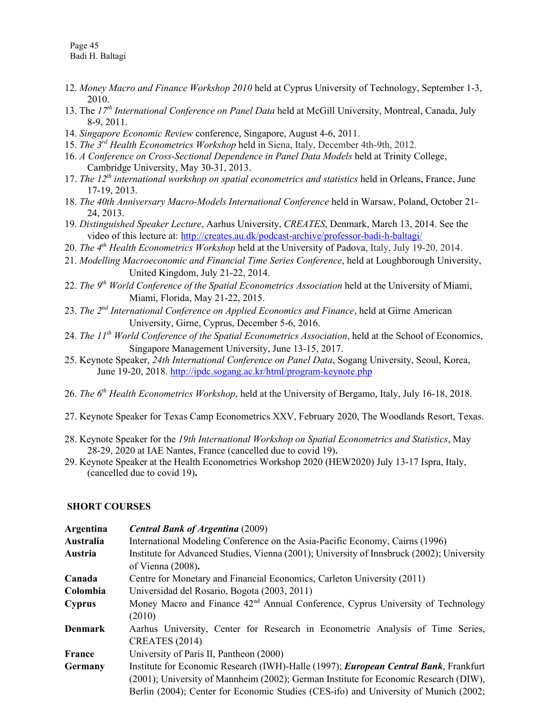- 12. *Money Macro and Finance Workshop 2010* held at Cyprus University of Technology, September 1-3, 2010.
- 13. The *17th International Conference on Panel Data* held at McGill University, Montreal, Canada, July 8-9, 2011.
- 14. *Singapore Economic Review* conference, Singapore, August 4-6, 2011.
- 15. *The 3rd Health Econometrics Workshop* held in Siena, Italy, December 4th-9th, 2012.
- 16. *A Conference on Cross-Sectional Dependence in Panel Data Models* held at Trinity College, Cambridge University, May 30-31, 2013.
- 17. *The 12th international workshop on spatial econometrics and statistics* held in Orleans, France, June 17-19, 2013.
- 18. *The 40th Anniversary Macro-Models International Conference* held in Warsaw, Poland, October 21- 24, 2013.
- 19. *Distinguished Speaker Lecture*, Aarhus University, *CREATES*, Denmark, March 13, 2014. See the video of this lecture at:<http://creates.au.dk/podcast-archive/professor-badi-h-baltagi/>
- 20. *The 4th Health Econometrics Workshop* held at the University of Padova, Italy, July 19-20, 2014.
- 21. *Modelling Macroeconomic and Financial Time Series Conference*, held at Loughborough University, United Kingdom, July 21-22, 2014.
- 22. *The 9th World Conference of the Spatial Econometrics Association* held at the University of Miami, Miami, Florida, May 21-22, 2015.
- 23. *The 2nd International Conference on Applied Economics and Finance*, held at Girne American University, Girne, Cyprus, December 5-6, 2016.
- 24. *The 11th World Conference of the Spatial Econometrics Association*, held at the School of Economics, Singapore Management University, June 13-15, 2017.
- 25. Keynote Speaker, *24th International Conference on Panel Data*, Sogang University, Seoul, Korea, June 19-20, 2018. [http://ipdc.sogang.ac.kr/html/program-keynote.php](http://ipdc.sogang.ac.kr/html/program-keynote.php%2026)
- [26.](http://ipdc.sogang.ac.kr/html/program-keynote.php%2026) *The 6th Health Econometrics Workshop*, held at the University of Bergamo, Italy, July 16-18, 2018.
- 27. Keynote Speaker for Texas Camp Econometrics XXV, February 2020, The Woodlands Resort, Texas.
- 28. Keynote Speaker for the *19th International Workshop on Spatial Econometrics and Statistics*, May 28-29, 2020 at IAE Nantes, France (cancelled due to covid 19)**.**
- 29. Keynote Speaker at the Health Econometrics Workshop 2020 (HEW2020) July 13-17 Ispra, Italy, (cancelled due to covid 19)**.**

#### **SHORT COURSES**

| Argentina<br>Australia<br>Austria | <b>Central Bank of Argentina (2009)</b><br>International Modeling Conference on the Asia-Pacific Economy, Cairns (1996)<br>Institute for Advanced Studies, Vienna (2001); University of Innsbruck (2002); University<br>of Vienna $(2008)$ . |
|-----------------------------------|----------------------------------------------------------------------------------------------------------------------------------------------------------------------------------------------------------------------------------------------|
| Canada                            | Centre for Monetary and Financial Economics, Carleton University (2011)                                                                                                                                                                      |
| Colombia                          | Universidad del Rosario, Bogota (2003, 2011)                                                                                                                                                                                                 |
| <b>Cyprus</b>                     | Money Macro and Finance $42nd$ Annual Conference, Cyprus University of Technology                                                                                                                                                            |
|                                   | (2010)                                                                                                                                                                                                                                       |
| <b>Denmark</b>                    | Aarhus University, Center for Research in Econometric Analysis of Time Series,                                                                                                                                                               |
|                                   | <b>CREATES</b> (2014)                                                                                                                                                                                                                        |
| <b>France</b>                     | University of Paris II, Pantheon (2000)                                                                                                                                                                                                      |
| Germany                           | Institute for Economic Research (IWH)-Halle (1997); <i>European Central Bank</i> , Frankfurt                                                                                                                                                 |
|                                   | (2001); University of Mannheim (2002); German Institute for Economic Research (DIW),                                                                                                                                                         |
|                                   | Berlin (2004); Center for Economic Studies (CES-ifo) and University of Munich (2002;                                                                                                                                                         |